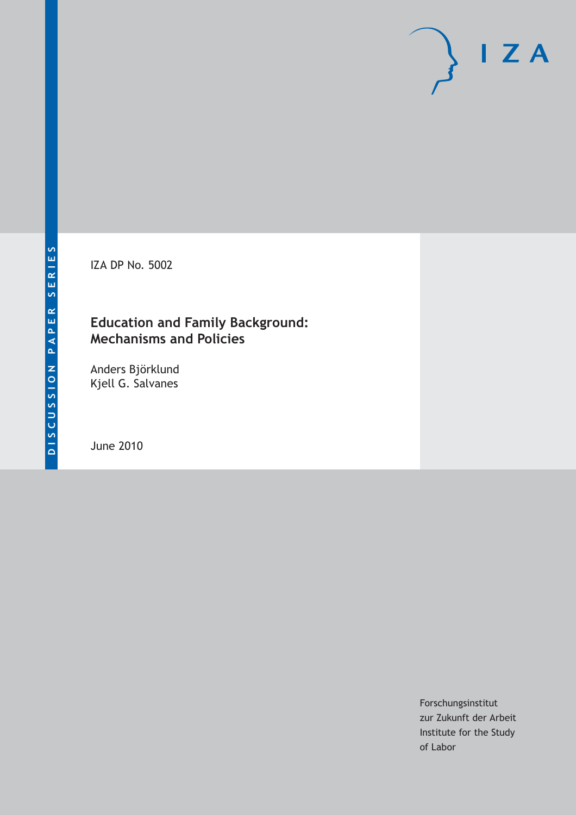IZA DP No. 5002

### **Education and Family Background: Mechanisms and Policies**

Anders Björklund Kjell G. Salvanes

June 2010

Forschungsinstitut zur Zukunft der Arbeit Institute for the Study of Labor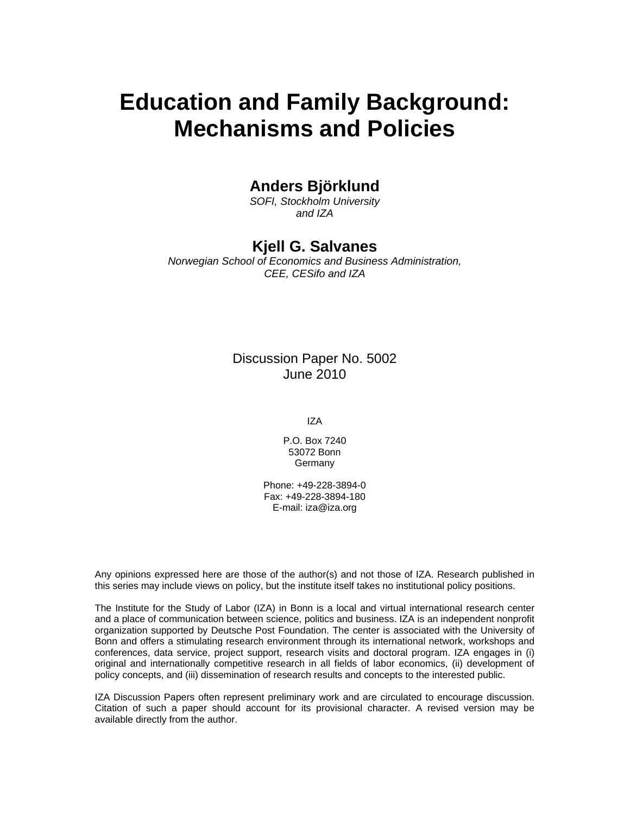# **Education and Family Background: Mechanisms and Policies**

### **Anders Björklund**

*SOFI, Stockholm University and IZA* 

### **Kjell G. Salvanes**

*Norwegian School of Economics and Business Administration, CEE, CESifo and IZA* 

### Discussion Paper No. 5002 June 2010

IZA

P.O. Box 7240 53072 Bonn **Germany** 

Phone: +49-228-3894-0 Fax: +49-228-3894-180 E-mail: iza@iza.org

Any opinions expressed here are those of the author(s) and not those of IZA. Research published in this series may include views on policy, but the institute itself takes no institutional policy positions.

The Institute for the Study of Labor (IZA) in Bonn is a local and virtual international research center and a place of communication between science, politics and business. IZA is an independent nonprofit organization supported by Deutsche Post Foundation. The center is associated with the University of Bonn and offers a stimulating research environment through its international network, workshops and conferences, data service, project support, research visits and doctoral program. IZA engages in (i) original and internationally competitive research in all fields of labor economics, (ii) development of policy concepts, and (iii) dissemination of research results and concepts to the interested public.

IZA Discussion Papers often represent preliminary work and are circulated to encourage discussion. Citation of such a paper should account for its provisional character. A revised version may be available directly from the author.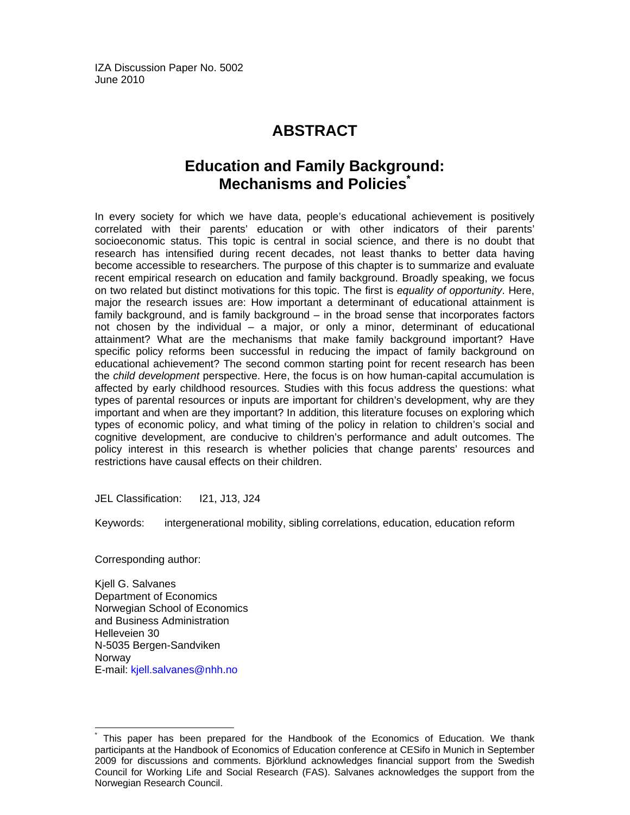IZA Discussion Paper No. 5002 June 2010

# **ABSTRACT**

## **Education and Family Background: Mechanisms and Policies**<sup>\*</sup>

In every society for which we have data, people's educational achievement is positively correlated with their parents' education or with other indicators of their parents' socioeconomic status. This topic is central in social science, and there is no doubt that research has intensified during recent decades, not least thanks to better data having become accessible to researchers. The purpose of this chapter is to summarize and evaluate recent empirical research on education and family background. Broadly speaking, we focus on two related but distinct motivations for this topic. The first is *equality of opportunity*. Here, major the research issues are: How important a determinant of educational attainment is family background, and is family background – in the broad sense that incorporates factors not chosen by the individual – a major, or only a minor, determinant of educational attainment? What are the mechanisms that make family background important? Have specific policy reforms been successful in reducing the impact of family background on educational achievement? The second common starting point for recent research has been the *child development* perspective. Here, the focus is on how human-capital accumulation is affected by early childhood resources. Studies with this focus address the questions: what types of parental resources or inputs are important for children's development, why are they important and when are they important? In addition, this literature focuses on exploring which types of economic policy, and what timing of the policy in relation to children's social and cognitive development, are conducive to children's performance and adult outcomes. The policy interest in this research is whether policies that change parents' resources and restrictions have causal effects on their children.

JEL Classification: I21, J13, J24

Keywords: intergenerational mobility, sibling correlations, education, education reform

Corresponding author:

-

Kjell G. Salvanes Department of Economics Norwegian School of Economics and Business Administration Helleveien 30 N-5035 Bergen-Sandviken Norway E-mail: kjell.salvanes@nhh.no

<sup>\*</sup> This paper has been prepared for the Handbook of the Economics of Education. We thank participants at the Handbook of Economics of Education conference at CESifo in Munich in September 2009 for discussions and comments. Björklund acknowledges financial support from the Swedish Council for Working Life and Social Research (FAS). Salvanes acknowledges the support from the Norwegian Research Council.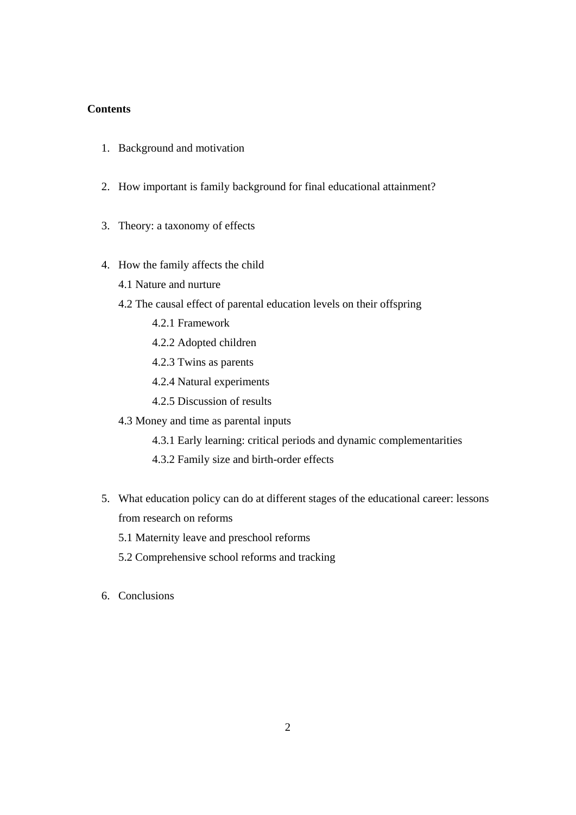#### **Contents**

- 1. Background and motivation
- 2. How important is family background for final educational attainment?
- 3. Theory: a taxonomy of effects
- 4. How the family affects the child
	- 4.1 Nature and nurture
	- 4.2 The causal effect of parental education levels on their offspring
		- 4.2.1 Framework
		- 4.2.2 Adopted children
		- 4.2.3 Twins as parents
		- 4.2.4 Natural experiments
		- 4.2.5 Discussion of results
	- 4.3 Money and time as parental inputs
		- 4.3.1 Early learning: critical periods and dynamic complementarities
		- 4.3.2 Family size and birth-order effects
- 5. What education policy can do at different stages of the educational career: lessons from research on reforms
	- 5.1 Maternity leave and preschool reforms
	- 5.2 Comprehensive school reforms and tracking
- 6. Conclusions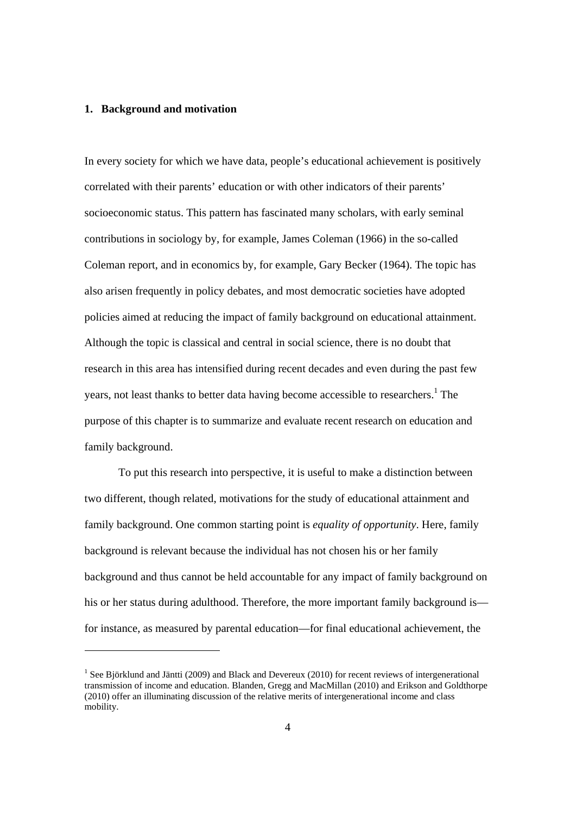#### **1. Background and motivation**

-

In every society for which we have data, people's educational achievement is positively correlated with their parents' education or with other indicators of their parents' socioeconomic status. This pattern has fascinated many scholars, with early seminal contributions in sociology by, for example, James Coleman (1966) in the so-called Coleman report, and in economics by, for example, Gary Becker (1964). The topic has also arisen frequently in policy debates, and most democratic societies have adopted policies aimed at reducing the impact of family background on educational attainment. Although the topic is classical and central in social science, there is no doubt that research in this area has intensified during recent decades and even during the past few years, not least thanks to better data having become accessible to researchers.<sup>1</sup> The purpose of this chapter is to summarize and evaluate recent research on education and family background.

To put this research into perspective, it is useful to make a distinction between two different, though related, motivations for the study of educational attainment and family background. One common starting point is *equality of opportunity*. Here, family background is relevant because the individual has not chosen his or her family background and thus cannot be held accountable for any impact of family background on his or her status during adulthood. Therefore, the more important family background is for instance, as measured by parental education—for final educational achievement, the

<sup>&</sup>lt;sup>1</sup> See Björklund and Jäntti (2009) and Black and Devereux (2010) for recent reviews of intergenerational transmission of income and education. Blanden, Gregg and MacMillan (2010) and Erikson and Goldthorpe (2010) offer an illuminating discussion of the relative merits of intergenerational income and class mobility.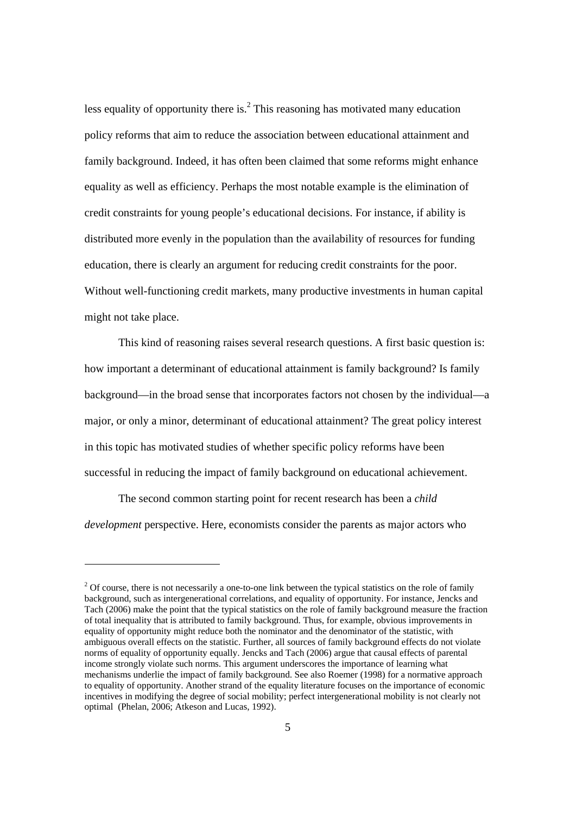less equality of opportunity there is.<sup>2</sup> This reasoning has motivated many education policy reforms that aim to reduce the association between educational attainment and family background. Indeed, it has often been claimed that some reforms might enhance equality as well as efficiency. Perhaps the most notable example is the elimination of credit constraints for young people's educational decisions. For instance, if ability is distributed more evenly in the population than the availability of resources for funding education, there is clearly an argument for reducing credit constraints for the poor. Without well-functioning credit markets, many productive investments in human capital might not take place.

This kind of reasoning raises several research questions. A first basic question is: how important a determinant of educational attainment is family background? Is family background—in the broad sense that incorporates factors not chosen by the individual—a major, or only a minor, determinant of educational attainment? The great policy interest in this topic has motivated studies of whether specific policy reforms have been successful in reducing the impact of family background on educational achievement.

The second common starting point for recent research has been a *child development* perspective. Here, economists consider the parents as major actors who

 $2^2$  Of course, there is not necessarily a one-to-one link between the typical statistics on the role of family background, such as intergenerational correlations, and equality of opportunity. For instance, Jencks and Tach (2006) make the point that the typical statistics on the role of family background measure the fraction of total inequality that is attributed to family background. Thus, for example, obvious improvements in equality of opportunity might reduce both the nominator and the denominator of the statistic, with ambiguous overall effects on the statistic. Further, all sources of family background effects do not violate norms of equality of opportunity equally. Jencks and Tach (2006) argue that causal effects of parental income strongly violate such norms. This argument underscores the importance of learning what mechanisms underlie the impact of family background. See also Roemer (1998) for a normative approach to equality of opportunity. Another strand of the equality literature focuses on the importance of economic incentives in modifying the degree of social mobility; perfect intergenerational mobility is not clearly not optimal (Phelan, 2006; Atkeson and Lucas, 1992).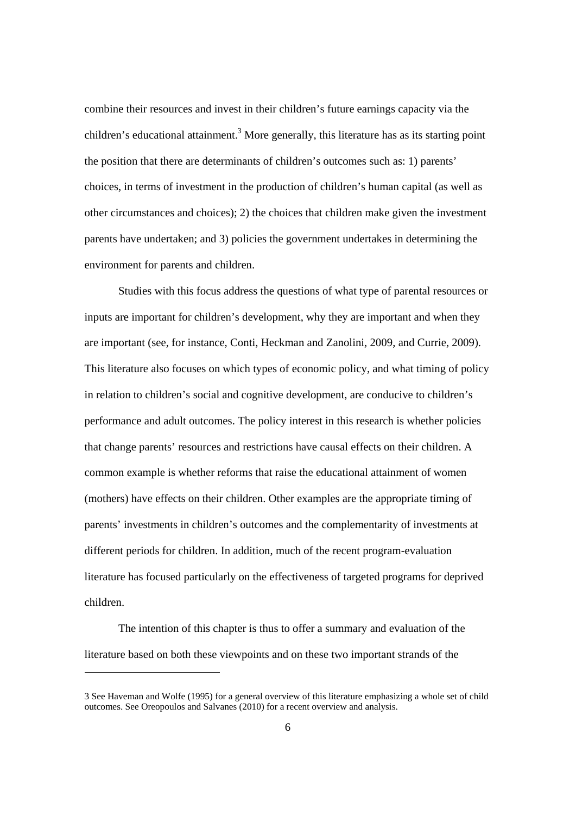combine their resources and invest in their children's future earnings capacity via the children's educational attainment.<sup>3</sup> More generally, this literature has as its starting point the position that there are determinants of children's outcomes such as: 1) parents' choices, in terms of investment in the production of children's human capital (as well as other circumstances and choices); 2) the choices that children make given the investment parents have undertaken; and 3) policies the government undertakes in determining the environment for parents and children.

Studies with this focus address the questions of what type of parental resources or inputs are important for children's development, why they are important and when they are important (see, for instance, Conti, Heckman and Zanolini, 2009, and Currie, 2009). This literature also focuses on which types of economic policy, and what timing of policy in relation to children's social and cognitive development, are conducive to children's performance and adult outcomes. The policy interest in this research is whether policies that change parents' resources and restrictions have causal effects on their children. A common example is whether reforms that raise the educational attainment of women (mothers) have effects on their children. Other examples are the appropriate timing of parents' investments in children's outcomes and the complementarity of investments at different periods for children. In addition, much of the recent program-evaluation literature has focused particularly on the effectiveness of targeted programs for deprived children.

The intention of this chapter is thus to offer a summary and evaluation of the literature based on both these viewpoints and on these two important strands of the

<sup>3</sup> See Haveman and Wolfe (1995) for a general overview of this literature emphasizing a whole set of child outcomes. See Oreopoulos and Salvanes (2010) for a recent overview and analysis.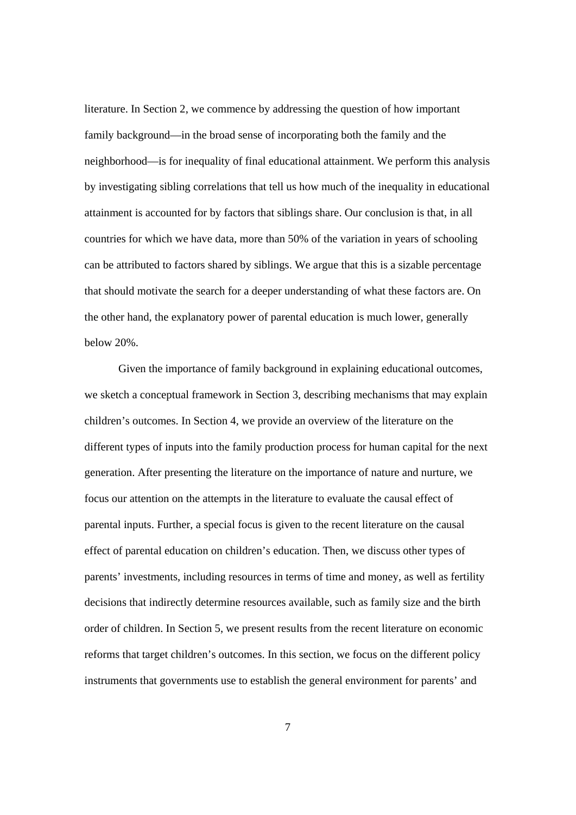literature. In Section 2, we commence by addressing the question of how important family background—in the broad sense of incorporating both the family and the neighborhood—is for inequality of final educational attainment. We perform this analysis by investigating sibling correlations that tell us how much of the inequality in educational attainment is accounted for by factors that siblings share. Our conclusion is that, in all countries for which we have data, more than 50% of the variation in years of schooling can be attributed to factors shared by siblings. We argue that this is a sizable percentage that should motivate the search for a deeper understanding of what these factors are. On the other hand, the explanatory power of parental education is much lower, generally below 20%.

Given the importance of family background in explaining educational outcomes, we sketch a conceptual framework in Section 3, describing mechanisms that may explain children's outcomes. In Section 4, we provide an overview of the literature on the different types of inputs into the family production process for human capital for the next generation. After presenting the literature on the importance of nature and nurture, we focus our attention on the attempts in the literature to evaluate the causal effect of parental inputs. Further, a special focus is given to the recent literature on the causal effect of parental education on children's education. Then, we discuss other types of parents' investments, including resources in terms of time and money, as well as fertility decisions that indirectly determine resources available, such as family size and the birth order of children. In Section 5, we present results from the recent literature on economic reforms that target children's outcomes. In this section, we focus on the different policy instruments that governments use to establish the general environment for parents' and

7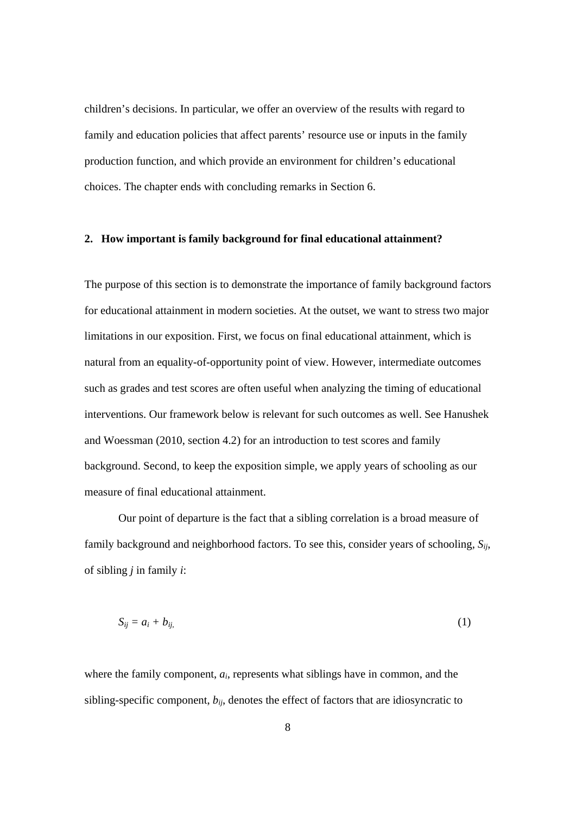children's decisions. In particular, we offer an overview of the results with regard to family and education policies that affect parents' resource use or inputs in the family production function, and which provide an environment for children's educational choices. The chapter ends with concluding remarks in Section 6.

#### **2. How important is family background for final educational attainment?**

The purpose of this section is to demonstrate the importance of family background factors for educational attainment in modern societies. At the outset, we want to stress two major limitations in our exposition. First, we focus on final educational attainment, which is natural from an equality-of-opportunity point of view. However, intermediate outcomes such as grades and test scores are often useful when analyzing the timing of educational interventions. Our framework below is relevant for such outcomes as well. See Hanushek and Woessman (2010, section 4.2) for an introduction to test scores and family background. Second, to keep the exposition simple, we apply years of schooling as our measure of final educational attainment.

Our point of departure is the fact that a sibling correlation is a broad measure of family background and neighborhood factors. To see this, consider years of schooling, *Sij*, of sibling *j* in family *i*:

$$
S_{ij} = a_i + b_{ij}, \tag{1}
$$

where the family component,  $a_i$ , represents what siblings have in common, and the sibling-specific component,  $b_{ij}$ , denotes the effect of factors that are idiosyncratic to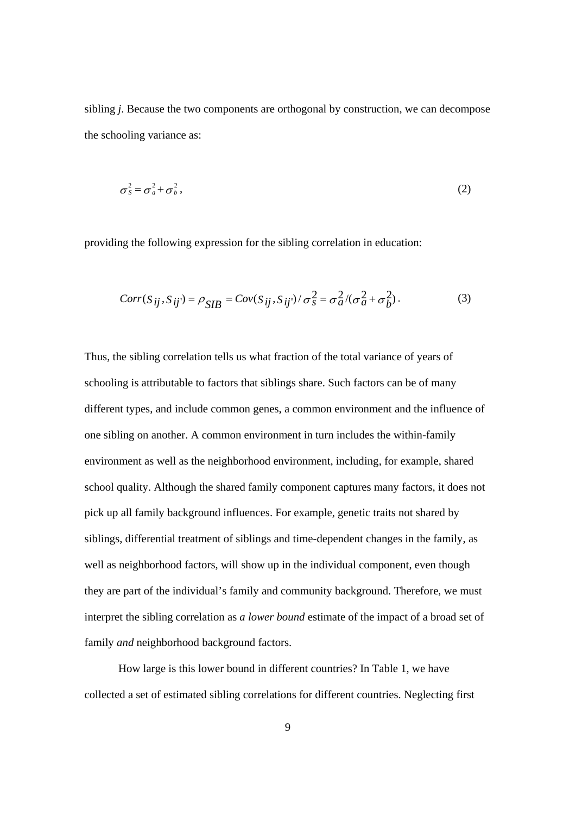sibling *j*. Because the two components are orthogonal by construction, we can decompose the schooling variance as:

$$
\sigma_s^2 = \sigma_a^2 + \sigma_b^2, \tag{2}
$$

providing the following expression for the sibling correlation in education:

$$
Corr(S_{ij}, S_{ij'}) = \rho_{SIB} = Cov(S_{ij}, S_{ij'}) / \sigma_s^2 = \sigma_a^2 / (\sigma_a^2 + \sigma_b^2). \tag{3}
$$

Thus, the sibling correlation tells us what fraction of the total variance of years of schooling is attributable to factors that siblings share. Such factors can be of many different types, and include common genes, a common environment and the influence of one sibling on another. A common environment in turn includes the within-family environment as well as the neighborhood environment, including, for example, shared school quality. Although the shared family component captures many factors, it does not pick up all family background influences. For example, genetic traits not shared by siblings, differential treatment of siblings and time-dependent changes in the family, as well as neighborhood factors, will show up in the individual component, even though they are part of the individual's family and community background. Therefore, we must interpret the sibling correlation as *a lower bound* estimate of the impact of a broad set of family *and* neighborhood background factors.

How large is this lower bound in different countries? In Table 1, we have collected a set of estimated sibling correlations for different countries. Neglecting first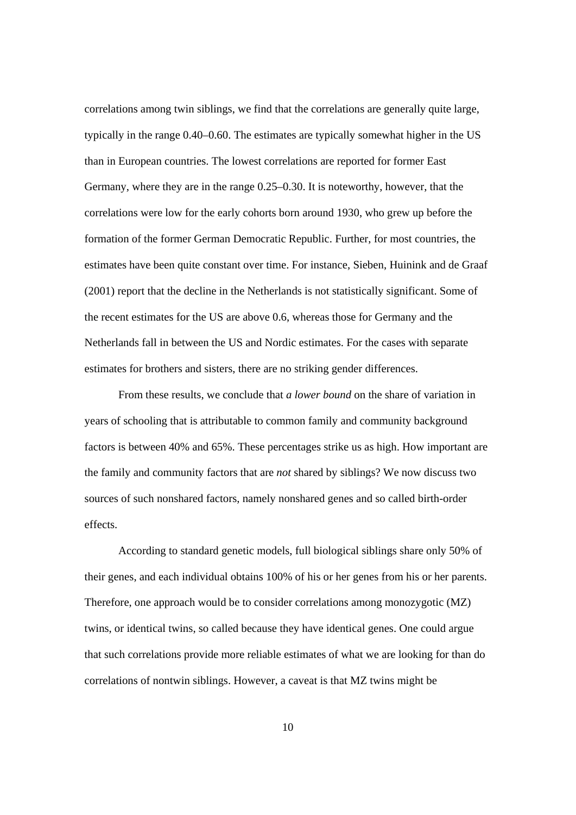correlations among twin siblings, we find that the correlations are generally quite large, typically in the range 0.40–0.60. The estimates are typically somewhat higher in the US than in European countries. The lowest correlations are reported for former East Germany, where they are in the range 0.25–0.30. It is noteworthy, however, that the correlations were low for the early cohorts born around 1930, who grew up before the formation of the former German Democratic Republic. Further, for most countries, the estimates have been quite constant over time. For instance, Sieben, Huinink and de Graaf (2001) report that the decline in the Netherlands is not statistically significant. Some of the recent estimates for the US are above 0.6, whereas those for Germany and the Netherlands fall in between the US and Nordic estimates. For the cases with separate estimates for brothers and sisters, there are no striking gender differences.

From these results, we conclude that *a lower bound* on the share of variation in years of schooling that is attributable to common family and community background factors is between 40% and 65%. These percentages strike us as high. How important are the family and community factors that are *not* shared by siblings? We now discuss two sources of such nonshared factors, namely nonshared genes and so called birth-order effects.

According to standard genetic models, full biological siblings share only 50% of their genes, and each individual obtains 100% of his or her genes from his or her parents. Therefore, one approach would be to consider correlations among monozygotic (MZ) twins, or identical twins, so called because they have identical genes. One could argue that such correlations provide more reliable estimates of what we are looking for than do correlations of nontwin siblings. However, a caveat is that MZ twins might be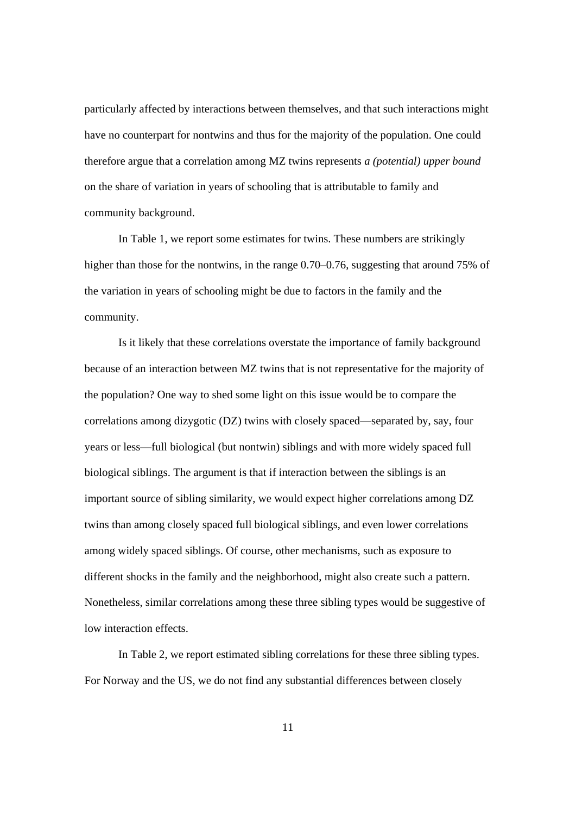particularly affected by interactions between themselves, and that such interactions might have no counterpart for nontwins and thus for the majority of the population. One could therefore argue that a correlation among MZ twins represents *a (potential) upper bound* on the share of variation in years of schooling that is attributable to family and community background.

In Table 1, we report some estimates for twins. These numbers are strikingly higher than those for the nontwins, in the range 0.70–0.76, suggesting that around 75% of the variation in years of schooling might be due to factors in the family and the community.

Is it likely that these correlations overstate the importance of family background because of an interaction between MZ twins that is not representative for the majority of the population? One way to shed some light on this issue would be to compare the correlations among dizygotic (DZ) twins with closely spaced—separated by, say, four years or less—full biological (but nontwin) siblings and with more widely spaced full biological siblings. The argument is that if interaction between the siblings is an important source of sibling similarity, we would expect higher correlations among DZ twins than among closely spaced full biological siblings, and even lower correlations among widely spaced siblings. Of course, other mechanisms, such as exposure to different shocks in the family and the neighborhood, might also create such a pattern. Nonetheless, similar correlations among these three sibling types would be suggestive of low interaction effects.

In Table 2, we report estimated sibling correlations for these three sibling types. For Norway and the US, we do not find any substantial differences between closely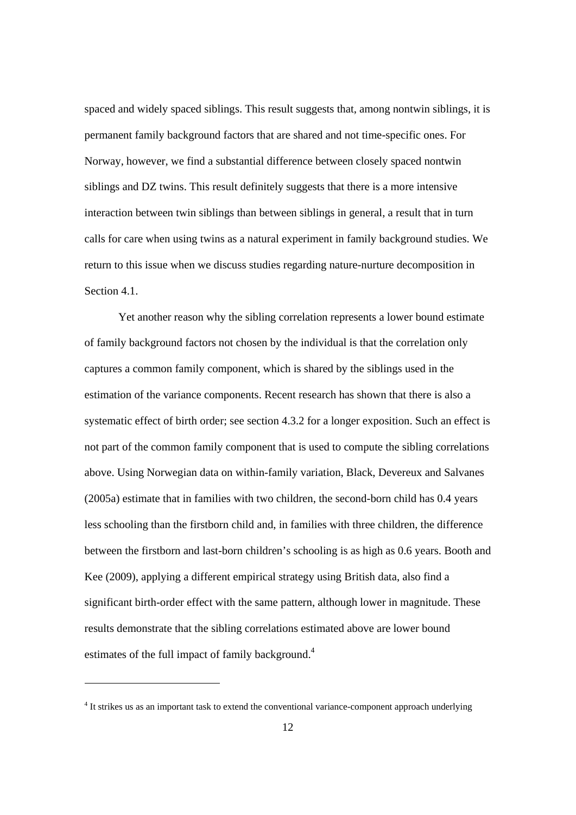spaced and widely spaced siblings. This result suggests that, among nontwin siblings, it is permanent family background factors that are shared and not time-specific ones. For Norway, however, we find a substantial difference between closely spaced nontwin siblings and DZ twins. This result definitely suggests that there is a more intensive interaction between twin siblings than between siblings in general, a result that in turn calls for care when using twins as a natural experiment in family background studies. We return to this issue when we discuss studies regarding nature-nurture decomposition in Section 4.1.

Yet another reason why the sibling correlation represents a lower bound estimate of family background factors not chosen by the individual is that the correlation only captures a common family component, which is shared by the siblings used in the estimation of the variance components. Recent research has shown that there is also a systematic effect of birth order; see section 4.3.2 for a longer exposition. Such an effect is not part of the common family component that is used to compute the sibling correlations above. Using Norwegian data on within-family variation, Black, Devereux and Salvanes (2005a) estimate that in families with two children, the second-born child has 0.4 years less schooling than the firstborn child and, in families with three children, the difference between the firstborn and last-born children's schooling is as high as 0.6 years. Booth and Kee (2009), applying a different empirical strategy using British data, also find a significant birth-order effect with the same pattern, although lower in magnitude. These results demonstrate that the sibling correlations estimated above are lower bound estimates of the full impact of family background.<sup>4</sup>

<sup>&</sup>lt;sup>4</sup> It strikes us as an important task to extend the conventional variance-component approach underlying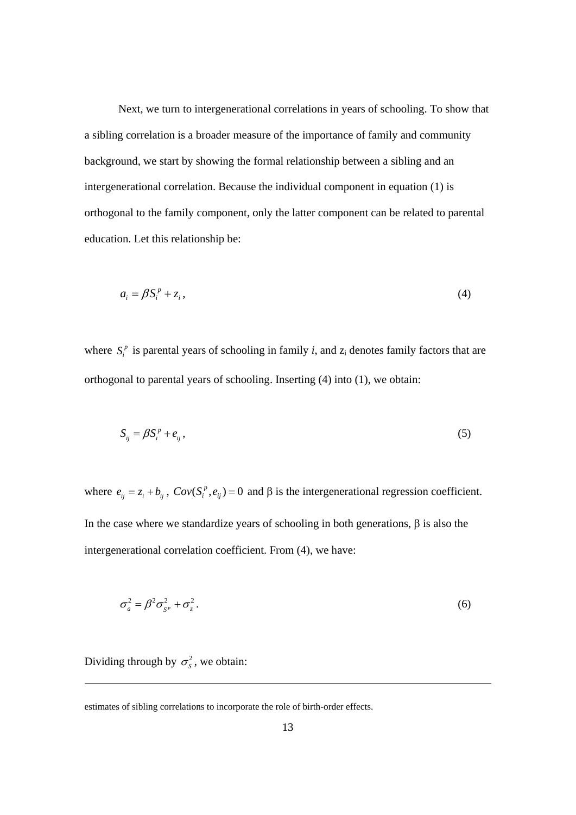Next, we turn to intergenerational correlations in years of schooling. To show that a sibling correlation is a broader measure of the importance of family and community background, we start by showing the formal relationship between a sibling and an intergenerational correlation. Because the individual component in equation (1) is orthogonal to the family component, only the latter component can be related to parental education. Let this relationship be:

$$
a_i = \beta S_i^p + z_i, \tag{4}
$$

where  $S_i^p$  is parental years of schooling in family *i*, and  $z_i$  denotes family factors that are orthogonal to parental years of schooling. Inserting (4) into (1), we obtain:

$$
S_{ij} = \beta S_i^p + e_{ij},\tag{5}
$$

where  $e_{ij} = z_i + b_{ij}$ ,  $Cov(S_i^p, e_{ij}) = 0$  and  $\beta$  is the intergenerational regression coefficient. In the case where we standardize years of schooling in both generations, β is also the intergenerational correlation coefficient. From (4), we have:

$$
\sigma_a^2 = \beta^2 \sigma_{S^p}^2 + \sigma_z^2. \tag{6}
$$

Dividing through by  $\sigma_s^2$ , we obtain:

-

estimates of sibling correlations to incorporate the role of birth-order effects.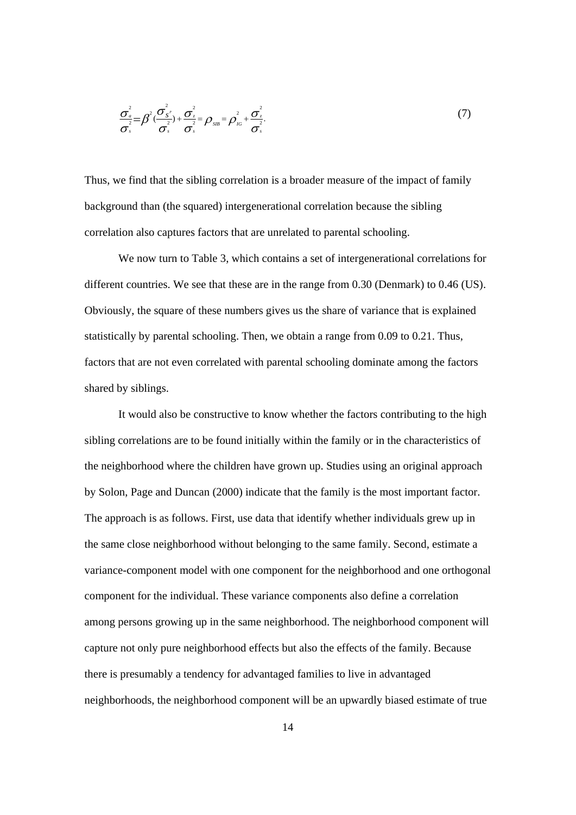$$
\frac{\sigma_a^2}{\sigma_s^2} = \beta^2 \cdot \frac{\sigma_s^2}{\sigma_s^2} + \frac{\sigma_z^2}{\sigma_s^2} = \rho_{SB} = \rho_{IG}^2 + \frac{\sigma_z^2}{\sigma_s^2}.
$$
\n(7)

Thus, we find that the sibling correlation is a broader measure of the impact of family background than (the squared) intergenerational correlation because the sibling correlation also captures factors that are unrelated to parental schooling.

We now turn to Table 3, which contains a set of intergenerational correlations for different countries. We see that these are in the range from 0.30 (Denmark) to 0.46 (US). Obviously, the square of these numbers gives us the share of variance that is explained statistically by parental schooling. Then, we obtain a range from 0.09 to 0.21. Thus, factors that are not even correlated with parental schooling dominate among the factors shared by siblings.

It would also be constructive to know whether the factors contributing to the high sibling correlations are to be found initially within the family or in the characteristics of the neighborhood where the children have grown up. Studies using an original approach by Solon, Page and Duncan (2000) indicate that the family is the most important factor. The approach is as follows. First, use data that identify whether individuals grew up in the same close neighborhood without belonging to the same family. Second, estimate a variance-component model with one component for the neighborhood and one orthogonal component for the individual. These variance components also define a correlation among persons growing up in the same neighborhood. The neighborhood component will capture not only pure neighborhood effects but also the effects of the family. Because there is presumably a tendency for advantaged families to live in advantaged neighborhoods, the neighborhood component will be an upwardly biased estimate of true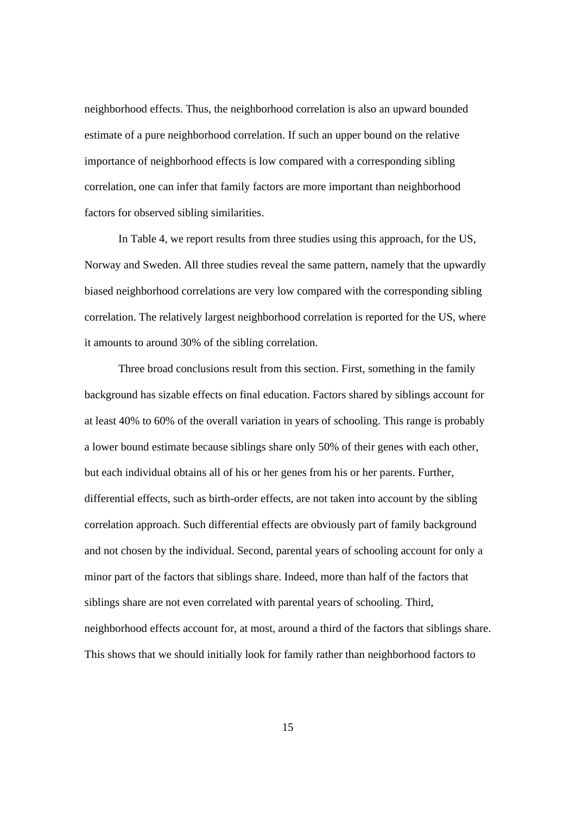neighborhood effects. Thus, the neighborhood correlation is also an upward bounded estimate of a pure neighborhood correlation. If such an upper bound on the relative importance of neighborhood effects is low compared with a corresponding sibling correlation, one can infer that family factors are more important than neighborhood factors for observed sibling similarities.

In Table 4, we report results from three studies using this approach, for the US, Norway and Sweden. All three studies reveal the same pattern, namely that the upwardly biased neighborhood correlations are very low compared with the corresponding sibling correlation. The relatively largest neighborhood correlation is reported for the US, where it amounts to around 30% of the sibling correlation.

Three broad conclusions result from this section. First, something in the family background has sizable effects on final education. Factors shared by siblings account for at least 40% to 60% of the overall variation in years of schooling. This range is probably a lower bound estimate because siblings share only 50% of their genes with each other, but each individual obtains all of his or her genes from his or her parents. Further, differential effects, such as birth-order effects, are not taken into account by the sibling correlation approach. Such differential effects are obviously part of family background and not chosen by the individual. Second, parental years of schooling account for only a minor part of the factors that siblings share. Indeed, more than half of the factors that siblings share are not even correlated with parental years of schooling. Third, neighborhood effects account for, at most, around a third of the factors that siblings share. This shows that we should initially look for family rather than neighborhood factors to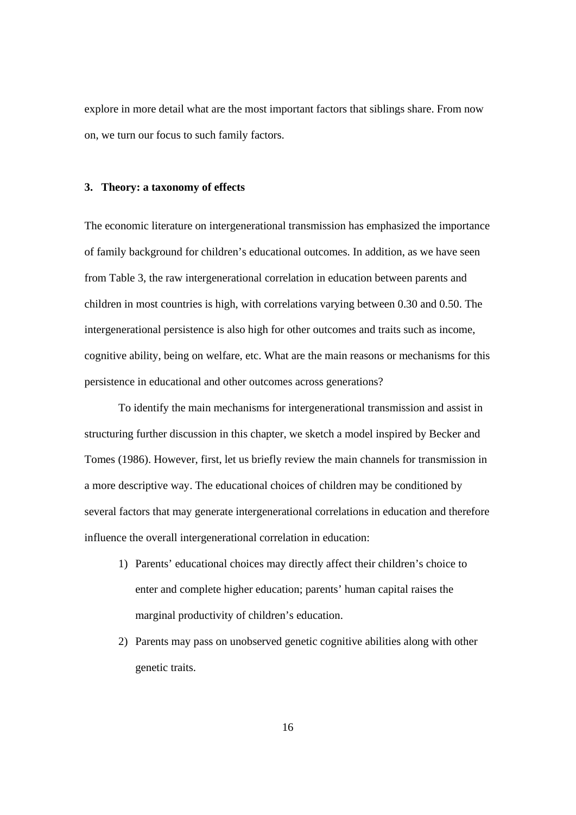explore in more detail what are the most important factors that siblings share. From now on, we turn our focus to such family factors.

#### **3. Theory: a taxonomy of effects**

The economic literature on intergenerational transmission has emphasized the importance of family background for children's educational outcomes. In addition, as we have seen from Table 3, the raw intergenerational correlation in education between parents and children in most countries is high, with correlations varying between 0.30 and 0.50. The intergenerational persistence is also high for other outcomes and traits such as income, cognitive ability, being on welfare, etc. What are the main reasons or mechanisms for this persistence in educational and other outcomes across generations?

To identify the main mechanisms for intergenerational transmission and assist in structuring further discussion in this chapter, we sketch a model inspired by Becker and Tomes (1986). However, first, let us briefly review the main channels for transmission in a more descriptive way. The educational choices of children may be conditioned by several factors that may generate intergenerational correlations in education and therefore influence the overall intergenerational correlation in education:

- 1) Parents' educational choices may directly affect their children's choice to enter and complete higher education; parents' human capital raises the marginal productivity of children's education.
- 2) Parents may pass on unobserved genetic cognitive abilities along with other genetic traits.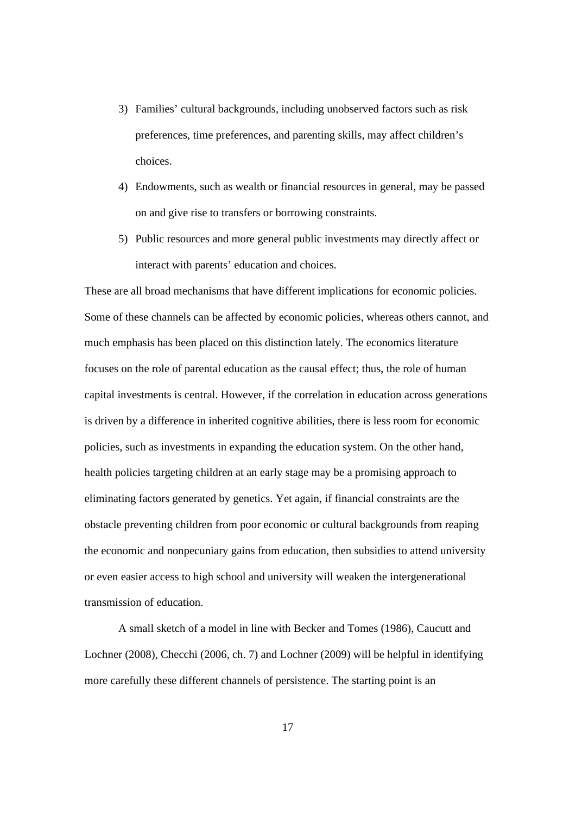- 3) Families' cultural backgrounds, including unobserved factors such as risk preferences, time preferences, and parenting skills, may affect children's choices.
- 4) Endowments, such as wealth or financial resources in general, may be passed on and give rise to transfers or borrowing constraints.
- 5) Public resources and more general public investments may directly affect or interact with parents' education and choices.

These are all broad mechanisms that have different implications for economic policies. Some of these channels can be affected by economic policies, whereas others cannot, and much emphasis has been placed on this distinction lately. The economics literature focuses on the role of parental education as the causal effect; thus, the role of human capital investments is central. However, if the correlation in education across generations is driven by a difference in inherited cognitive abilities, there is less room for economic policies, such as investments in expanding the education system. On the other hand, health policies targeting children at an early stage may be a promising approach to eliminating factors generated by genetics. Yet again, if financial constraints are the obstacle preventing children from poor economic or cultural backgrounds from reaping the economic and nonpecuniary gains from education, then subsidies to attend university or even easier access to high school and university will weaken the intergenerational transmission of education.

A small sketch of a model in line with Becker and Tomes (1986), Caucutt and Lochner (2008), Checchi (2006, ch. 7) and Lochner (2009) will be helpful in identifying more carefully these different channels of persistence. The starting point is an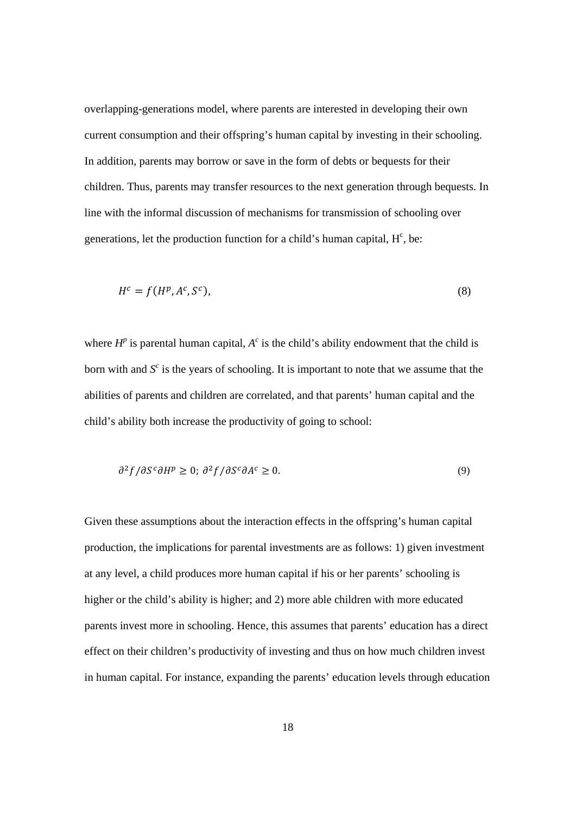overlapping-generations model, where parents are interested in developing their own current consumption and their offspring's human capital by investing in their schooling. In addition, parents may borrow or save in the form of debts or bequests for their children. Thus, parents may transfer resources to the next generation through bequests. In line with the informal discussion of mechanisms for transmission of schooling over generations, let the production function for a child's human capital,  $H^c$ , be:

$$
H^c = f(H^p, A^c, S^c),\tag{8}
$$

where  $H^p$  is parental human capital,  $A^c$  is the child's ability endowment that the child is born with and  $S^c$  is the years of schooling. It is important to note that we assume that the abilities of parents and children are correlated, and that parents' human capital and the child's ability both increase the productivity of going to school:

$$
\frac{\partial^2 f}{\partial S^c \partial H^p} \ge 0; \frac{\partial^2 f}{\partial S^c \partial A^c} \ge 0. \tag{9}
$$

Given these assumptions about the interaction effects in the offspring's human capital production, the implications for parental investments are as follows: 1) given investment at any level, a child produces more human capital if his or her parents' schooling is higher or the child's ability is higher; and 2) more able children with more educated parents invest more in schooling. Hence, this assumes that parents' education has a direct effect on their children's productivity of investing and thus on how much children invest in human capital. For instance, expanding the parents' education levels through education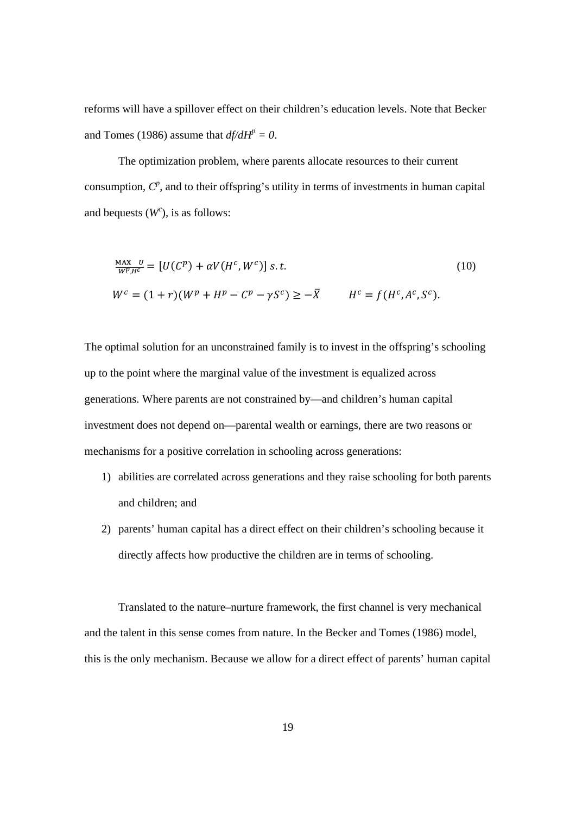reforms will have a spillover effect on their children's education levels. Note that Becker and Tomes (1986) assume that  $df/dH^p = 0$ .

The optimization problem, where parents allocate resources to their current consumption,  $C^p$ , and to their offspring's utility in terms of investments in human capital and bequests  $(W^c)$ , is as follows:

$$
\frac{\text{MAX}}{\text{WP}, \text{H}^c} = [U(C^p) + \alpha V(H^c, W^c)] \text{ s. t.}
$$
\n
$$
(10)
$$
\n
$$
W^c = (1+r)(W^p + H^p - C^p - \gamma S^c) \ge -\bar{X}
$$
\n
$$
H^c = f(H^c, A^c, S^c).
$$

The optimal solution for an unconstrained family is to invest in the offspring's schooling up to the point where the marginal value of the investment is equalized across generations. Where parents are not constrained by—and children's human capital investment does not depend on—parental wealth or earnings, there are two reasons or mechanisms for a positive correlation in schooling across generations:

- 1) abilities are correlated across generations and they raise schooling for both parents and children; and
- 2) parents' human capital has a direct effect on their children's schooling because it directly affects how productive the children are in terms of schooling.

Translated to the nature–nurture framework, the first channel is very mechanical and the talent in this sense comes from nature. In the Becker and Tomes (1986) model, this is the only mechanism. Because we allow for a direct effect of parents' human capital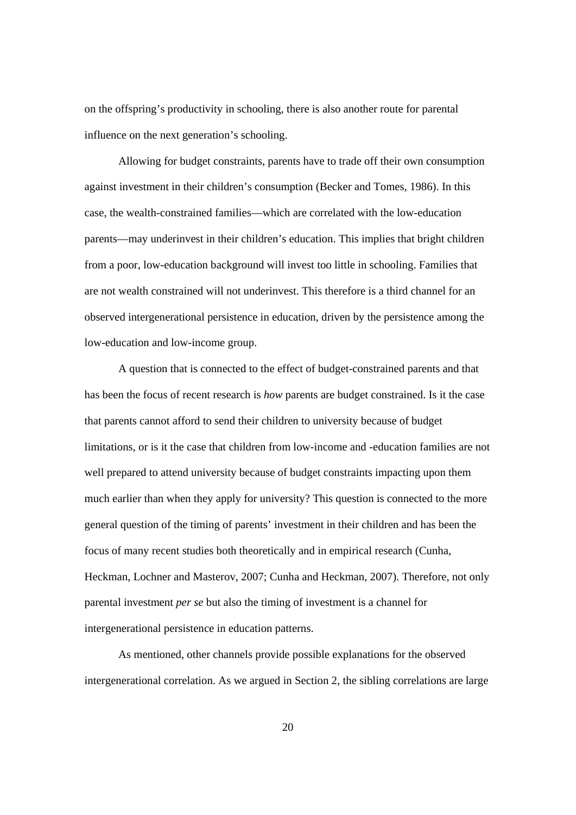on the offspring's productivity in schooling, there is also another route for parental influence on the next generation's schooling.

Allowing for budget constraints, parents have to trade off their own consumption against investment in their children's consumption (Becker and Tomes, 1986). In this case, the wealth-constrained families—which are correlated with the low-education parents—may underinvest in their children's education. This implies that bright children from a poor, low-education background will invest too little in schooling. Families that are not wealth constrained will not underinvest. This therefore is a third channel for an observed intergenerational persistence in education, driven by the persistence among the low-education and low-income group.

A question that is connected to the effect of budget-constrained parents and that has been the focus of recent research is *how* parents are budget constrained. Is it the case that parents cannot afford to send their children to university because of budget limitations, or is it the case that children from low-income and -education families are not well prepared to attend university because of budget constraints impacting upon them much earlier than when they apply for university? This question is connected to the more general question of the timing of parents' investment in their children and has been the focus of many recent studies both theoretically and in empirical research (Cunha, Heckman, Lochner and Masterov, 2007; Cunha and Heckman, 2007). Therefore, not only parental investment *per se* but also the timing of investment is a channel for intergenerational persistence in education patterns.

As mentioned, other channels provide possible explanations for the observed intergenerational correlation. As we argued in Section 2, the sibling correlations are large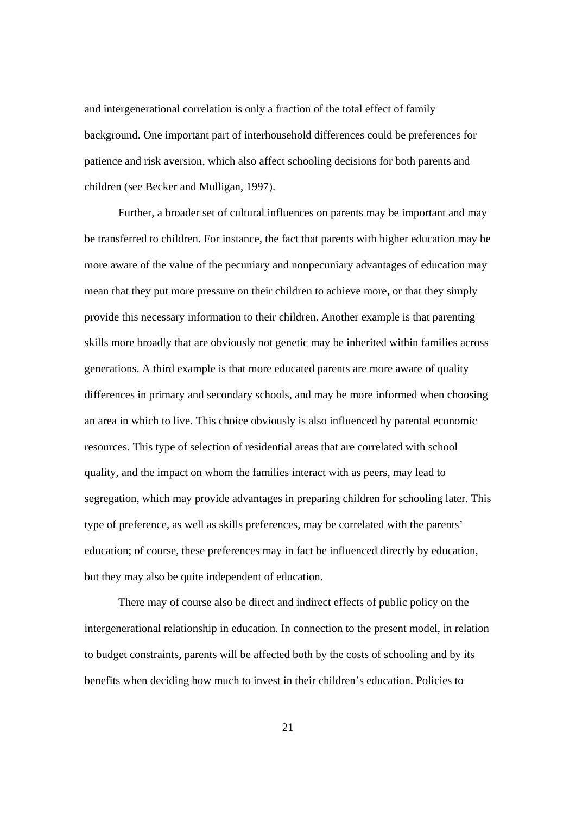and intergenerational correlation is only a fraction of the total effect of family background. One important part of interhousehold differences could be preferences for patience and risk aversion, which also affect schooling decisions for both parents and children (see Becker and Mulligan, 1997).

Further, a broader set of cultural influences on parents may be important and may be transferred to children. For instance, the fact that parents with higher education may be more aware of the value of the pecuniary and nonpecuniary advantages of education may mean that they put more pressure on their children to achieve more, or that they simply provide this necessary information to their children. Another example is that parenting skills more broadly that are obviously not genetic may be inherited within families across generations. A third example is that more educated parents are more aware of quality differences in primary and secondary schools, and may be more informed when choosing an area in which to live. This choice obviously is also influenced by parental economic resources. This type of selection of residential areas that are correlated with school quality, and the impact on whom the families interact with as peers, may lead to segregation, which may provide advantages in preparing children for schooling later. This type of preference, as well as skills preferences, may be correlated with the parents' education; of course, these preferences may in fact be influenced directly by education, but they may also be quite independent of education.

There may of course also be direct and indirect effects of public policy on the intergenerational relationship in education. In connection to the present model, in relation to budget constraints, parents will be affected both by the costs of schooling and by its benefits when deciding how much to invest in their children's education. Policies to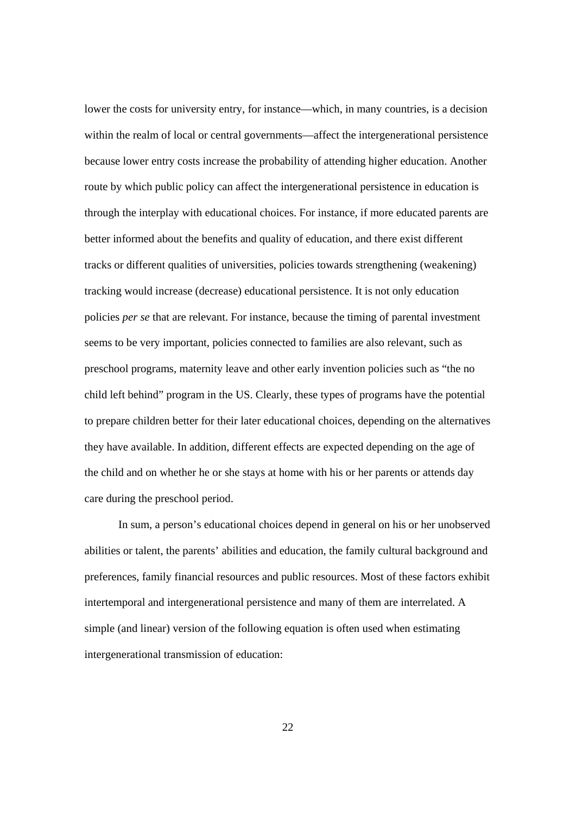lower the costs for university entry, for instance—which, in many countries, is a decision within the realm of local or central governments—affect the intergenerational persistence because lower entry costs increase the probability of attending higher education. Another route by which public policy can affect the intergenerational persistence in education is through the interplay with educational choices. For instance, if more educated parents are better informed about the benefits and quality of education, and there exist different tracks or different qualities of universities, policies towards strengthening (weakening) tracking would increase (decrease) educational persistence. It is not only education policies *per se* that are relevant. For instance, because the timing of parental investment seems to be very important, policies connected to families are also relevant, such as preschool programs, maternity leave and other early invention policies such as "the no child left behind" program in the US. Clearly, these types of programs have the potential to prepare children better for their later educational choices, depending on the alternatives they have available. In addition, different effects are expected depending on the age of the child and on whether he or she stays at home with his or her parents or attends day care during the preschool period.

In sum, a person's educational choices depend in general on his or her unobserved abilities or talent, the parents' abilities and education, the family cultural background and preferences, family financial resources and public resources. Most of these factors exhibit intertemporal and intergenerational persistence and many of them are interrelated. A simple (and linear) version of the following equation is often used when estimating intergenerational transmission of education: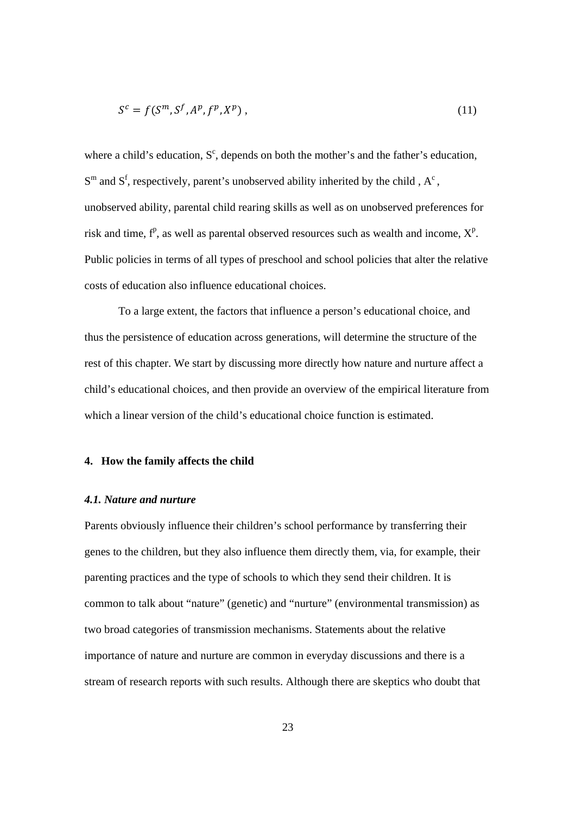$$
S^c = f(S^m, S^f, A^p, f^p, X^p), \qquad (11)
$$

where a child's education,  $S<sup>c</sup>$ , depends on both the mother's and the father's education,  $S<sup>m</sup>$  and  $S<sup>f</sup>$ , respectively, parent's unobserved ability inherited by the child,  $A<sup>c</sup>$ , unobserved ability, parental child rearing skills as well as on unobserved preferences for risk and time,  $f^p$ , as well as parental observed resources such as wealth and income,  $X^p$ . Public policies in terms of all types of preschool and school policies that alter the relative costs of education also influence educational choices.

To a large extent, the factors that influence a person's educational choice, and thus the persistence of education across generations, will determine the structure of the rest of this chapter. We start by discussing more directly how nature and nurture affect a child's educational choices, and then provide an overview of the empirical literature from which a linear version of the child's educational choice function is estimated.

#### **4. How the family affects the child**

#### *4.1. Nature and nurture*

Parents obviously influence their children's school performance by transferring their genes to the children, but they also influence them directly them, via, for example, their parenting practices and the type of schools to which they send their children. It is common to talk about "nature" (genetic) and "nurture" (environmental transmission) as two broad categories of transmission mechanisms. Statements about the relative importance of nature and nurture are common in everyday discussions and there is a stream of research reports with such results. Although there are skeptics who doubt that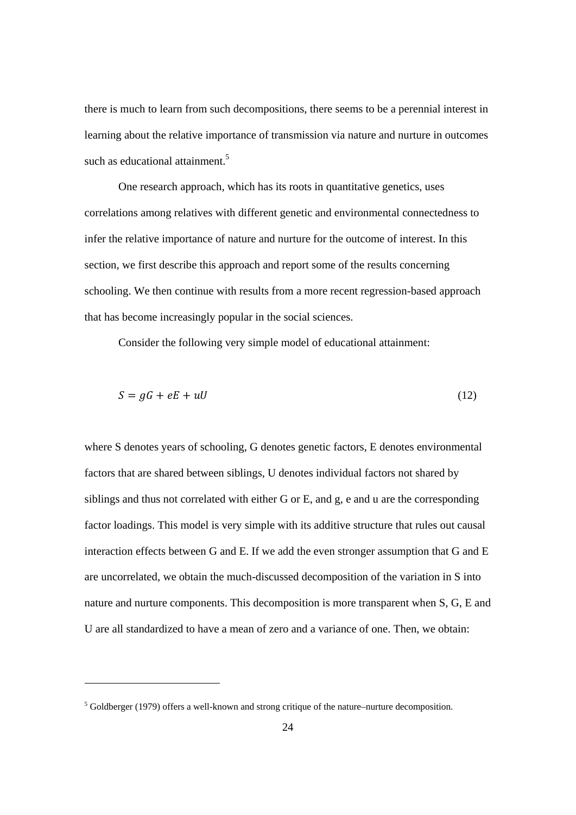there is much to learn from such decompositions, there seems to be a perennial interest in learning about the relative importance of transmission via nature and nurture in outcomes such as educational attainment.<sup>5</sup>

One research approach, which has its roots in quantitative genetics, uses correlations among relatives with different genetic and environmental connectedness to infer the relative importance of nature and nurture for the outcome of interest. In this section, we first describe this approach and report some of the results concerning schooling. We then continue with results from a more recent regression-based approach that has become increasingly popular in the social sciences.

Consider the following very simple model of educational attainment:

$$
S = gG + eE + uU \tag{12}
$$

where S denotes years of schooling, G denotes genetic factors, E denotes environmental factors that are shared between siblings, U denotes individual factors not shared by siblings and thus not correlated with either G or E, and g, e and u are the corresponding factor loadings. This model is very simple with its additive structure that rules out causal interaction effects between G and E. If we add the even stronger assumption that G and E are uncorrelated, we obtain the much-discussed decomposition of the variation in S into nature and nurture components. This decomposition is more transparent when S, G, E and U are all standardized to have a mean of zero and a variance of one. Then, we obtain:

 $<sup>5</sup>$  Goldberger (1979) offers a well-known and strong critique of the nature–nurture decomposition.</sup>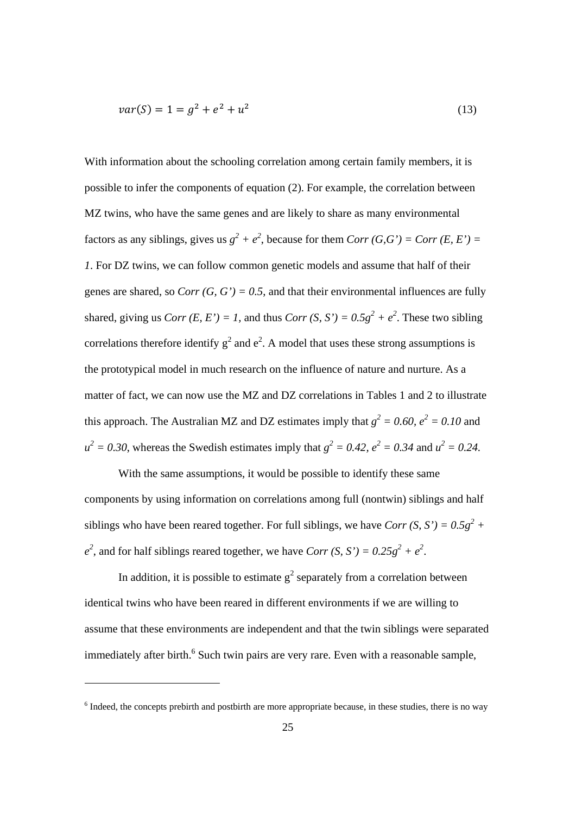$$
var(S) = 1 = g^2 + e^2 + u^2 \tag{13}
$$

With information about the schooling correlation among certain family members, it is possible to infer the components of equation (2). For example, the correlation between MZ twins, who have the same genes and are likely to share as many environmental factors as any siblings, gives us  $g^2 + e^2$ , because for them *Corr* (*G,G'*) = *Corr* (*E, E'*) = *1*. For DZ twins, we can follow common genetic models and assume that half of their genes are shared, so *Corr*  $(G, G') = 0.5$ , and that their environmental influences are fully shared, giving us *Corr* (*E, E')* = 1, and thus *Corr* (*S, S')* =  $0.5g^2 + e^2$ . These two sibling correlations therefore identify  $g^2$  and  $e^2$ . A model that uses these strong assumptions is the prototypical model in much research on the influence of nature and nurture. As a matter of fact, we can now use the MZ and DZ correlations in Tables 1 and 2 to illustrate this approach. The Australian MZ and DZ estimates imply that  $g^2 = 0.60$ ,  $e^2 = 0.10$  and  $u^2 = 0.30$ , whereas the Swedish estimates imply that  $g^2 = 0.42$ ,  $e^2 = 0.34$  and  $u^2 = 0.24$ .

With the same assumptions, it would be possible to identify these same components by using information on correlations among full (nontwin) siblings and half siblings who have been reared together. For full siblings, we have *Corr* (*S*, *S*') =  $0.5g<sup>2</sup>$  +  $e^2$ , and for half siblings reared together, we have *Corr (S, S')* =  $0.25g^2 + e^2$ .

In addition, it is possible to estimate  $g^2$  separately from a correlation between identical twins who have been reared in different environments if we are willing to assume that these environments are independent and that the twin siblings were separated immediately after birth.<sup>6</sup> Such twin pairs are very rare. Even with a reasonable sample,

 $<sup>6</sup>$  Indeed, the concepts prebirth and postbirth are more appropriate because, in these studies, there is no way</sup>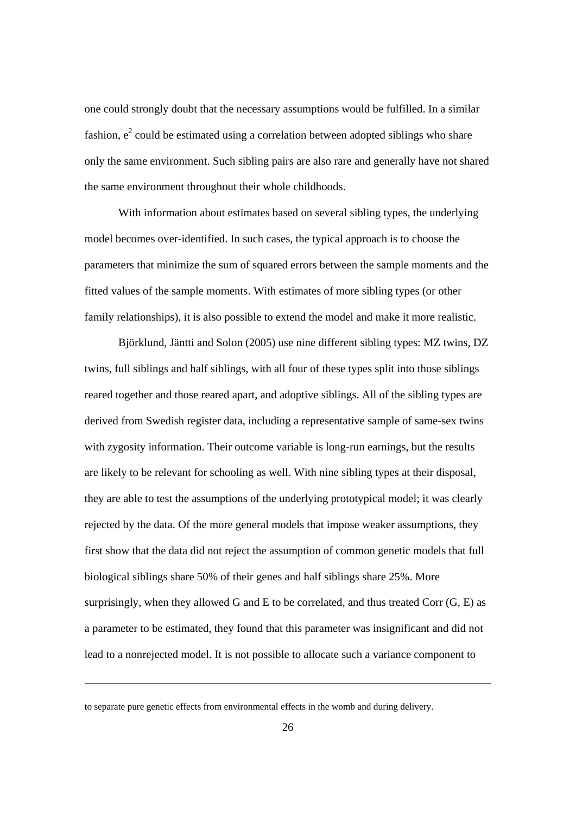one could strongly doubt that the necessary assumptions would be fulfilled. In a similar fashion,  $e^2$  could be estimated using a correlation between adopted siblings who share only the same environment. Such sibling pairs are also rare and generally have not shared the same environment throughout their whole childhoods.

With information about estimates based on several sibling types, the underlying model becomes over-identified. In such cases, the typical approach is to choose the parameters that minimize the sum of squared errors between the sample moments and the fitted values of the sample moments. With estimates of more sibling types (or other family relationships), it is also possible to extend the model and make it more realistic.

Björklund, Jäntti and Solon (2005) use nine different sibling types: MZ twins, DZ twins, full siblings and half siblings, with all four of these types split into those siblings reared together and those reared apart, and adoptive siblings. All of the sibling types are derived from Swedish register data, including a representative sample of same-sex twins with zygosity information. Their outcome variable is long-run earnings, but the results are likely to be relevant for schooling as well. With nine sibling types at their disposal, they are able to test the assumptions of the underlying prototypical model; it was clearly rejected by the data. Of the more general models that impose weaker assumptions, they first show that the data did not reject the assumption of common genetic models that full biological siblings share 50% of their genes and half siblings share 25%. More surprisingly, when they allowed G and E to be correlated, and thus treated Corr  $(G, E)$  as a parameter to be estimated, they found that this parameter was insignificant and did not lead to a nonrejected model. It is not possible to allocate such a variance component to

to separate pure genetic effects from environmental effects in the womb and during delivery.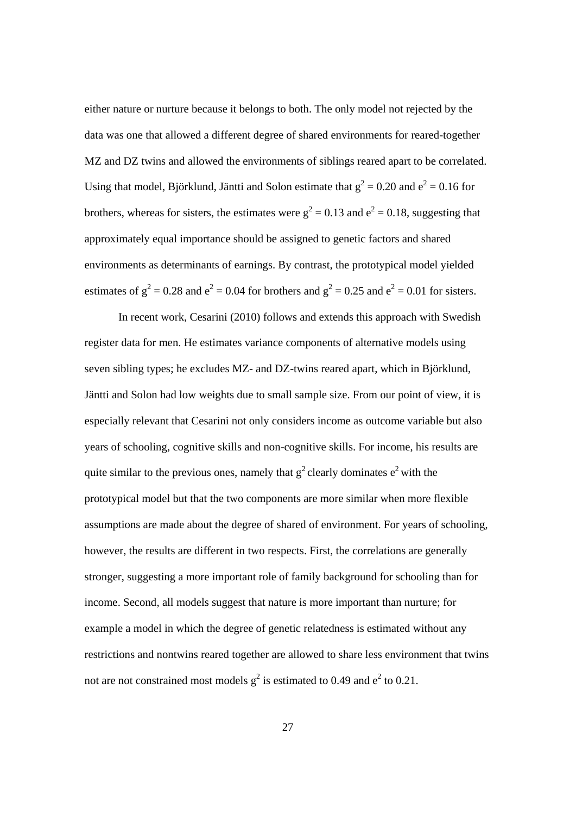either nature or nurture because it belongs to both. The only model not rejected by the data was one that allowed a different degree of shared environments for reared-together MZ and DZ twins and allowed the environments of siblings reared apart to be correlated. Using that model, Björklund, Jäntti and Solon estimate that  $g^2 = 0.20$  and  $e^2 = 0.16$  for brothers, whereas for sisters, the estimates were  $g^2 = 0.13$  and  $e^2 = 0.18$ , suggesting that approximately equal importance should be assigned to genetic factors and shared environments as determinants of earnings. By contrast, the prototypical model yielded estimates of  $g^2 = 0.28$  and  $e^2 = 0.04$  for brothers and  $g^2 = 0.25$  and  $e^2 = 0.01$  for sisters.

In recent work, Cesarini (2010) follows and extends this approach with Swedish register data for men. He estimates variance components of alternative models using seven sibling types; he excludes MZ- and DZ-twins reared apart, which in Björklund, Jäntti and Solon had low weights due to small sample size. From our point of view, it is especially relevant that Cesarini not only considers income as outcome variable but also years of schooling, cognitive skills and non-cognitive skills. For income, his results are quite similar to the previous ones, namely that  $g^2$  clearly dominates  $e^2$  with the prototypical model but that the two components are more similar when more flexible assumptions are made about the degree of shared of environment. For years of schooling, however, the results are different in two respects. First, the correlations are generally stronger, suggesting a more important role of family background for schooling than for income. Second, all models suggest that nature is more important than nurture; for example a model in which the degree of genetic relatedness is estimated without any restrictions and nontwins reared together are allowed to share less environment that twins not are not constrained most models  $g^2$  is estimated to 0.49 and  $e^2$  to 0.21.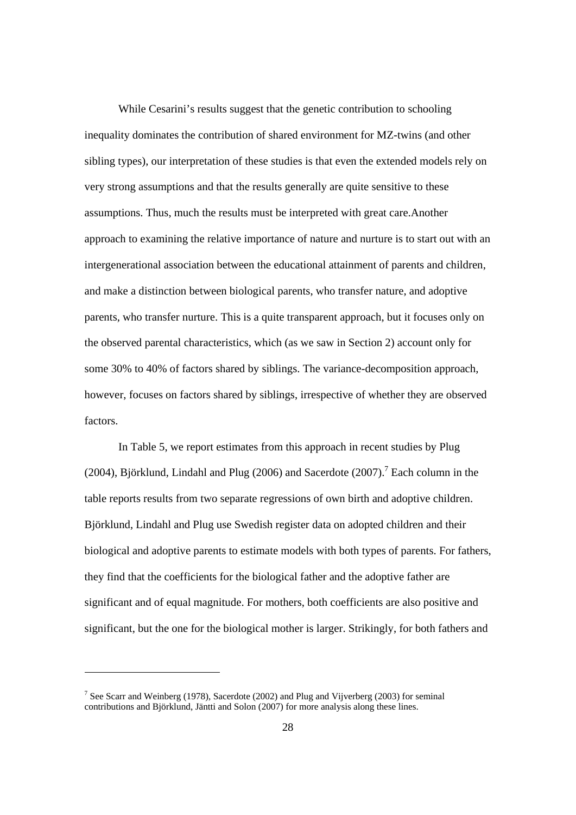While Cesarini's results suggest that the genetic contribution to schooling inequality dominates the contribution of shared environment for MZ-twins (and other sibling types), our interpretation of these studies is that even the extended models rely on very strong assumptions and that the results generally are quite sensitive to these assumptions. Thus, much the results must be interpreted with great care.Another approach to examining the relative importance of nature and nurture is to start out with an intergenerational association between the educational attainment of parents and children, and make a distinction between biological parents, who transfer nature, and adoptive parents, who transfer nurture. This is a quite transparent approach, but it focuses only on the observed parental characteristics, which (as we saw in Section 2) account only for some 30% to 40% of factors shared by siblings. The variance-decomposition approach, however, focuses on factors shared by siblings, irrespective of whether they are observed factors.

In Table 5, we report estimates from this approach in recent studies by Plug (2004), Björklund, Lindahl and Plug (2006) and Sacerdote (2007).<sup>7</sup> Each column in the table reports results from two separate regressions of own birth and adoptive children. Björklund, Lindahl and Plug use Swedish register data on adopted children and their biological and adoptive parents to estimate models with both types of parents. For fathers, they find that the coefficients for the biological father and the adoptive father are significant and of equal magnitude. For mothers, both coefficients are also positive and significant, but the one for the biological mother is larger. Strikingly, for both fathers and

<sup>&</sup>lt;sup>7</sup> See Scarr and Weinberg (1978), Sacerdote (2002) and Plug and Vijverberg (2003) for seminal contributions and Björklund, Jäntti and Solon (2007) for more analysis along these lines.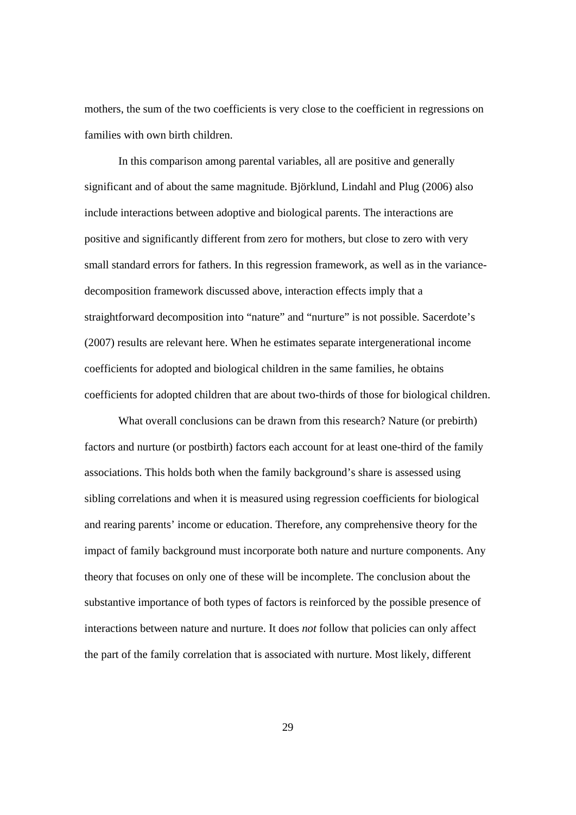mothers, the sum of the two coefficients is very close to the coefficient in regressions on families with own birth children.

In this comparison among parental variables, all are positive and generally significant and of about the same magnitude. Björklund, Lindahl and Plug (2006) also include interactions between adoptive and biological parents. The interactions are positive and significantly different from zero for mothers, but close to zero with very small standard errors for fathers. In this regression framework, as well as in the variancedecomposition framework discussed above, interaction effects imply that a straightforward decomposition into "nature" and "nurture" is not possible. Sacerdote's (2007) results are relevant here. When he estimates separate intergenerational income coefficients for adopted and biological children in the same families, he obtains coefficients for adopted children that are about two-thirds of those for biological children.

What overall conclusions can be drawn from this research? Nature (or prebirth) factors and nurture (or postbirth) factors each account for at least one-third of the family associations. This holds both when the family background's share is assessed using sibling correlations and when it is measured using regression coefficients for biological and rearing parents' income or education. Therefore, any comprehensive theory for the impact of family background must incorporate both nature and nurture components. Any theory that focuses on only one of these will be incomplete. The conclusion about the substantive importance of both types of factors is reinforced by the possible presence of interactions between nature and nurture. It does *not* follow that policies can only affect the part of the family correlation that is associated with nurture. Most likely, different

29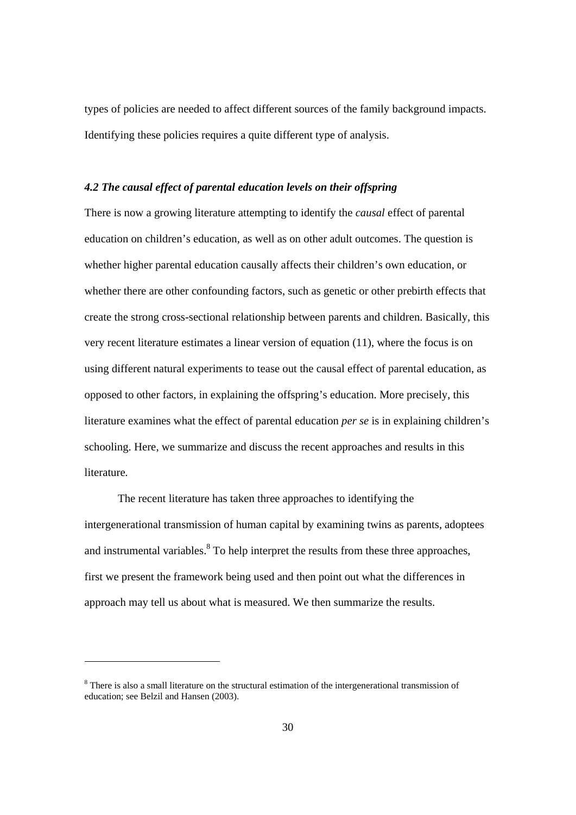types of policies are needed to affect different sources of the family background impacts. Identifying these policies requires a quite different type of analysis.

#### *4.2 The causal effect of parental education levels on their offspring*

There is now a growing literature attempting to identify the *causal* effect of parental education on children's education, as well as on other adult outcomes. The question is whether higher parental education causally affects their children's own education, or whether there are other confounding factors, such as genetic or other prebirth effects that create the strong cross-sectional relationship between parents and children. Basically, this very recent literature estimates a linear version of equation (11), where the focus is on using different natural experiments to tease out the causal effect of parental education, as opposed to other factors, in explaining the offspring's education. More precisely, this literature examines what the effect of parental education *per se* is in explaining children's schooling. Here, we summarize and discuss the recent approaches and results in this literature*.*

The recent literature has taken three approaches to identifying the intergenerational transmission of human capital by examining twins as parents, adoptees and instrumental variables. $8^{\circ}$  To help interpret the results from these three approaches, first we present the framework being used and then point out what the differences in approach may tell us about what is measured. We then summarize the results.

<sup>&</sup>lt;sup>8</sup> There is also a small literature on the structural estimation of the intergenerational transmission of education; see Belzil and Hansen (2003).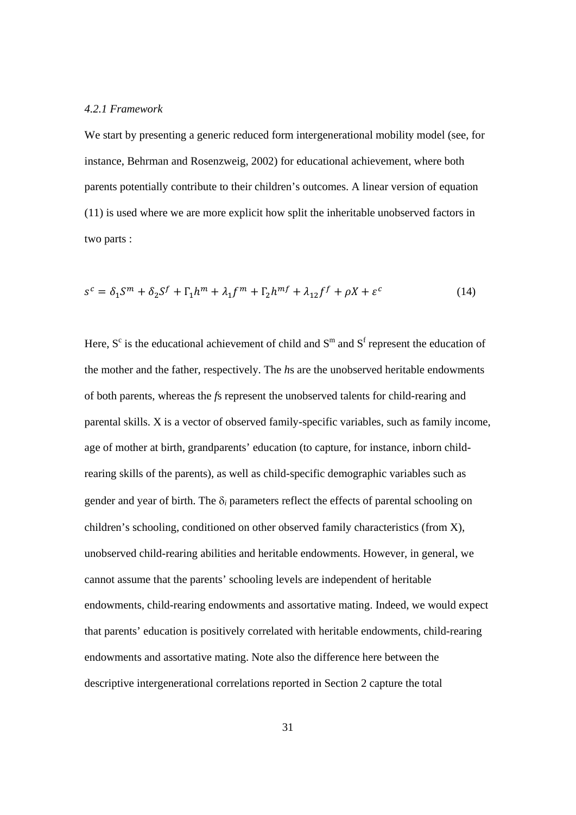#### *4.2.1 Framework*

We start by presenting a generic reduced form intergenerational mobility model (see, for instance, Behrman and Rosenzweig, 2002) for educational achievement, where both parents potentially contribute to their children's outcomes. A linear version of equation (11) is used where we are more explicit how split the inheritable unobserved factors in two parts :

$$
s^c = \delta_1 S^m + \delta_2 S^f + \Gamma_1 h^m + \lambda_1 f^m + \Gamma_2 h^{mf} + \lambda_{12} f^f + \rho X + \varepsilon^c \tag{14}
$$

Here,  $S^c$  is the educational achievement of child and  $S^m$  and  $S^f$  represent the education of the mother and the father, respectively. The *h*s are the unobserved heritable endowments of both parents, whereas the *f*s represent the unobserved talents for child-rearing and parental skills. X is a vector of observed family-specific variables, such as family income, age of mother at birth, grandparents' education (to capture, for instance, inborn childrearing skills of the parents), as well as child-specific demographic variables such as gender and year of birth. The  $\delta_i$  parameters reflect the effects of parental schooling on children's schooling, conditioned on other observed family characteristics (from X), unobserved child-rearing abilities and heritable endowments. However, in general, we cannot assume that the parents' schooling levels are independent of heritable endowments, child-rearing endowments and assortative mating. Indeed, we would expect that parents' education is positively correlated with heritable endowments, child-rearing endowments and assortative mating. Note also the difference here between the descriptive intergenerational correlations reported in Section 2 capture the total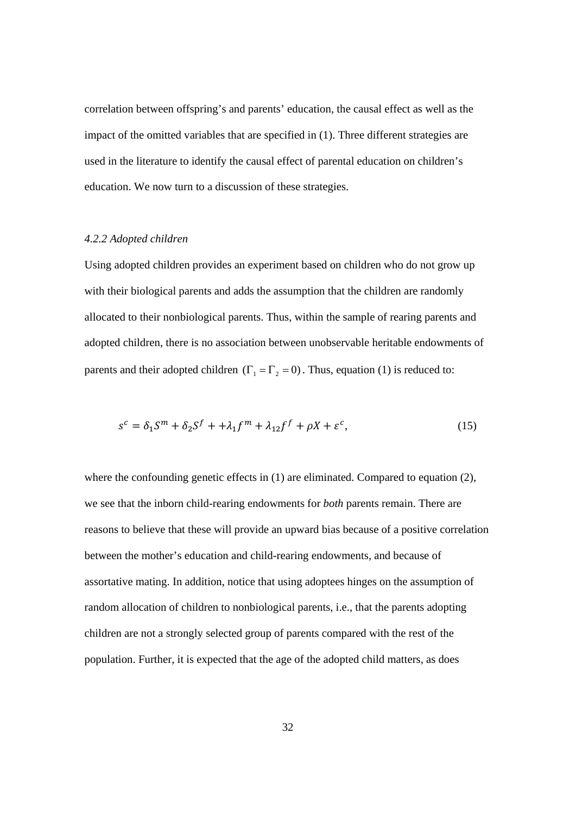correlation between offspring's and parents' education, the causal effect as well as the impact of the omitted variables that are specified in (1). Three different strategies are used in the literature to identify the causal effect of parental education on children's education. We now turn to a discussion of these strategies.

#### *4.2.2 Adopted children*

Using adopted children provides an experiment based on children who do not grow up with their biological parents and adds the assumption that the children are randomly allocated to their nonbiological parents. Thus, within the sample of rearing parents and adopted children, there is no association between unobservable heritable endowments of parents and their adopted children  $(\Gamma_1 = \Gamma_2 = 0)$ . Thus, equation (1) is reduced to:

$$
s^c = \delta_1 S^m + \delta_2 S^f + \lambda_1 f^m + \lambda_{12} f^f + \rho X + \varepsilon^c,
$$
\n(15)

where the confounding genetic effects in (1) are eliminated. Compared to equation (2), we see that the inborn child-rearing endowments for *both* parents remain. There are reasons to believe that these will provide an upward bias because of a positive correlation between the mother's education and child-rearing endowments, and because of assortative mating. In addition, notice that using adoptees hinges on the assumption of random allocation of children to nonbiological parents, i.e., that the parents adopting children are not a strongly selected group of parents compared with the rest of the population. Further, it is expected that the age of the adopted child matters, as does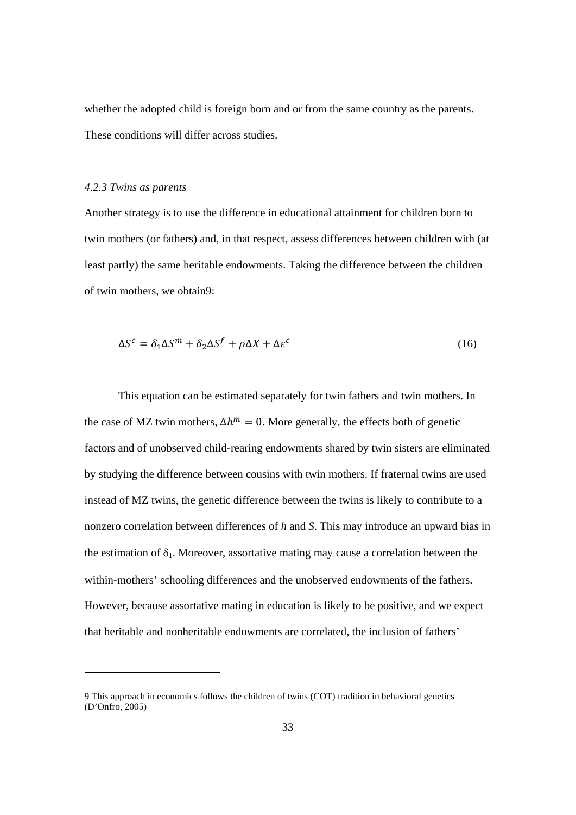whether the adopted child is foreign born and or from the same country as the parents. These conditions will differ across studies.

#### *4.2.3 Twins as parents*

-

Another strategy is to use the difference in educational attainment for children born to twin mothers (or fathers) and, in that respect, assess differences between children with (at least partly) the same heritable endowments. Taking the difference between the children of twin mothers, we obtain9:

$$
\Delta S^c = \delta_1 \Delta S^m + \delta_2 \Delta S^f + \rho \Delta X + \Delta \varepsilon^c \tag{16}
$$

This equation can be estimated separately for twin fathers and twin mothers. In the case of MZ twin mothers,  $\Delta h^m = 0$ . More generally, the effects both of genetic factors and of unobserved child-rearing endowments shared by twin sisters are eliminated by studying the difference between cousins with twin mothers. If fraternal twins are used instead of MZ twins, the genetic difference between the twins is likely to contribute to a nonzero correlation between differences of *h* and *S*. This may introduce an upward bias in the estimation of  $\delta_1$ . Moreover, assortative mating may cause a correlation between the within-mothers' schooling differences and the unobserved endowments of the fathers. However, because assortative mating in education is likely to be positive, and we expect that heritable and nonheritable endowments are correlated, the inclusion of fathers'

<sup>9</sup> This approach in economics follows the children of twins (COT) tradition in behavioral genetics (D'Onfro, 2005)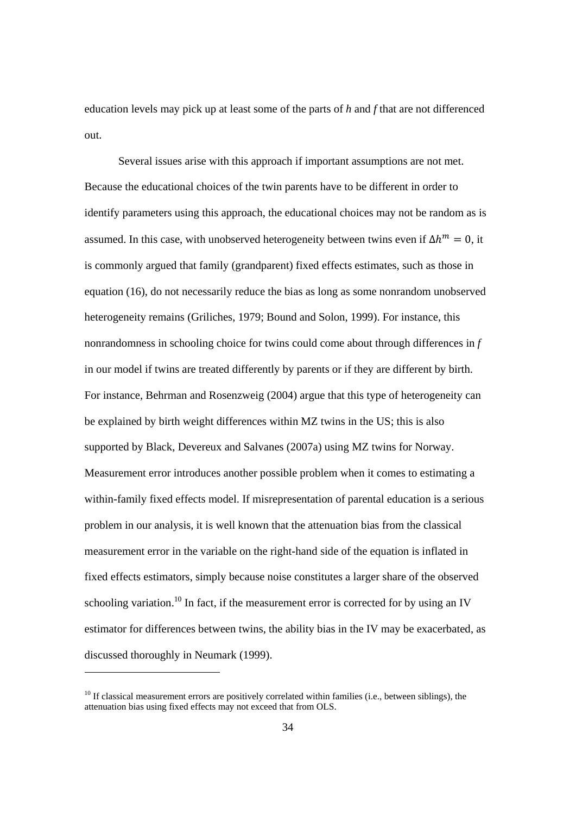education levels may pick up at least some of the parts of *h* and *f* that are not differenced out.

Several issues arise with this approach if important assumptions are not met. Because the educational choices of the twin parents have to be different in order to identify parameters using this approach, the educational choices may not be random as is assumed. In this case, with unobserved heterogeneity between twins even if  $\Delta h^m = 0$ , it is commonly argued that family (grandparent) fixed effects estimates, such as those in equation (16), do not necessarily reduce the bias as long as some nonrandom unobserved heterogeneity remains (Griliches, 1979; Bound and Solon, 1999). For instance, this nonrandomness in schooling choice for twins could come about through differences in *f* in our model if twins are treated differently by parents or if they are different by birth. For instance, Behrman and Rosenzweig (2004) argue that this type of heterogeneity can be explained by birth weight differences within MZ twins in the US; this is also supported by Black, Devereux and Salvanes (2007a) using MZ twins for Norway. Measurement error introduces another possible problem when it comes to estimating a within-family fixed effects model. If misrepresentation of parental education is a serious problem in our analysis, it is well known that the attenuation bias from the classical measurement error in the variable on the right-hand side of the equation is inflated in fixed effects estimators, simply because noise constitutes a larger share of the observed schooling variation.<sup>10</sup> In fact, if the measurement error is corrected for by using an IV estimator for differences between twins, the ability bias in the IV may be exacerbated, as discussed thoroughly in Neumark (1999).

 $10$  If classical measurement errors are positively correlated within families (i.e., between siblings), the attenuation bias using fixed effects may not exceed that from OLS.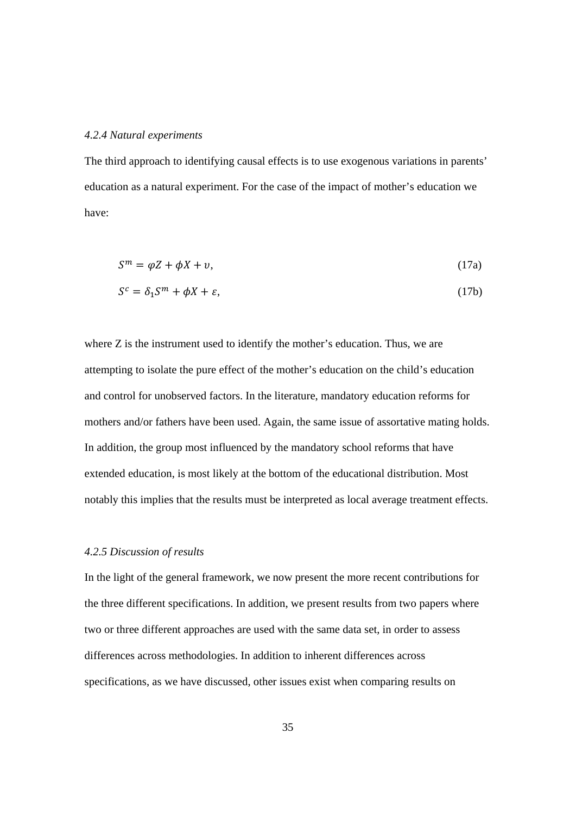#### *4.2.4 Natural experiments*

The third approach to identifying causal effects is to use exogenous variations in parents' education as a natural experiment. For the case of the impact of mother's education we have:

$$
S^m = \varphi Z + \varphi X + \upsilon,\tag{17a}
$$

$$
S^c = \delta_1 S^m + \phi X + \varepsilon,\tag{17b}
$$

where Z is the instrument used to identify the mother's education. Thus, we are attempting to isolate the pure effect of the mother's education on the child's education and control for unobserved factors. In the literature, mandatory education reforms for mothers and/or fathers have been used. Again, the same issue of assortative mating holds. In addition, the group most influenced by the mandatory school reforms that have extended education, is most likely at the bottom of the educational distribution. Most notably this implies that the results must be interpreted as local average treatment effects.

#### *4.2.5 Discussion of results*

In the light of the general framework, we now present the more recent contributions for the three different specifications. In addition, we present results from two papers where two or three different approaches are used with the same data set, in order to assess differences across methodologies. In addition to inherent differences across specifications, as we have discussed, other issues exist when comparing results on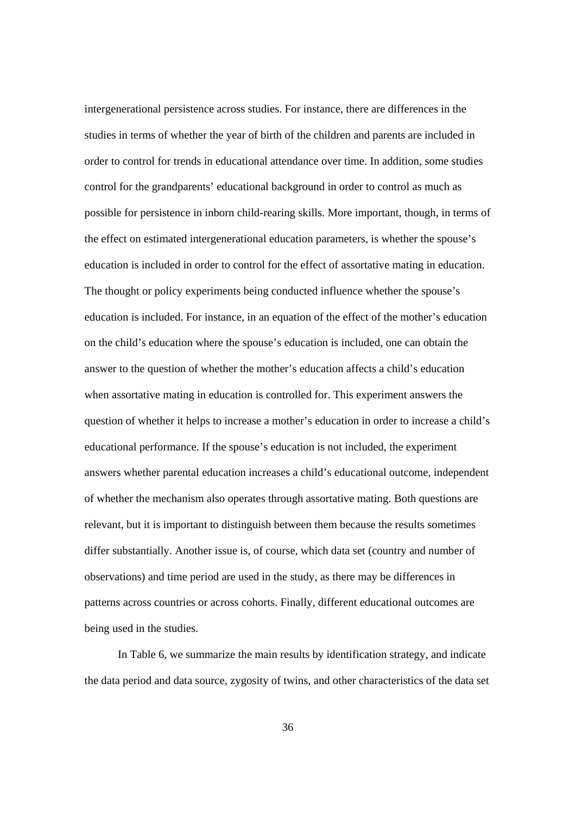intergenerational persistence across studies. For instance, there are differences in the studies in terms of whether the year of birth of the children and parents are included in order to control for trends in educational attendance over time. In addition, some studies control for the grandparents' educational background in order to control as much as possible for persistence in inborn child-rearing skills. More important, though, in terms of the effect on estimated intergenerational education parameters, is whether the spouse's education is included in order to control for the effect of assortative mating in education. The thought or policy experiments being conducted influence whether the spouse's education is included. For instance, in an equation of the effect of the mother's education on the child's education where the spouse's education is included, one can obtain the answer to the question of whether the mother's education affects a child's education when assortative mating in education is controlled for. This experiment answers the question of whether it helps to increase a mother's education in order to increase a child's educational performance. If the spouse's education is not included, the experiment answers whether parental education increases a child's educational outcome, independent of whether the mechanism also operates through assortative mating. Both questions are relevant, but it is important to distinguish between them because the results sometimes differ substantially. Another issue is, of course, which data set (country and number of observations) and time period are used in the study, as there may be differences in patterns across countries or across cohorts. Finally, different educational outcomes are being used in the studies.

In Table 6, we summarize the main results by identification strategy, and indicate the data period and data source, zygosity of twins, and other characteristics of the data set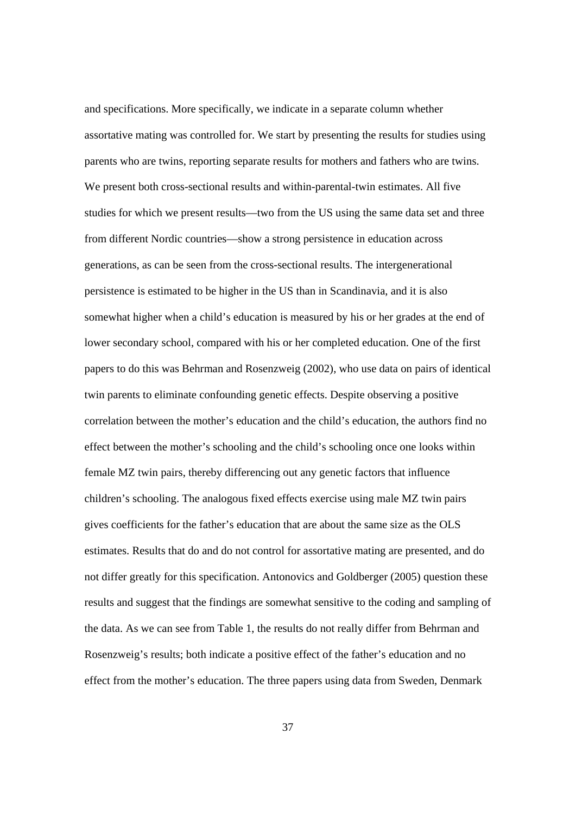and specifications. More specifically, we indicate in a separate column whether assortative mating was controlled for. We start by presenting the results for studies using parents who are twins, reporting separate results for mothers and fathers who are twins. We present both cross-sectional results and within-parental-twin estimates. All five studies for which we present results—two from the US using the same data set and three from different Nordic countries—show a strong persistence in education across generations, as can be seen from the cross-sectional results. The intergenerational persistence is estimated to be higher in the US than in Scandinavia, and it is also somewhat higher when a child's education is measured by his or her grades at the end of lower secondary school, compared with his or her completed education. One of the first papers to do this was Behrman and Rosenzweig (2002), who use data on pairs of identical twin parents to eliminate confounding genetic effects. Despite observing a positive correlation between the mother's education and the child's education, the authors find no effect between the mother's schooling and the child's schooling once one looks within female MZ twin pairs, thereby differencing out any genetic factors that influence children's schooling. The analogous fixed effects exercise using male MZ twin pairs gives coefficients for the father's education that are about the same size as the OLS estimates. Results that do and do not control for assortative mating are presented, and do not differ greatly for this specification. Antonovics and Goldberger (2005) question these results and suggest that the findings are somewhat sensitive to the coding and sampling of the data. As we can see from Table 1, the results do not really differ from Behrman and Rosenzweig's results; both indicate a positive effect of the father's education and no effect from the mother's education. The three papers using data from Sweden, Denmark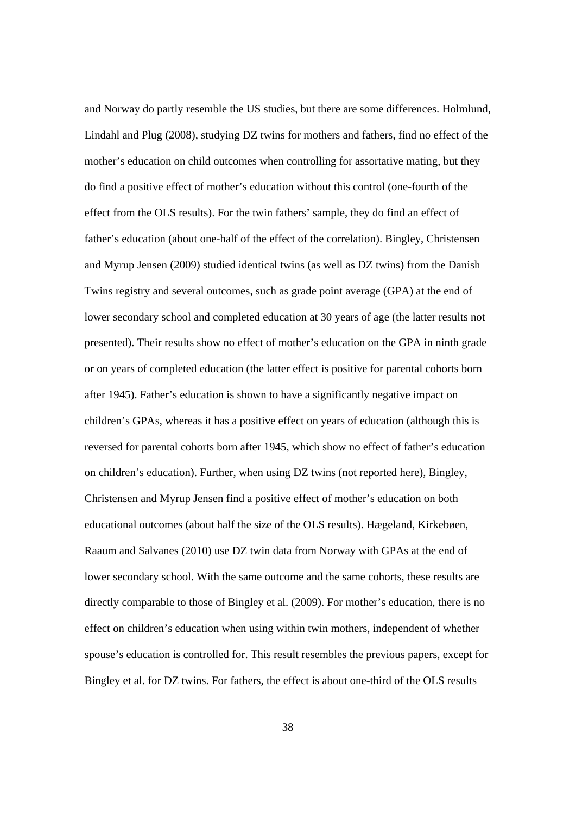and Norway do partly resemble the US studies, but there are some differences. Holmlund, Lindahl and Plug (2008), studying DZ twins for mothers and fathers, find no effect of the mother's education on child outcomes when controlling for assortative mating, but they do find a positive effect of mother's education without this control (one-fourth of the effect from the OLS results). For the twin fathers' sample, they do find an effect of father's education (about one-half of the effect of the correlation). Bingley, Christensen and Myrup Jensen (2009) studied identical twins (as well as DZ twins) from the Danish Twins registry and several outcomes, such as grade point average (GPA) at the end of lower secondary school and completed education at 30 years of age (the latter results not presented). Their results show no effect of mother's education on the GPA in ninth grade or on years of completed education (the latter effect is positive for parental cohorts born after 1945). Father's education is shown to have a significantly negative impact on children's GPAs, whereas it has a positive effect on years of education (although this is reversed for parental cohorts born after 1945, which show no effect of father's education on children's education). Further, when using DZ twins (not reported here), Bingley, Christensen and Myrup Jensen find a positive effect of mother's education on both educational outcomes (about half the size of the OLS results). Hægeland, Kirkebøen, Raaum and Salvanes (2010) use DZ twin data from Norway with GPAs at the end of lower secondary school. With the same outcome and the same cohorts, these results are directly comparable to those of Bingley et al. (2009). For mother's education, there is no effect on children's education when using within twin mothers, independent of whether spouse's education is controlled for. This result resembles the previous papers, except for Bingley et al. for DZ twins. For fathers, the effect is about one-third of the OLS results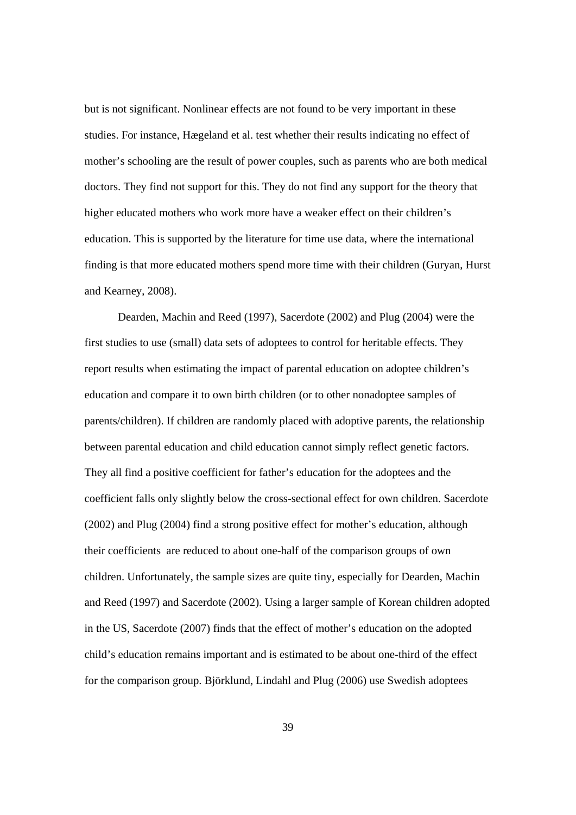but is not significant. Nonlinear effects are not found to be very important in these studies. For instance, Hægeland et al. test whether their results indicating no effect of mother's schooling are the result of power couples, such as parents who are both medical doctors. They find not support for this. They do not find any support for the theory that higher educated mothers who work more have a weaker effect on their children's education. This is supported by the literature for time use data, where the international finding is that more educated mothers spend more time with their children (Guryan, Hurst and Kearney, 2008).

Dearden, Machin and Reed (1997), Sacerdote (2002) and Plug (2004) were the first studies to use (small) data sets of adoptees to control for heritable effects. They report results when estimating the impact of parental education on adoptee children's education and compare it to own birth children (or to other nonadoptee samples of parents/children). If children are randomly placed with adoptive parents, the relationship between parental education and child education cannot simply reflect genetic factors. They all find a positive coefficient for father's education for the adoptees and the coefficient falls only slightly below the cross-sectional effect for own children. Sacerdote (2002) and Plug (2004) find a strong positive effect for mother's education, although their coefficients are reduced to about one-half of the comparison groups of own children. Unfortunately, the sample sizes are quite tiny, especially for Dearden, Machin and Reed (1997) and Sacerdote (2002). Using a larger sample of Korean children adopted in the US, Sacerdote (2007) finds that the effect of mother's education on the adopted child's education remains important and is estimated to be about one-third of the effect for the comparison group. Björklund, Lindahl and Plug (2006) use Swedish adoptees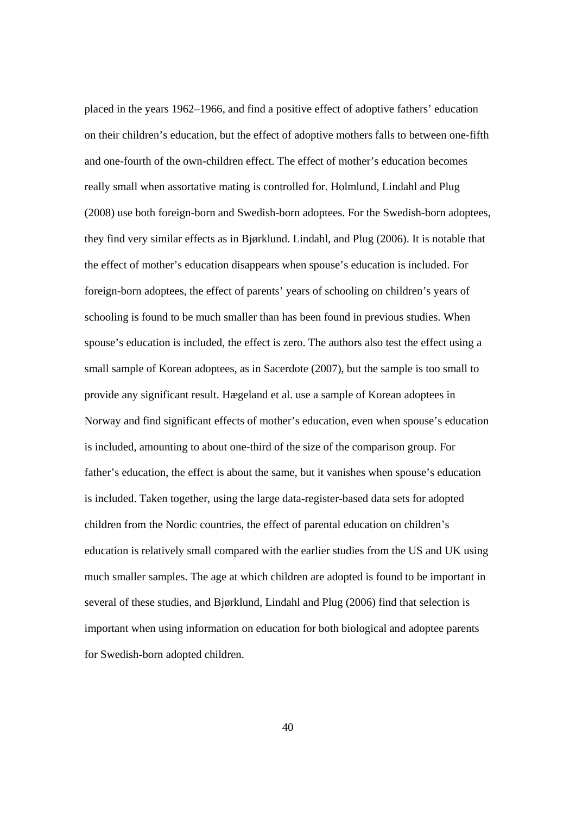placed in the years 1962–1966, and find a positive effect of adoptive fathers' education on their children's education, but the effect of adoptive mothers falls to between one-fifth and one-fourth of the own-children effect. The effect of mother's education becomes really small when assortative mating is controlled for. Holmlund, Lindahl and Plug (2008) use both foreign-born and Swedish-born adoptees. For the Swedish-born adoptees, they find very similar effects as in Bjørklund. Lindahl, and Plug (2006). It is notable that the effect of mother's education disappears when spouse's education is included. For foreign-born adoptees, the effect of parents' years of schooling on children's years of schooling is found to be much smaller than has been found in previous studies. When spouse's education is included, the effect is zero. The authors also test the effect using a small sample of Korean adoptees, as in Sacerdote (2007), but the sample is too small to provide any significant result. Hægeland et al. use a sample of Korean adoptees in Norway and find significant effects of mother's education, even when spouse's education is included, amounting to about one-third of the size of the comparison group. For father's education, the effect is about the same, but it vanishes when spouse's education is included. Taken together, using the large data-register-based data sets for adopted children from the Nordic countries, the effect of parental education on children's education is relatively small compared with the earlier studies from the US and UK using much smaller samples. The age at which children are adopted is found to be important in several of these studies, and Bjørklund, Lindahl and Plug (2006) find that selection is important when using information on education for both biological and adoptee parents for Swedish-born adopted children.

40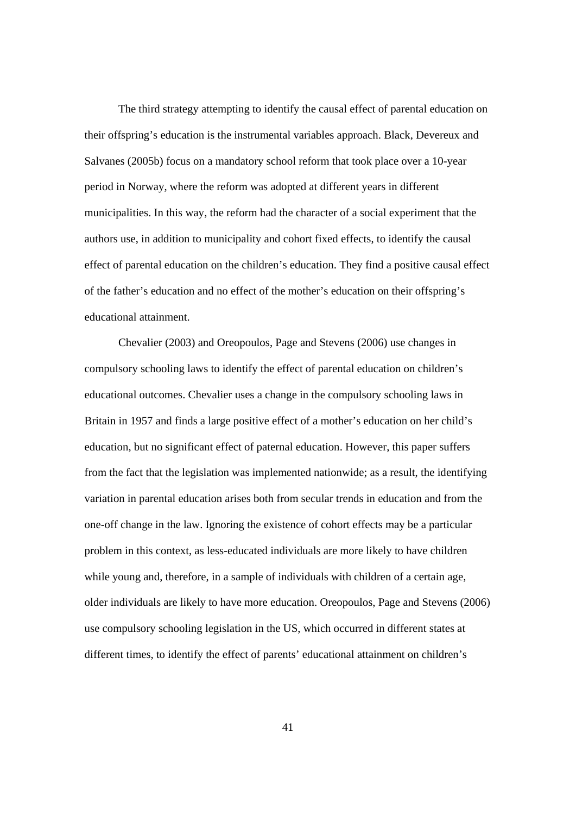The third strategy attempting to identify the causal effect of parental education on their offspring's education is the instrumental variables approach. Black, Devereux and Salvanes (2005b) focus on a mandatory school reform that took place over a 10-year period in Norway, where the reform was adopted at different years in different municipalities. In this way, the reform had the character of a social experiment that the authors use, in addition to municipality and cohort fixed effects, to identify the causal effect of parental education on the children's education. They find a positive causal effect of the father's education and no effect of the mother's education on their offspring's educational attainment.

Chevalier (2003) and Oreopoulos, Page and Stevens (2006) use changes in compulsory schooling laws to identify the effect of parental education on children's educational outcomes. Chevalier uses a change in the compulsory schooling laws in Britain in 1957 and finds a large positive effect of a mother's education on her child's education, but no significant effect of paternal education. However, this paper suffers from the fact that the legislation was implemented nationwide; as a result, the identifying variation in parental education arises both from secular trends in education and from the one-off change in the law. Ignoring the existence of cohort effects may be a particular problem in this context, as less-educated individuals are more likely to have children while young and, therefore, in a sample of individuals with children of a certain age, older individuals are likely to have more education. Oreopoulos, Page and Stevens (2006) use compulsory schooling legislation in the US, which occurred in different states at different times, to identify the effect of parents' educational attainment on children's

41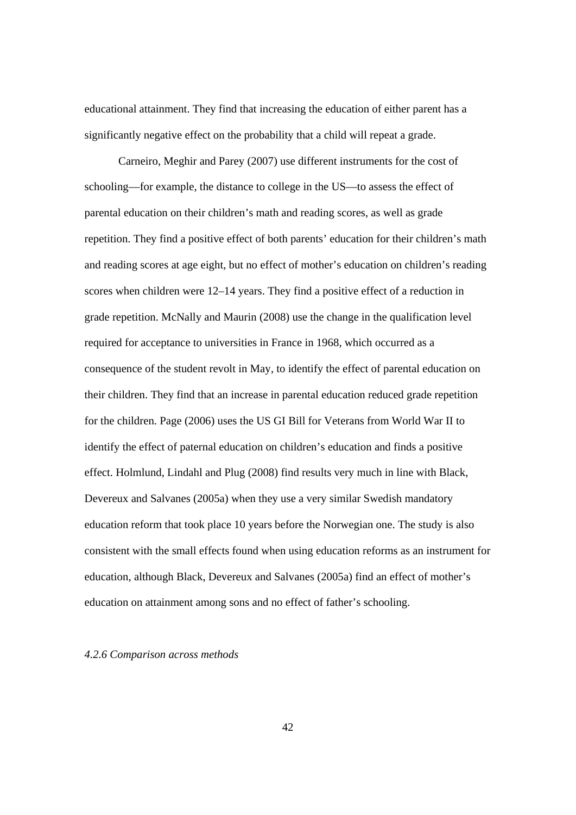educational attainment. They find that increasing the education of either parent has a significantly negative effect on the probability that a child will repeat a grade.

Carneiro, Meghir and Parey (2007) use different instruments for the cost of schooling—for example, the distance to college in the US—to assess the effect of parental education on their children's math and reading scores, as well as grade repetition. They find a positive effect of both parents' education for their children's math and reading scores at age eight, but no effect of mother's education on children's reading scores when children were 12–14 years. They find a positive effect of a reduction in grade repetition. McNally and Maurin (2008) use the change in the qualification level required for acceptance to universities in France in 1968, which occurred as a consequence of the student revolt in May, to identify the effect of parental education on their children. They find that an increase in parental education reduced grade repetition for the children. Page (2006) uses the US GI Bill for Veterans from World War II to identify the effect of paternal education on children's education and finds a positive effect. Holmlund, Lindahl and Plug (2008) find results very much in line with Black, Devereux and Salvanes (2005a) when they use a very similar Swedish mandatory education reform that took place 10 years before the Norwegian one. The study is also consistent with the small effects found when using education reforms as an instrument for education, although Black, Devereux and Salvanes (2005a) find an effect of mother's education on attainment among sons and no effect of father's schooling.

# *4.2.6 Comparison across methods*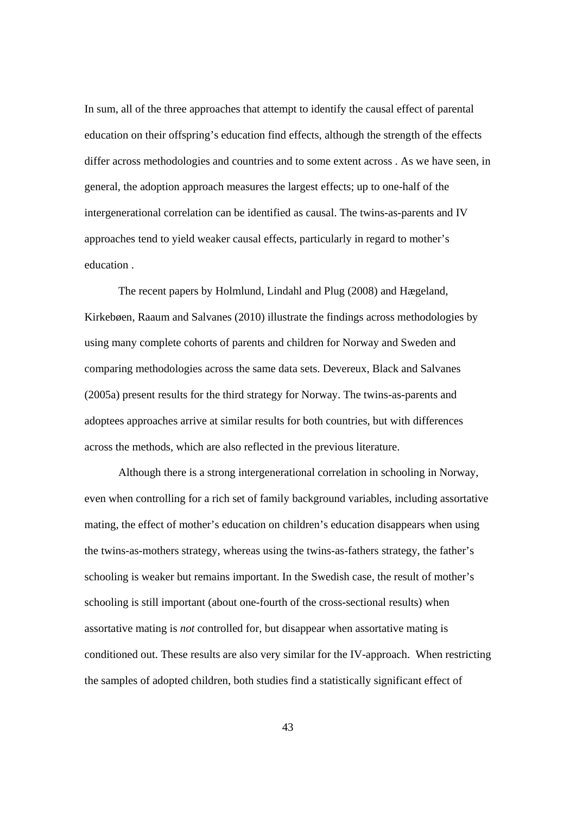In sum, all of the three approaches that attempt to identify the causal effect of parental education on their offspring's education find effects, although the strength of the effects differ across methodologies and countries and to some extent across . As we have seen, in general, the adoption approach measures the largest effects; up to one-half of the intergenerational correlation can be identified as causal. The twins-as-parents and IV approaches tend to yield weaker causal effects, particularly in regard to mother's education .

The recent papers by Holmlund, Lindahl and Plug (2008) and Hægeland, Kirkebøen, Raaum and Salvanes (2010) illustrate the findings across methodologies by using many complete cohorts of parents and children for Norway and Sweden and comparing methodologies across the same data sets. Devereux, Black and Salvanes (2005a) present results for the third strategy for Norway. The twins-as-parents and adoptees approaches arrive at similar results for both countries, but with differences across the methods, which are also reflected in the previous literature.

Although there is a strong intergenerational correlation in schooling in Norway, even when controlling for a rich set of family background variables, including assortative mating, the effect of mother's education on children's education disappears when using the twins-as-mothers strategy, whereas using the twins-as-fathers strategy, the father's schooling is weaker but remains important. In the Swedish case, the result of mother's schooling is still important (about one-fourth of the cross-sectional results) when assortative mating is *not* controlled for, but disappear when assortative mating is conditioned out. These results are also very similar for the IV-approach. When restricting the samples of adopted children, both studies find a statistically significant effect of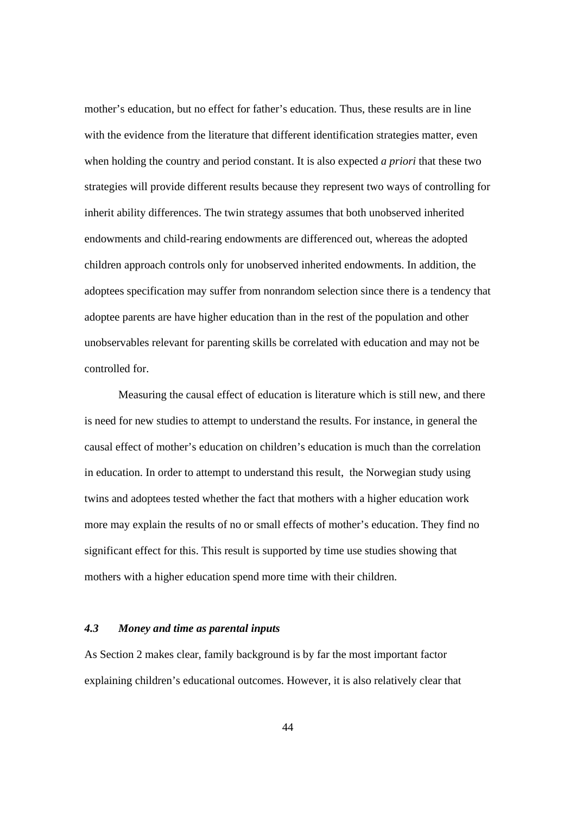mother's education, but no effect for father's education. Thus, these results are in line with the evidence from the literature that different identification strategies matter, even when holding the country and period constant. It is also expected *a priori* that these two strategies will provide different results because they represent two ways of controlling for inherit ability differences. The twin strategy assumes that both unobserved inherited endowments and child-rearing endowments are differenced out, whereas the adopted children approach controls only for unobserved inherited endowments. In addition, the adoptees specification may suffer from nonrandom selection since there is a tendency that adoptee parents are have higher education than in the rest of the population and other unobservables relevant for parenting skills be correlated with education and may not be controlled for.

Measuring the causal effect of education is literature which is still new, and there is need for new studies to attempt to understand the results. For instance, in general the causal effect of mother's education on children's education is much than the correlation in education. In order to attempt to understand this result, the Norwegian study using twins and adoptees tested whether the fact that mothers with a higher education work more may explain the results of no or small effects of mother's education. They find no significant effect for this. This result is supported by time use studies showing that mothers with a higher education spend more time with their children.

### *4.3 Money and time as parental inputs*

As Section 2 makes clear, family background is by far the most important factor explaining children's educational outcomes. However, it is also relatively clear that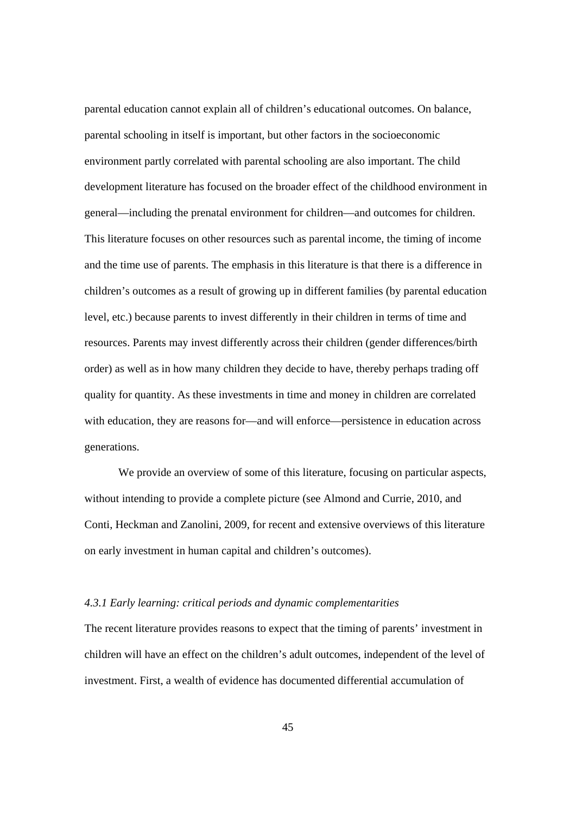parental education cannot explain all of children's educational outcomes. On balance, parental schooling in itself is important, but other factors in the socioeconomic environment partly correlated with parental schooling are also important. The child development literature has focused on the broader effect of the childhood environment in general—including the prenatal environment for children—and outcomes for children. This literature focuses on other resources such as parental income, the timing of income and the time use of parents. The emphasis in this literature is that there is a difference in children's outcomes as a result of growing up in different families (by parental education level, etc.) because parents to invest differently in their children in terms of time and resources. Parents may invest differently across their children (gender differences/birth order) as well as in how many children they decide to have, thereby perhaps trading off quality for quantity. As these investments in time and money in children are correlated with education, they are reasons for—and will enforce—persistence in education across generations.

We provide an overview of some of this literature, focusing on particular aspects, without intending to provide a complete picture (see Almond and Currie, 2010, and Conti, Heckman and Zanolini, 2009, for recent and extensive overviews of this literature on early investment in human capital and children's outcomes).

## *4.3.1 Early learning: critical periods and dynamic complementarities*

The recent literature provides reasons to expect that the timing of parents' investment in children will have an effect on the children's adult outcomes, independent of the level of investment. First, a wealth of evidence has documented differential accumulation of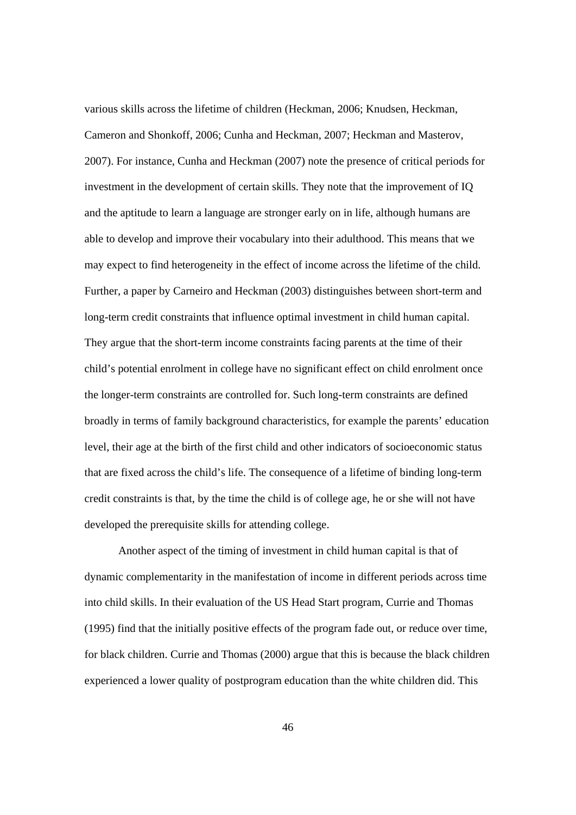various skills across the lifetime of children (Heckman, 2006; Knudsen, Heckman, Cameron and Shonkoff, 2006; Cunha and Heckman, 2007; Heckman and Masterov, 2007). For instance, Cunha and Heckman (2007) note the presence of critical periods for investment in the development of certain skills. They note that the improvement of IQ and the aptitude to learn a language are stronger early on in life, although humans are able to develop and improve their vocabulary into their adulthood. This means that we may expect to find heterogeneity in the effect of income across the lifetime of the child. Further, a paper by Carneiro and Heckman (2003) distinguishes between short-term and long-term credit constraints that influence optimal investment in child human capital. They argue that the short-term income constraints facing parents at the time of their child's potential enrolment in college have no significant effect on child enrolment once the longer-term constraints are controlled for. Such long-term constraints are defined broadly in terms of family background characteristics, for example the parents' education level, their age at the birth of the first child and other indicators of socioeconomic status that are fixed across the child's life. The consequence of a lifetime of binding long-term credit constraints is that, by the time the child is of college age, he or she will not have developed the prerequisite skills for attending college.

Another aspect of the timing of investment in child human capital is that of dynamic complementarity in the manifestation of income in different periods across time into child skills. In their evaluation of the US Head Start program, Currie and Thomas (1995) find that the initially positive effects of the program fade out, or reduce over time, for black children. Currie and Thomas (2000) argue that this is because the black children experienced a lower quality of postprogram education than the white children did. This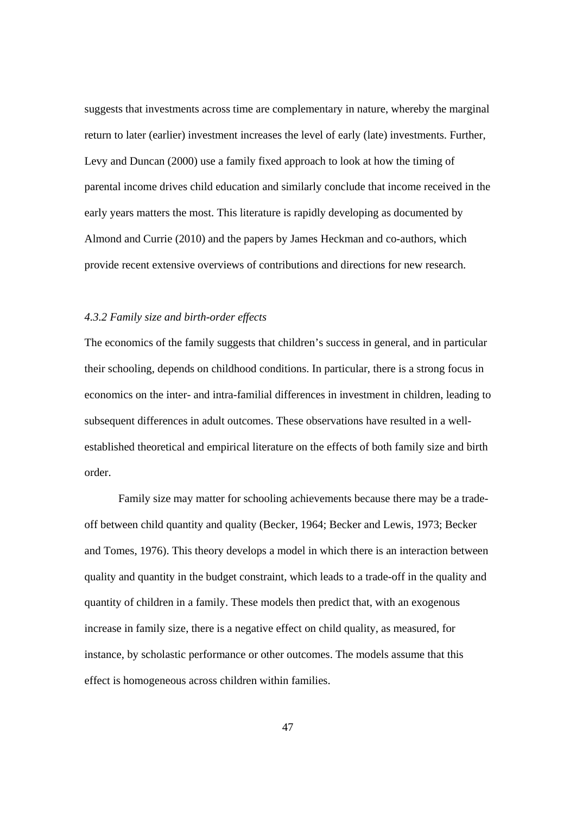suggests that investments across time are complementary in nature, whereby the marginal return to later (earlier) investment increases the level of early (late) investments. Further, Levy and Duncan (2000) use a family fixed approach to look at how the timing of parental income drives child education and similarly conclude that income received in the early years matters the most. This literature is rapidly developing as documented by Almond and Currie (2010) and the papers by James Heckman and co-authors, which provide recent extensive overviews of contributions and directions for new research.

### *4.3.2 Family size and birth-order effects*

The economics of the family suggests that children's success in general, and in particular their schooling, depends on childhood conditions. In particular, there is a strong focus in economics on the inter- and intra-familial differences in investment in children, leading to subsequent differences in adult outcomes. These observations have resulted in a wellestablished theoretical and empirical literature on the effects of both family size and birth order.

Family size may matter for schooling achievements because there may be a tradeoff between child quantity and quality (Becker, 1964; Becker and Lewis, 1973; Becker and Tomes, 1976). This theory develops a model in which there is an interaction between quality and quantity in the budget constraint, which leads to a trade-off in the quality and quantity of children in a family. These models then predict that, with an exogenous increase in family size, there is a negative effect on child quality, as measured, for instance, by scholastic performance or other outcomes. The models assume that this effect is homogeneous across children within families.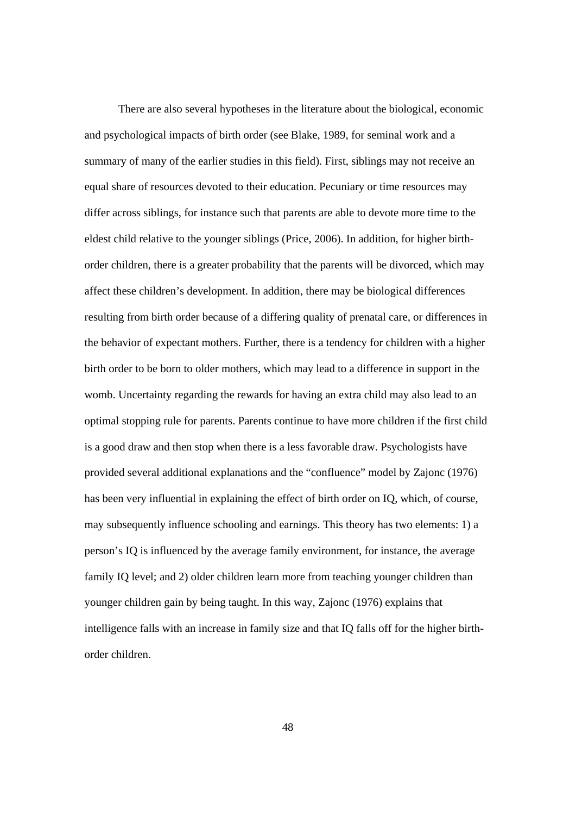There are also several hypotheses in the literature about the biological, economic and psychological impacts of birth order (see Blake, 1989, for seminal work and a summary of many of the earlier studies in this field). First, siblings may not receive an equal share of resources devoted to their education. Pecuniary or time resources may differ across siblings, for instance such that parents are able to devote more time to the eldest child relative to the younger siblings (Price, 2006). In addition, for higher birthorder children, there is a greater probability that the parents will be divorced, which may affect these children's development. In addition, there may be biological differences resulting from birth order because of a differing quality of prenatal care, or differences in the behavior of expectant mothers. Further, there is a tendency for children with a higher birth order to be born to older mothers, which may lead to a difference in support in the womb. Uncertainty regarding the rewards for having an extra child may also lead to an optimal stopping rule for parents. Parents continue to have more children if the first child is a good draw and then stop when there is a less favorable draw. Psychologists have provided several additional explanations and the "confluence" model by Zajonc (1976) has been very influential in explaining the effect of birth order on IQ, which, of course, may subsequently influence schooling and earnings. This theory has two elements: 1) a person's IQ is influenced by the average family environment, for instance, the average family IQ level; and 2) older children learn more from teaching younger children than younger children gain by being taught. In this way, Zajonc (1976) explains that intelligence falls with an increase in family size and that IQ falls off for the higher birthorder children.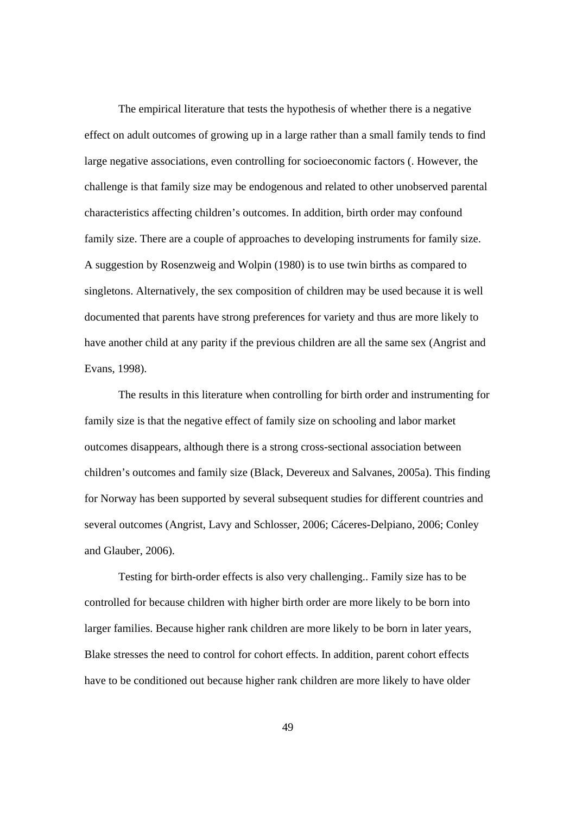The empirical literature that tests the hypothesis of whether there is a negative effect on adult outcomes of growing up in a large rather than a small family tends to find large negative associations, even controlling for socioeconomic factors (. However, the challenge is that family size may be endogenous and related to other unobserved parental characteristics affecting children's outcomes. In addition, birth order may confound family size. There are a couple of approaches to developing instruments for family size. A suggestion by Rosenzweig and Wolpin (1980) is to use twin births as compared to singletons. Alternatively, the sex composition of children may be used because it is well documented that parents have strong preferences for variety and thus are more likely to have another child at any parity if the previous children are all the same sex (Angrist and Evans, 1998).

The results in this literature when controlling for birth order and instrumenting for family size is that the negative effect of family size on schooling and labor market outcomes disappears, although there is a strong cross-sectional association between children's outcomes and family size (Black, Devereux and Salvanes, 2005a). This finding for Norway has been supported by several subsequent studies for different countries and several outcomes (Angrist, Lavy and Schlosser, 2006; Cáceres-Delpiano, 2006; Conley and Glauber, 2006).

Testing for birth-order effects is also very challenging.. Family size has to be controlled for because children with higher birth order are more likely to be born into larger families. Because higher rank children are more likely to be born in later years, Blake stresses the need to control for cohort effects. In addition, parent cohort effects have to be conditioned out because higher rank children are more likely to have older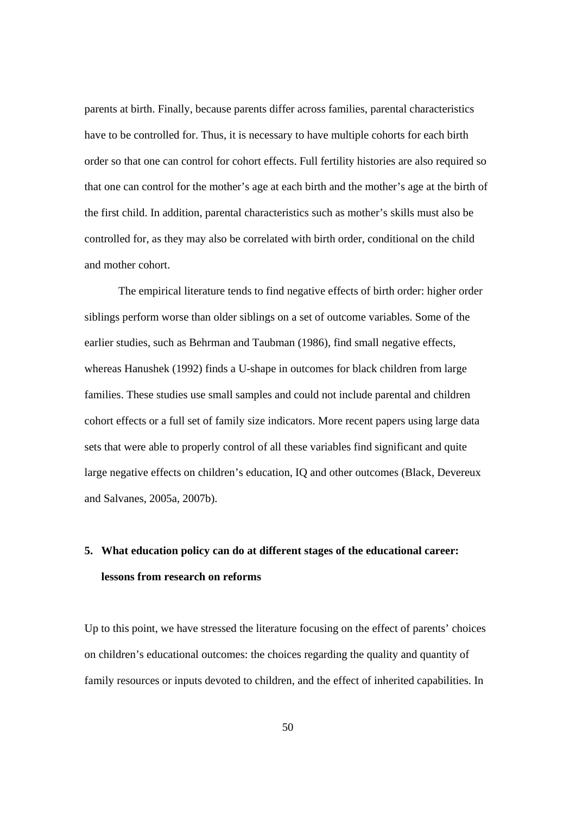parents at birth. Finally, because parents differ across families, parental characteristics have to be controlled for. Thus, it is necessary to have multiple cohorts for each birth order so that one can control for cohort effects. Full fertility histories are also required so that one can control for the mother's age at each birth and the mother's age at the birth of the first child. In addition, parental characteristics such as mother's skills must also be controlled for, as they may also be correlated with birth order, conditional on the child and mother cohort.

The empirical literature tends to find negative effects of birth order: higher order siblings perform worse than older siblings on a set of outcome variables. Some of the earlier studies, such as Behrman and Taubman (1986), find small negative effects, whereas Hanushek (1992) finds a U-shape in outcomes for black children from large families. These studies use small samples and could not include parental and children cohort effects or a full set of family size indicators. More recent papers using large data sets that were able to properly control of all these variables find significant and quite large negative effects on children's education, IQ and other outcomes (Black, Devereux and Salvanes, 2005a, 2007b).

# **5. What education policy can do at different stages of the educational career: lessons from research on reforms**

Up to this point, we have stressed the literature focusing on the effect of parents' choices on children's educational outcomes: the choices regarding the quality and quantity of family resources or inputs devoted to children, and the effect of inherited capabilities. In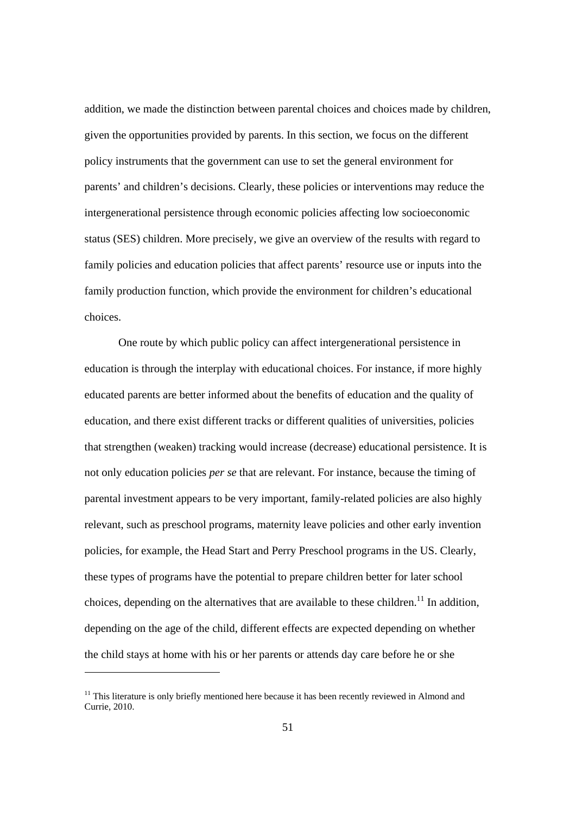addition, we made the distinction between parental choices and choices made by children, given the opportunities provided by parents. In this section, we focus on the different policy instruments that the government can use to set the general environment for parents' and children's decisions. Clearly, these policies or interventions may reduce the intergenerational persistence through economic policies affecting low socioeconomic status (SES) children. More precisely, we give an overview of the results with regard to family policies and education policies that affect parents' resource use or inputs into the family production function, which provide the environment for children's educational choices.

One route by which public policy can affect intergenerational persistence in education is through the interplay with educational choices. For instance, if more highly educated parents are better informed about the benefits of education and the quality of education, and there exist different tracks or different qualities of universities, policies that strengthen (weaken) tracking would increase (decrease) educational persistence. It is not only education policies *per se* that are relevant. For instance, because the timing of parental investment appears to be very important, family-related policies are also highly relevant, such as preschool programs, maternity leave policies and other early invention policies, for example, the Head Start and Perry Preschool programs in the US. Clearly, these types of programs have the potential to prepare children better for later school choices, depending on the alternatives that are available to these children.<sup>11</sup> In addition, depending on the age of the child, different effects are expected depending on whether the child stays at home with his or her parents or attends day care before he or she

-

 $11$  This literature is only briefly mentioned here because it has been recently reviewed in Almond and Currie, 2010.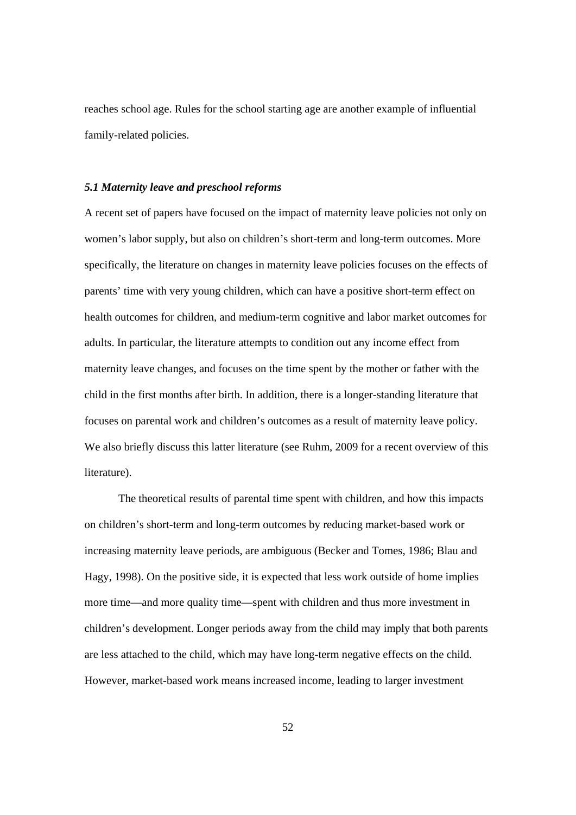reaches school age. Rules for the school starting age are another example of influential family-related policies.

### *5.1 Maternity leave and preschool reforms*

A recent set of papers have focused on the impact of maternity leave policies not only on women's labor supply, but also on children's short-term and long-term outcomes. More specifically, the literature on changes in maternity leave policies focuses on the effects of parents' time with very young children, which can have a positive short-term effect on health outcomes for children, and medium-term cognitive and labor market outcomes for adults. In particular, the literature attempts to condition out any income effect from maternity leave changes, and focuses on the time spent by the mother or father with the child in the first months after birth. In addition, there is a longer-standing literature that focuses on parental work and children's outcomes as a result of maternity leave policy. We also briefly discuss this latter literature (see Ruhm, 2009 for a recent overview of this literature).

The theoretical results of parental time spent with children, and how this impacts on children's short-term and long-term outcomes by reducing market-based work or increasing maternity leave periods, are ambiguous (Becker and Tomes, 1986; Blau and Hagy, 1998). On the positive side, it is expected that less work outside of home implies more time—and more quality time—spent with children and thus more investment in children's development. Longer periods away from the child may imply that both parents are less attached to the child, which may have long-term negative effects on the child. However, market-based work means increased income, leading to larger investment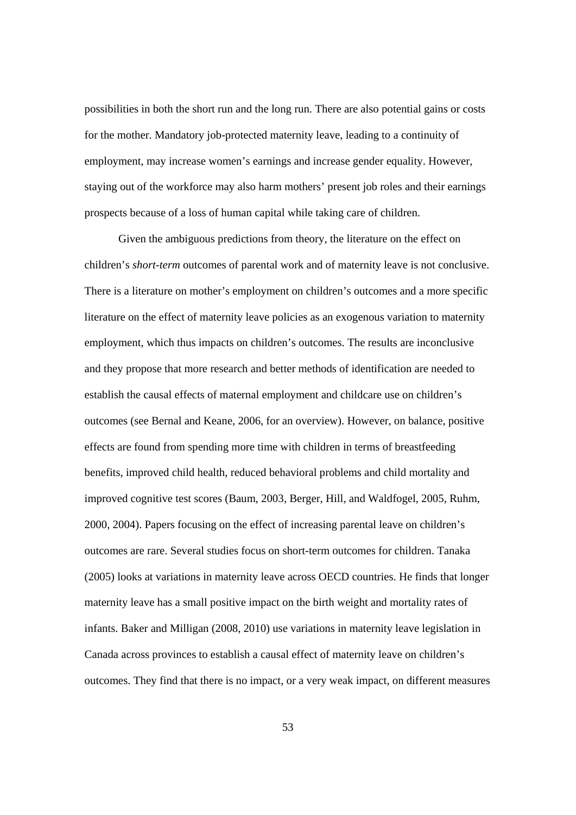possibilities in both the short run and the long run. There are also potential gains or costs for the mother. Mandatory job-protected maternity leave, leading to a continuity of employment, may increase women's earnings and increase gender equality. However, staying out of the workforce may also harm mothers' present job roles and their earnings prospects because of a loss of human capital while taking care of children.

Given the ambiguous predictions from theory, the literature on the effect on children's *short-term* outcomes of parental work and of maternity leave is not conclusive. There is a literature on mother's employment on children's outcomes and a more specific literature on the effect of maternity leave policies as an exogenous variation to maternity employment, which thus impacts on children's outcomes. The results are inconclusive and they propose that more research and better methods of identification are needed to establish the causal effects of maternal employment and childcare use on children's outcomes (see Bernal and Keane, 2006, for an overview). However, on balance, positive effects are found from spending more time with children in terms of breastfeeding benefits, improved child health, reduced behavioral problems and child mortality and improved cognitive test scores (Baum, 2003, Berger, Hill, and Waldfogel, 2005, Ruhm, 2000, 2004). Papers focusing on the effect of increasing parental leave on children's outcomes are rare. Several studies focus on short-term outcomes for children. Tanaka (2005) looks at variations in maternity leave across OECD countries. He finds that longer maternity leave has a small positive impact on the birth weight and mortality rates of infants. Baker and Milligan (2008, 2010) use variations in maternity leave legislation in Canada across provinces to establish a causal effect of maternity leave on children's outcomes. They find that there is no impact, or a very weak impact, on different measures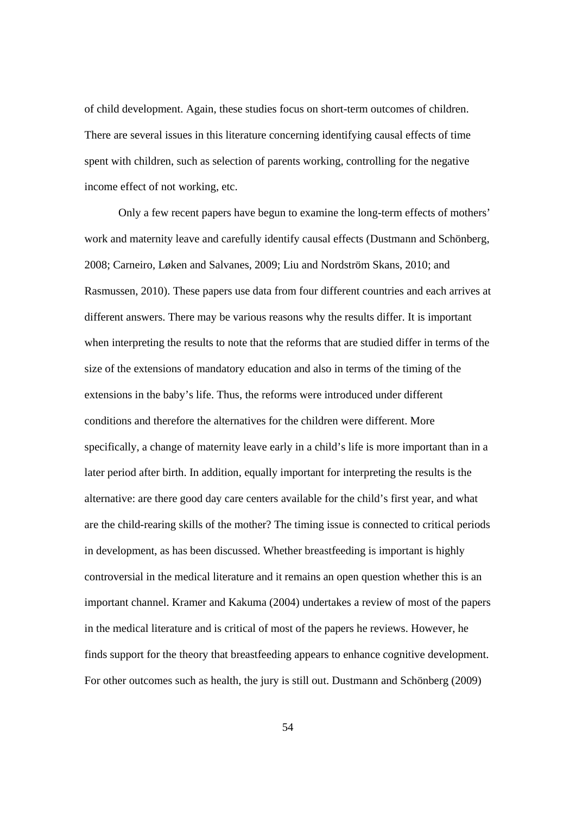of child development. Again, these studies focus on short-term outcomes of children. There are several issues in this literature concerning identifying causal effects of time spent with children, such as selection of parents working, controlling for the negative income effect of not working, etc.

Only a few recent papers have begun to examine the long-term effects of mothers' work and maternity leave and carefully identify causal effects (Dustmann and Schönberg, 2008; Carneiro, Løken and Salvanes, 2009; Liu and Nordström Skans, 2010; and Rasmussen, 2010). These papers use data from four different countries and each arrives at different answers. There may be various reasons why the results differ. It is important when interpreting the results to note that the reforms that are studied differ in terms of the size of the extensions of mandatory education and also in terms of the timing of the extensions in the baby's life. Thus, the reforms were introduced under different conditions and therefore the alternatives for the children were different. More specifically, a change of maternity leave early in a child's life is more important than in a later period after birth. In addition, equally important for interpreting the results is the alternative: are there good day care centers available for the child's first year, and what are the child-rearing skills of the mother? The timing issue is connected to critical periods in development, as has been discussed. Whether breastfeeding is important is highly controversial in the medical literature and it remains an open question whether this is an important channel. Kramer and Kakuma (2004) undertakes a review of most of the papers in the medical literature and is critical of most of the papers he reviews. However, he finds support for the theory that breastfeeding appears to enhance cognitive development. For other outcomes such as health, the jury is still out. Dustmann and Schönberg (2009)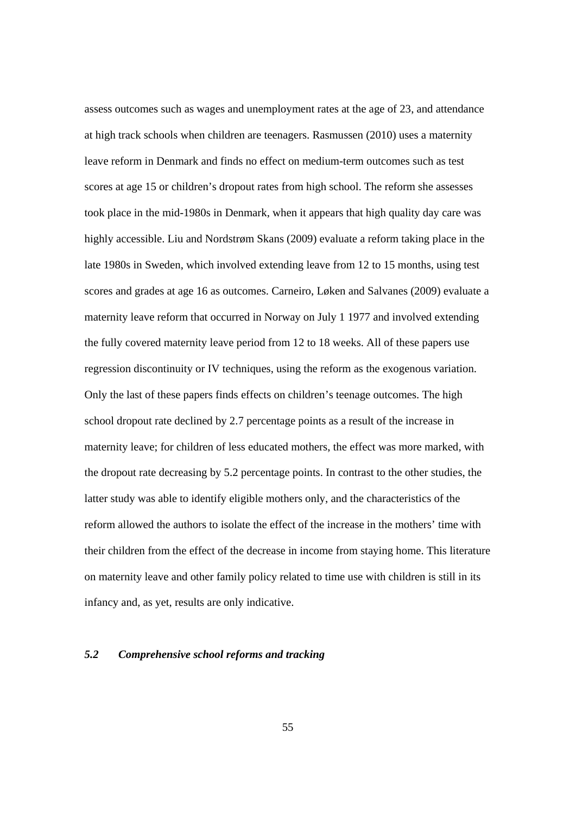assess outcomes such as wages and unemployment rates at the age of 23, and attendance at high track schools when children are teenagers. Rasmussen (2010) uses a maternity leave reform in Denmark and finds no effect on medium-term outcomes such as test scores at age 15 or children's dropout rates from high school. The reform she assesses took place in the mid-1980s in Denmark, when it appears that high quality day care was highly accessible. Liu and Nordstrøm Skans (2009) evaluate a reform taking place in the late 1980s in Sweden, which involved extending leave from 12 to 15 months, using test scores and grades at age 16 as outcomes. Carneiro, Løken and Salvanes (2009) evaluate a maternity leave reform that occurred in Norway on July 1 1977 and involved extending the fully covered maternity leave period from 12 to 18 weeks. All of these papers use regression discontinuity or IV techniques, using the reform as the exogenous variation. Only the last of these papers finds effects on children's teenage outcomes. The high school dropout rate declined by 2.7 percentage points as a result of the increase in maternity leave; for children of less educated mothers, the effect was more marked, with the dropout rate decreasing by 5.2 percentage points. In contrast to the other studies, the latter study was able to identify eligible mothers only, and the characteristics of the reform allowed the authors to isolate the effect of the increase in the mothers' time with their children from the effect of the decrease in income from staying home. This literature on maternity leave and other family policy related to time use with children is still in its infancy and, as yet, results are only indicative.

# *5.2 Comprehensive school reforms and tracking*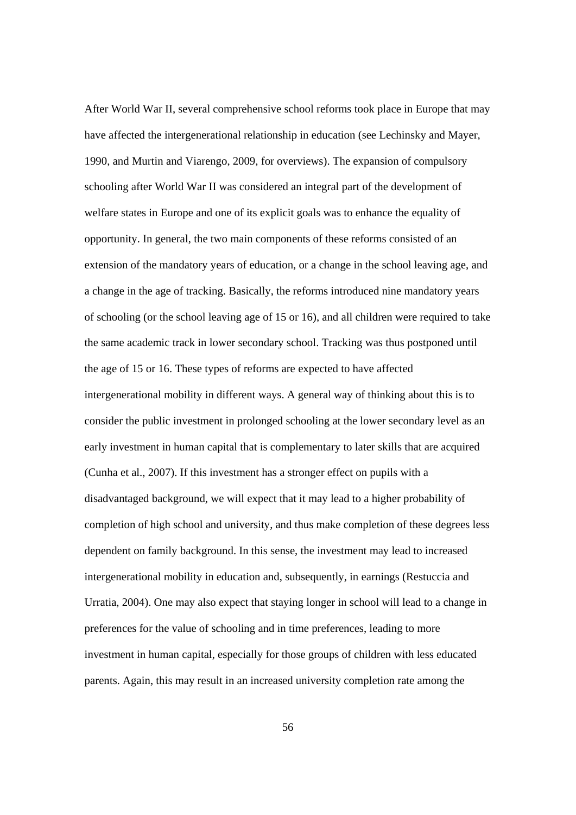After World War II, several comprehensive school reforms took place in Europe that may have affected the intergenerational relationship in education (see Lechinsky and Mayer, 1990, and Murtin and Viarengo, 2009, for overviews). The expansion of compulsory schooling after World War II was considered an integral part of the development of welfare states in Europe and one of its explicit goals was to enhance the equality of opportunity. In general, the two main components of these reforms consisted of an extension of the mandatory years of education, or a change in the school leaving age, and a change in the age of tracking. Basically, the reforms introduced nine mandatory years of schooling (or the school leaving age of 15 or 16), and all children were required to take the same academic track in lower secondary school. Tracking was thus postponed until the age of 15 or 16. These types of reforms are expected to have affected intergenerational mobility in different ways. A general way of thinking about this is to consider the public investment in prolonged schooling at the lower secondary level as an early investment in human capital that is complementary to later skills that are acquired (Cunha et al., 2007). If this investment has a stronger effect on pupils with a disadvantaged background, we will expect that it may lead to a higher probability of completion of high school and university, and thus make completion of these degrees less dependent on family background. In this sense, the investment may lead to increased intergenerational mobility in education and, subsequently, in earnings (Restuccia and Urratia, 2004). One may also expect that staying longer in school will lead to a change in preferences for the value of schooling and in time preferences, leading to more investment in human capital, especially for those groups of children with less educated parents. Again, this may result in an increased university completion rate among the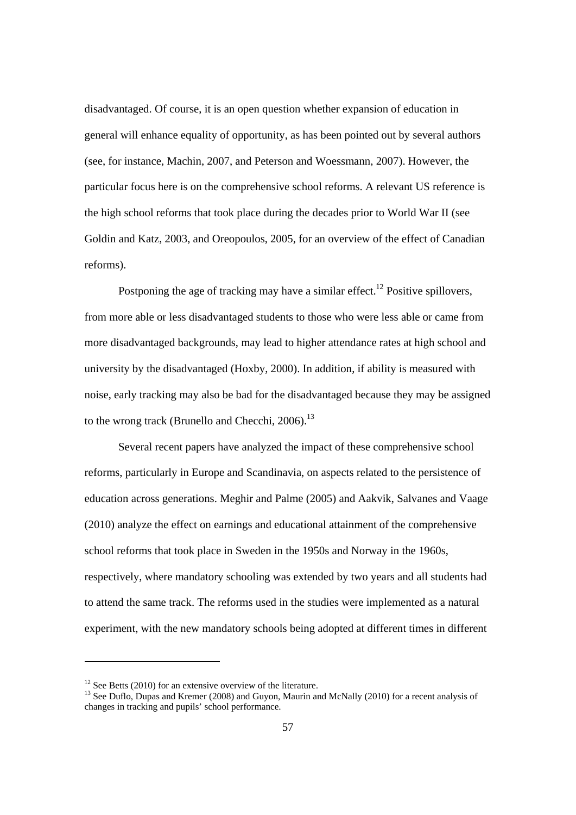disadvantaged. Of course, it is an open question whether expansion of education in general will enhance equality of opportunity, as has been pointed out by several authors (see, for instance, Machin, 2007, and Peterson and Woessmann, 2007). However, the particular focus here is on the comprehensive school reforms. A relevant US reference is the high school reforms that took place during the decades prior to World War II (see Goldin and Katz, 2003, and Oreopoulos, 2005, for an overview of the effect of Canadian reforms).

Postponing the age of tracking may have a similar effect.<sup>12</sup> Positive spillovers, from more able or less disadvantaged students to those who were less able or came from more disadvantaged backgrounds, may lead to higher attendance rates at high school and university by the disadvantaged (Hoxby, 2000). In addition, if ability is measured with noise, early tracking may also be bad for the disadvantaged because they may be assigned to the wrong track (Brunello and Checchi,  $2006$ ).<sup>13</sup>

Several recent papers have analyzed the impact of these comprehensive school reforms, particularly in Europe and Scandinavia, on aspects related to the persistence of education across generations. Meghir and Palme (2005) and Aakvik, Salvanes and Vaage (2010) analyze the effect on earnings and educational attainment of the comprehensive school reforms that took place in Sweden in the 1950s and Norway in the 1960s, respectively, where mandatory schooling was extended by two years and all students had to attend the same track. The reforms used in the studies were implemented as a natural experiment, with the new mandatory schools being adopted at different times in different

-

 $12$  See Betts (2010) for an extensive overview of the literature.

<sup>&</sup>lt;sup>13</sup> See Duflo, Dupas and Kremer (2008) and Guyon, Maurin and McNally (2010) for a recent analysis of changes in tracking and pupils' school performance.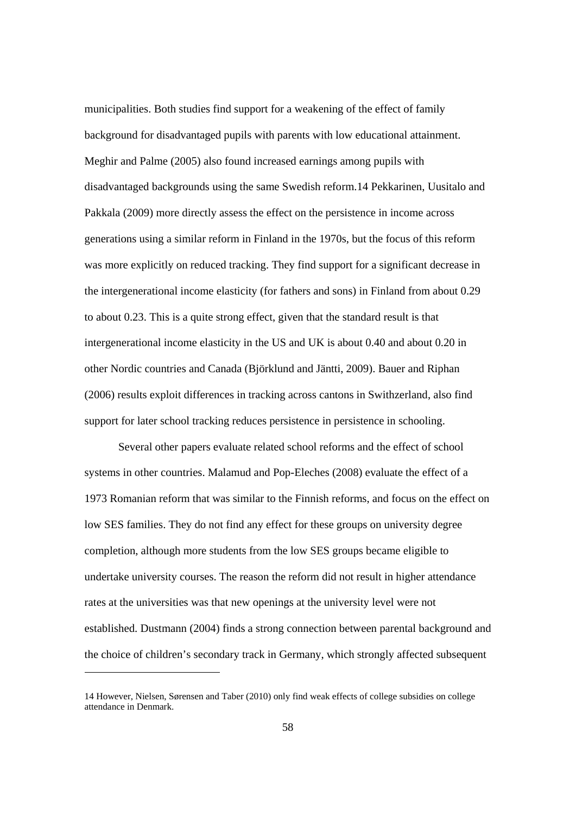municipalities. Both studies find support for a weakening of the effect of family background for disadvantaged pupils with parents with low educational attainment. Meghir and Palme (2005) also found increased earnings among pupils with disadvantaged backgrounds using the same Swedish reform.14 Pekkarinen, Uusitalo and Pakkala (2009) more directly assess the effect on the persistence in income across generations using a similar reform in Finland in the 1970s, but the focus of this reform was more explicitly on reduced tracking. They find support for a significant decrease in the intergenerational income elasticity (for fathers and sons) in Finland from about 0.29 to about 0.23. This is a quite strong effect, given that the standard result is that intergenerational income elasticity in the US and UK is about 0.40 and about 0.20 in other Nordic countries and Canada (Björklund and Jäntti, 2009). Bauer and Riphan (2006) results exploit differences in tracking across cantons in Swithzerland, also find support for later school tracking reduces persistence in persistence in schooling.

Several other papers evaluate related school reforms and the effect of school systems in other countries. Malamud and Pop-Eleches (2008) evaluate the effect of a 1973 Romanian reform that was similar to the Finnish reforms, and focus on the effect on low SES families. They do not find any effect for these groups on university degree completion, although more students from the low SES groups became eligible to undertake university courses. The reason the reform did not result in higher attendance rates at the universities was that new openings at the university level were not established. Dustmann (2004) finds a strong connection between parental background and the choice of children's secondary track in Germany, which strongly affected subsequent

-

<sup>14</sup> However, Nielsen, Sørensen and Taber (2010) only find weak effects of college subsidies on college attendance in Denmark.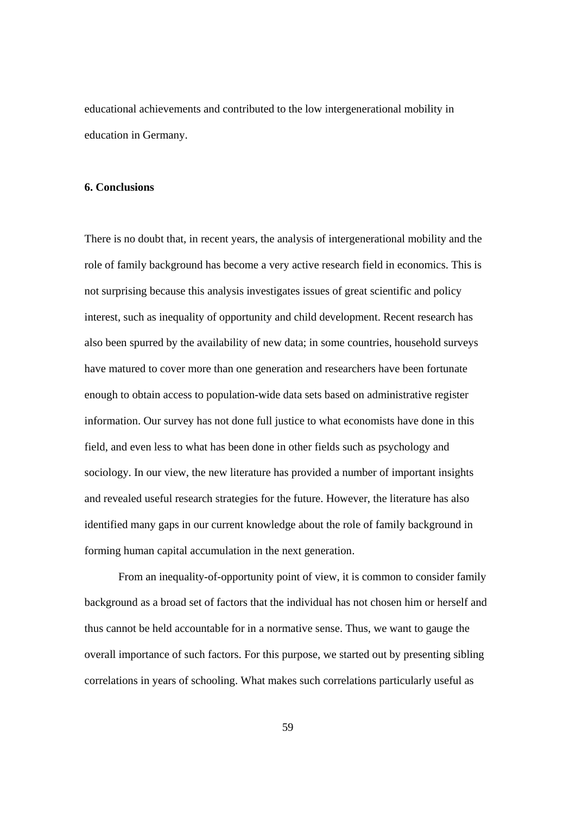educational achievements and contributed to the low intergenerational mobility in education in Germany.

## **6. Conclusions**

There is no doubt that, in recent years, the analysis of intergenerational mobility and the role of family background has become a very active research field in economics. This is not surprising because this analysis investigates issues of great scientific and policy interest, such as inequality of opportunity and child development. Recent research has also been spurred by the availability of new data; in some countries, household surveys have matured to cover more than one generation and researchers have been fortunate enough to obtain access to population-wide data sets based on administrative register information. Our survey has not done full justice to what economists have done in this field, and even less to what has been done in other fields such as psychology and sociology. In our view, the new literature has provided a number of important insights and revealed useful research strategies for the future. However, the literature has also identified many gaps in our current knowledge about the role of family background in forming human capital accumulation in the next generation.

From an inequality-of-opportunity point of view, it is common to consider family background as a broad set of factors that the individual has not chosen him or herself and thus cannot be held accountable for in a normative sense. Thus, we want to gauge the overall importance of such factors. For this purpose, we started out by presenting sibling correlations in years of schooling. What makes such correlations particularly useful as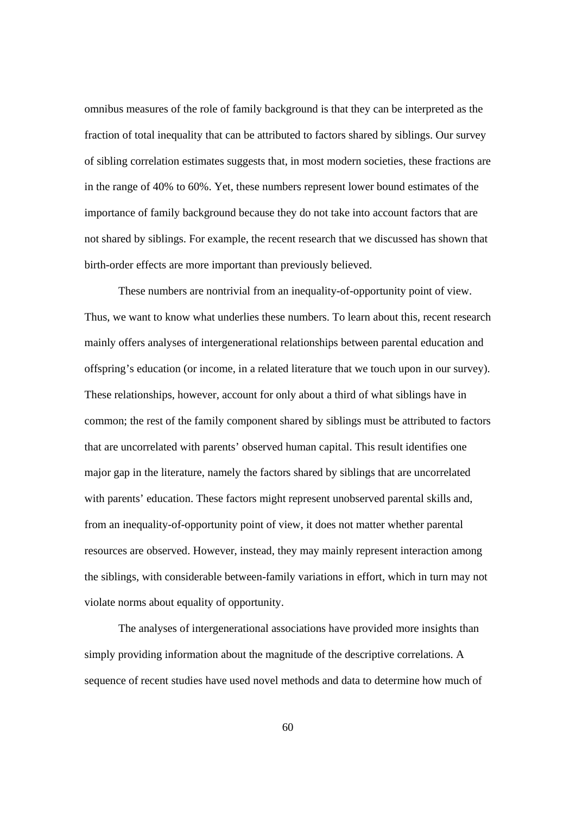omnibus measures of the role of family background is that they can be interpreted as the fraction of total inequality that can be attributed to factors shared by siblings. Our survey of sibling correlation estimates suggests that, in most modern societies, these fractions are in the range of 40% to 60%. Yet, these numbers represent lower bound estimates of the importance of family background because they do not take into account factors that are not shared by siblings. For example, the recent research that we discussed has shown that birth-order effects are more important than previously believed.

These numbers are nontrivial from an inequality-of-opportunity point of view. Thus, we want to know what underlies these numbers. To learn about this, recent research mainly offers analyses of intergenerational relationships between parental education and offspring's education (or income, in a related literature that we touch upon in our survey). These relationships, however, account for only about a third of what siblings have in common; the rest of the family component shared by siblings must be attributed to factors that are uncorrelated with parents' observed human capital. This result identifies one major gap in the literature, namely the factors shared by siblings that are uncorrelated with parents' education. These factors might represent unobserved parental skills and, from an inequality-of-opportunity point of view, it does not matter whether parental resources are observed. However, instead, they may mainly represent interaction among the siblings, with considerable between-family variations in effort, which in turn may not violate norms about equality of opportunity.

The analyses of intergenerational associations have provided more insights than simply providing information about the magnitude of the descriptive correlations. A sequence of recent studies have used novel methods and data to determine how much of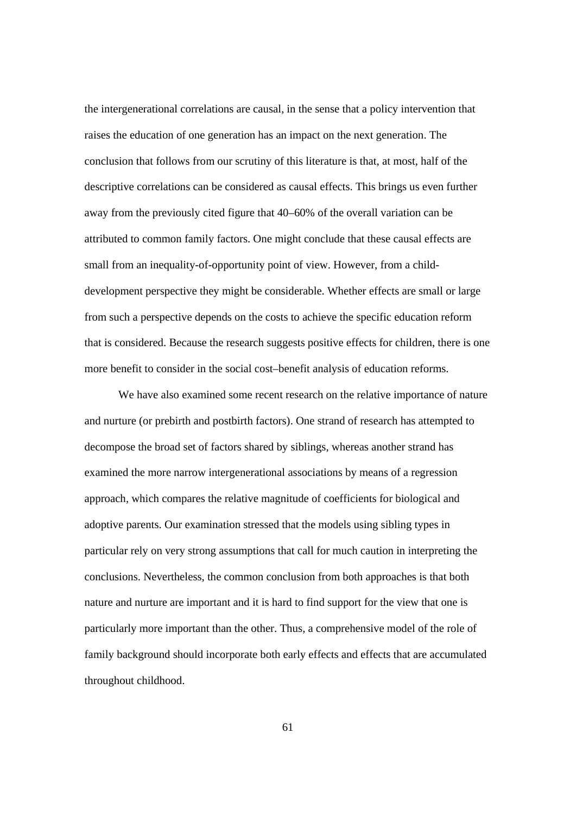the intergenerational correlations are causal, in the sense that a policy intervention that raises the education of one generation has an impact on the next generation. The conclusion that follows from our scrutiny of this literature is that, at most, half of the descriptive correlations can be considered as causal effects. This brings us even further away from the previously cited figure that 40–60% of the overall variation can be attributed to common family factors. One might conclude that these causal effects are small from an inequality-of-opportunity point of view. However, from a childdevelopment perspective they might be considerable. Whether effects are small or large from such a perspective depends on the costs to achieve the specific education reform that is considered. Because the research suggests positive effects for children, there is one more benefit to consider in the social cost–benefit analysis of education reforms.

We have also examined some recent research on the relative importance of nature and nurture (or prebirth and postbirth factors). One strand of research has attempted to decompose the broad set of factors shared by siblings, whereas another strand has examined the more narrow intergenerational associations by means of a regression approach, which compares the relative magnitude of coefficients for biological and adoptive parents. Our examination stressed that the models using sibling types in particular rely on very strong assumptions that call for much caution in interpreting the conclusions. Nevertheless, the common conclusion from both approaches is that both nature and nurture are important and it is hard to find support for the view that one is particularly more important than the other. Thus, a comprehensive model of the role of family background should incorporate both early effects and effects that are accumulated throughout childhood.

61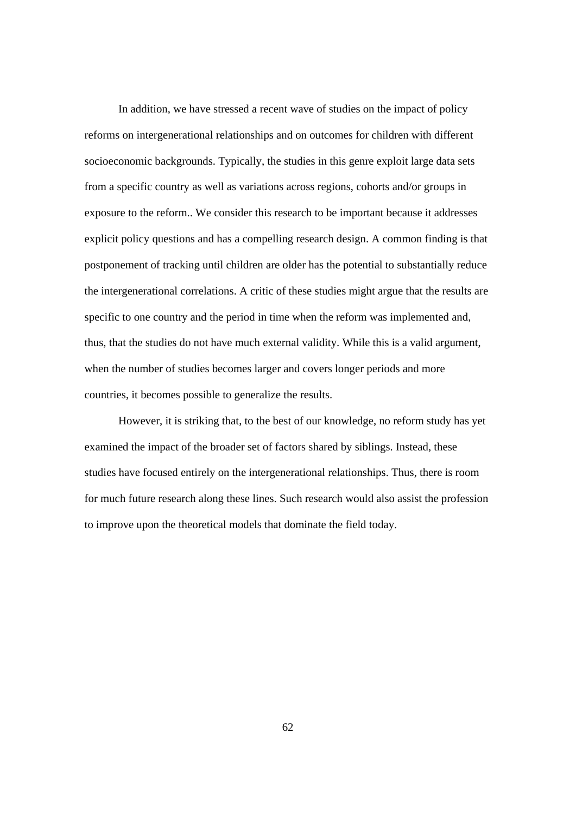In addition, we have stressed a recent wave of studies on the impact of policy reforms on intergenerational relationships and on outcomes for children with different socioeconomic backgrounds. Typically, the studies in this genre exploit large data sets from a specific country as well as variations across regions, cohorts and/or groups in exposure to the reform.. We consider this research to be important because it addresses explicit policy questions and has a compelling research design. A common finding is that postponement of tracking until children are older has the potential to substantially reduce the intergenerational correlations. A critic of these studies might argue that the results are specific to one country and the period in time when the reform was implemented and, thus, that the studies do not have much external validity. While this is a valid argument, when the number of studies becomes larger and covers longer periods and more countries, it becomes possible to generalize the results.

However, it is striking that, to the best of our knowledge, no reform study has yet examined the impact of the broader set of factors shared by siblings. Instead, these studies have focused entirely on the intergenerational relationships. Thus, there is room for much future research along these lines. Such research would also assist the profession to improve upon the theoretical models that dominate the field today.

62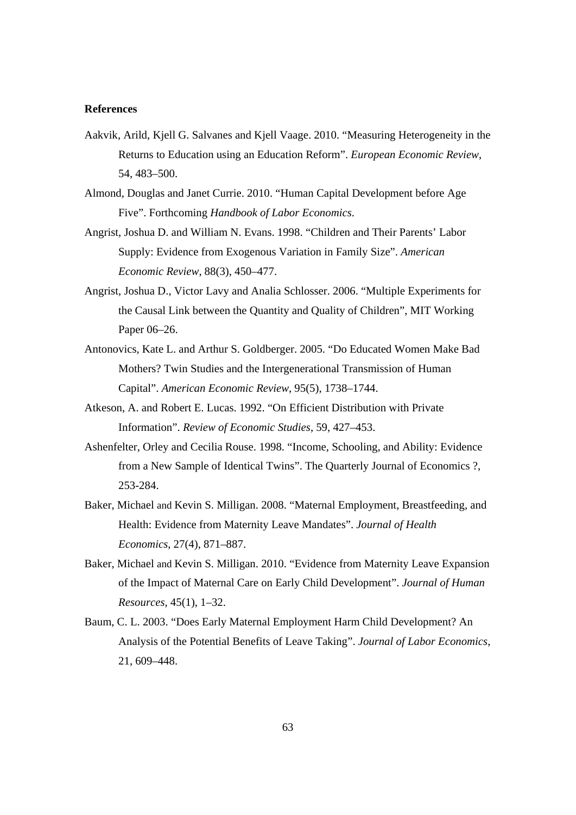### **References**

- Aakvik, Arild, Kjell G. Salvanes and Kjell Vaage. 2010. "Measuring Heterogeneity in the Returns to Education using an Education Reform". *European Economic Review*, 54, 483–500.
- Almond, Douglas and Janet Currie. 2010. "Human Capital Development before Age Five". Forthcoming *Handbook of Labor Economics*.
- Angrist, Joshua D. and William N. Evans. 1998. "Children and Their Parents' Labor Supply: Evidence from Exogenous Variation in Family Size". *American Economic Review*, 88(3), 450–477.
- Angrist, Joshua D., Victor Lavy and Analia Schlosser. 2006. "Multiple Experiments for the Causal Link between the Quantity and Quality of Children", MIT Working Paper 06–26.
- Antonovics, Kate L. and Arthur S. Goldberger. 2005. "Do Educated Women Make Bad Mothers? Twin Studies and the Intergenerational Transmission of Human Capital". *American Economic Review*, 95(5), 1738–1744.
- Atkeson, A. and Robert E. Lucas. 1992. "On Efficient Distribution with Private Information". *Review of Economic Studies*, 59, 427–453.
- Ashenfelter, Orley and Cecilia Rouse. 1998. "Income, Schooling, and Ability: Evidence from a New Sample of Identical Twins". The Quarterly Journal of Economics ?, 253-284.
- Baker, Michael and Kevin S. Milligan. 2008. "Maternal Employment, Breastfeeding, and Health: Evidence from Maternity Leave Mandates". *Journal of Health Economics*, 27(4), 871–887.
- Baker, Michael and Kevin S. Milligan. 2010. "Evidence from Maternity Leave Expansion of the Impact of Maternal Care on Early Child Development". *Journal of Human Resources*, 45(1), 1–32.
- Baum, C. L. 2003. "Does Early Maternal Employment Harm Child Development? An Analysis of the Potential Benefits of Leave Taking". *Journal of Labor Economics*, 21, 609–448.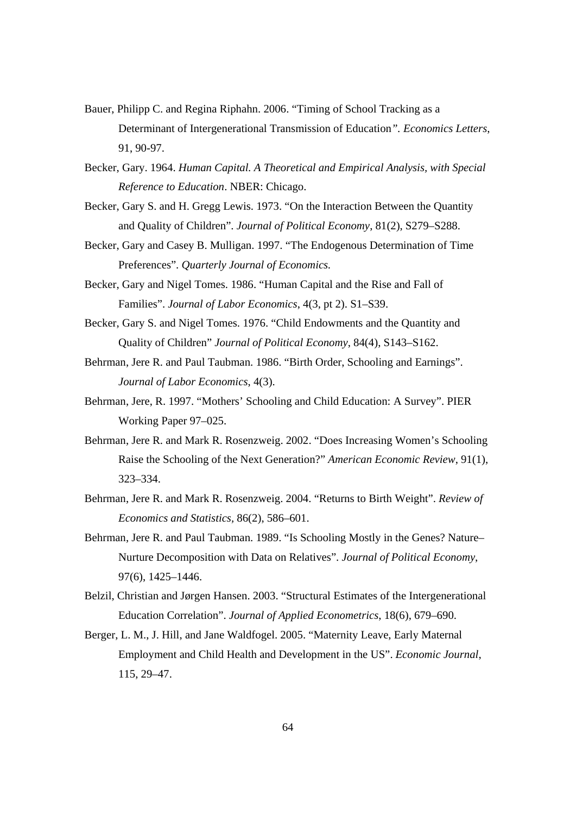- Bauer, Philipp C. and Regina Riphahn. 2006. "Timing of School Tracking as a Determinant of Intergenerational Transmission of Education*". Economics Letters*, 91, 90-97.
- Becker, Gary. 1964. *Human Capital. A Theoretical and Empirical Analysis, with Special Reference to Education*. NBER: Chicago.
- Becker, Gary S. and H. Gregg Lewis. 1973. "On the Interaction Between the Quantity and Quality of Children". *Journal of Political Economy*, 81(2), S279–S288.
- Becker, Gary and Casey B. Mulligan. 1997. "The Endogenous Determination of Time Preferences". *Quarterly Journal of Economics.*
- Becker, Gary and Nigel Tomes. 1986. "Human Capital and the Rise and Fall of Families". *Journal of Labor Economics*, 4(3, pt 2). S1–S39.
- Becker, Gary S. and Nigel Tomes. 1976. "Child Endowments and the Quantity and Quality of Children" *Journal of Political Economy*, 84(4), S143–S162.
- Behrman, Jere R. and Paul Taubman. 1986. "Birth Order, Schooling and Earnings". *Journal of Labor Economics*, 4(3).
- Behrman, Jere, R. 1997. "Mothers' Schooling and Child Education: A Survey". PIER Working Paper 97–025.
- Behrman, Jere R. and Mark R. Rosenzweig. 2002. "Does Increasing Women's Schooling Raise the Schooling of the Next Generation?" *American Economic Review*, 91(1), 323–334.
- Behrman, Jere R. and Mark R. Rosenzweig. 2004. "Returns to Birth Weight". *Review of Economics and Statistics,* 86(2), 586–601.
- Behrman, Jere R. and Paul Taubman. 1989. "Is Schooling Mostly in the Genes? Nature– Nurture Decomposition with Data on Relatives". *Journal of Political Economy*, 97(6), 1425–1446.
- Belzil, Christian and Jørgen Hansen. 2003. "Structural Estimates of the Intergenerational Education Correlation". *Journal of Applied Econometrics*, 18(6), 679–690.
- Berger, L. M., J. Hill, and Jane Waldfogel. 2005. "Maternity Leave, Early Maternal Employment and Child Health and Development in the US". *Economic Journal*, 115, 29–47.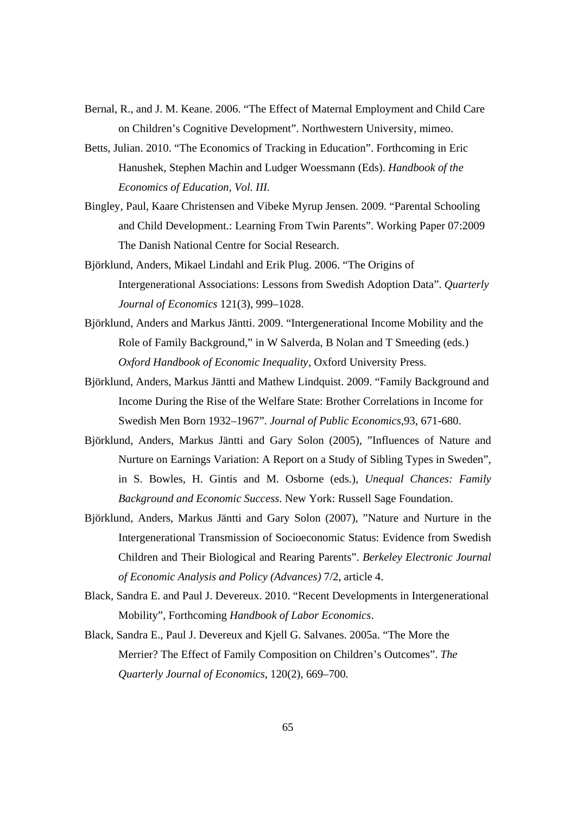- Bernal, R., and J. M. Keane. 2006. "The Effect of Maternal Employment and Child Care on Children's Cognitive Development". Northwestern University, mimeo.
- Betts, Julian. 2010. "The Economics of Tracking in Education". Forthcoming in Eric Hanushek, Stephen Machin and Ludger Woessmann (Eds). *Handbook of the Economics of Education, Vol. III.*
- Bingley, Paul, Kaare Christensen and Vibeke Myrup Jensen. 2009. "Parental Schooling and Child Development.: Learning From Twin Parents". Working Paper 07:2009 The Danish National Centre for Social Research.
- Björklund, Anders, Mikael Lindahl and Erik Plug. 2006. "The Origins of Intergenerational Associations: Lessons from Swedish Adoption Data". *Quarterly Journal of Economics* 121(3), 999–1028.
- Björklund, Anders and Markus Jäntti. 2009. "Intergenerational Income Mobility and the Role of Family Background," in W Salverda, B Nolan and T Smeeding (eds.) *Oxford Handbook of Economic Inequality*, Oxford University Press.
- Björklund, Anders, Markus Jäntti and Mathew Lindquist. 2009. "Family Background and Income During the Rise of the Welfare State: Brother Correlations in Income for Swedish Men Born 1932–1967". *Journal of Public Economics,*93, 671-680.
- Björklund, Anders, Markus Jäntti and Gary Solon (2005), "Influences of Nature and Nurture on Earnings Variation: A Report on a Study of Sibling Types in Sweden", in S. Bowles, H. Gintis and M. Osborne (eds.), *Unequal Chances: Family Background and Economic Success*. New York: Russell Sage Foundation.
- Björklund, Anders, Markus Jäntti and Gary Solon (2007), "Nature and Nurture in the Intergenerational Transmission of Socioeconomic Status: Evidence from Swedish Children and Their Biological and Rearing Parents". *Berkeley Electronic Journal of Economic Analysis and Policy (Advances)* 7/2, article 4.
- Black, Sandra E. and Paul J. Devereux. 2010. "Recent Developments in Intergenerational Mobility", Forthcoming *Handbook of Labor Economics*.
- Black, Sandra E., Paul J. Devereux and Kjell G. Salvanes. 2005a. "The More the Merrier? The Effect of Family Composition on Children's Outcomes". *The Quarterly Journal of Economics*, 120(2), 669–700*.*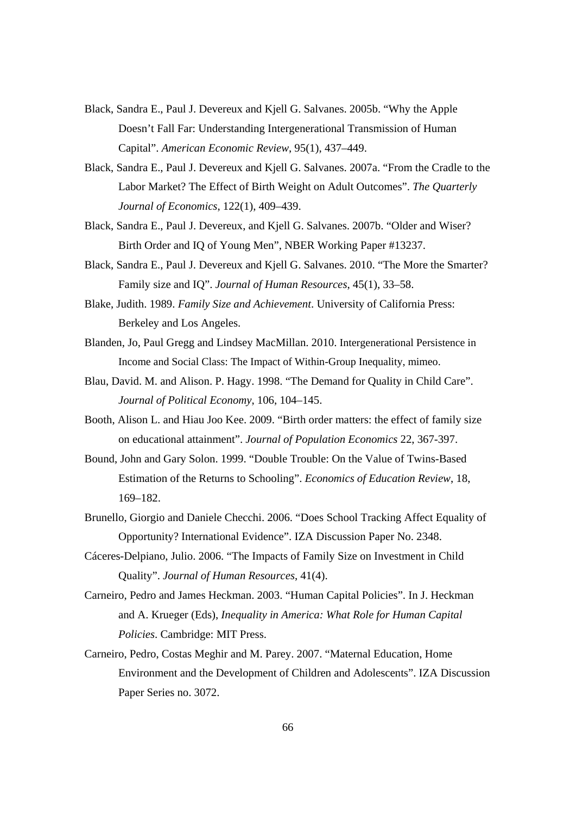- Black, Sandra E., Paul J. Devereux and Kjell G. Salvanes. 2005b. "Why the Apple Doesn't Fall Far: Understanding Intergenerational Transmission of Human Capital". *American Economic Review*, 95(1), 437–449.
- Black, Sandra E., Paul J. Devereux and Kjell G. Salvanes. 2007a. "From the Cradle to the Labor Market? The Effect of Birth Weight on Adult Outcomes". *The Quarterly Journal of Economics*, 122(1), 409–439.
- Black, Sandra E., Paul J. Devereux, and Kjell G. Salvanes. 2007b. "Older and Wiser? Birth Order and IQ of Young Men", NBER Working Paper #13237.
- Black, Sandra E., Paul J. Devereux and Kjell G. Salvanes. 2010. "The More the Smarter? Family size and IQ". *Journal of Human Resources*, 45(1), 33–58.
- Blake, Judith. 1989. *Family Size and Achievement*. University of California Press: Berkeley and Los Angeles.
- Blanden, Jo, Paul Gregg and Lindsey MacMillan. 2010. Intergenerational Persistence in Income and Social Class: The Impact of Within-Group Inequality, mimeo.
- Blau, David. M. and Alison. P. Hagy. 1998. "The Demand for Quality in Child Care". *Journal of Political Economy*, 106, 104–145.
- Booth, Alison L. and Hiau Joo Kee. 2009. "Birth order matters: the effect of family size on educational attainment". *Journal of Population Economics* 22, 367-397.
- Bound, John and Gary Solon. 1999. "Double Trouble: On the Value of Twins-Based Estimation of the Returns to Schooling". *Economics of Education Review*, 18, 169–182.
- Brunello, Giorgio and Daniele Checchi. 2006. "Does School Tracking Affect Equality of Opportunity? International Evidence". IZA Discussion Paper No. 2348.
- Cáceres-Delpiano, Julio. 2006. "The Impacts of Family Size on Investment in Child Quality". *Journal of Human Resources*, 41(4).
- Carneiro, Pedro and James Heckman. 2003. "Human Capital Policies". In J. Heckman and A. Krueger (Eds), *Inequality in America: What Role for Human Capital Policies*. Cambridge: MIT Press.
- Carneiro, Pedro, Costas Meghir and M. Parey. 2007. "Maternal Education, Home Environment and the Development of Children and Adolescents". IZA Discussion Paper Series no. 3072.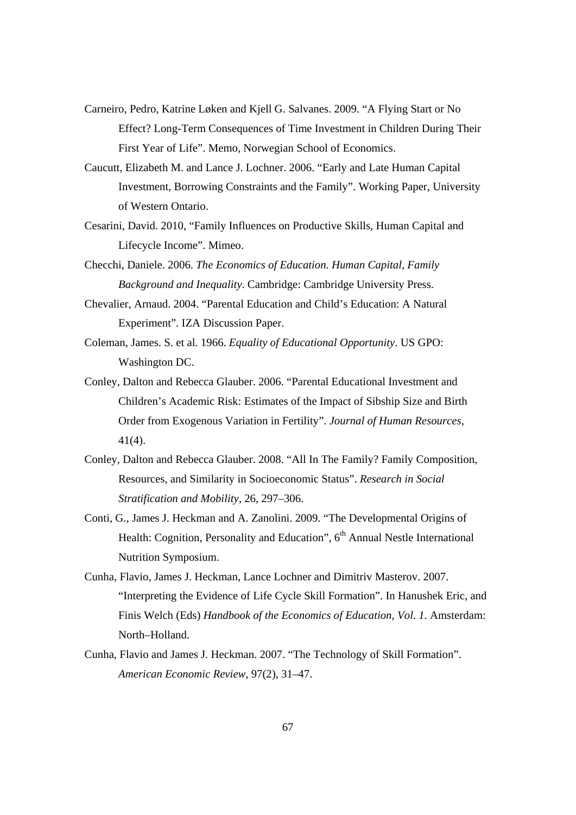- Carneiro, Pedro, Katrine Løken and Kjell G. Salvanes. 2009. "A Flying Start or No Effect? Long-Term Consequences of Time Investment in Children During Their First Year of Life". Memo, Norwegian School of Economics.
- Caucutt, Elizabeth M. and Lance J. Lochner. 2006. "Early and Late Human Capital Investment, Borrowing Constraints and the Family". Working Paper, University of Western Ontario.
- Cesarini, David. 2010, "Family Influences on Productive Skills, Human Capital and Lifecycle Income". Mimeo.
- Checchi, Daniele. 2006. *The Economics of Education. Human Capital, Family Background and Inequality*. Cambridge: Cambridge University Press.
- Chevalier, Arnaud. 2004. "Parental Education and Child's Education: A Natural Experiment". IZA Discussion Paper.
- Coleman, James. S. et al. 1966. *Equality of Educational Opportunity*. US GPO: Washington DC.
- Conley, Dalton and Rebecca Glauber. 2006. "Parental Educational Investment and Children's Academic Risk: Estimates of the Impact of Sibship Size and Birth Order from Exogenous Variation in Fertility". *Journal of Human Resources*, 41(4).
- Conley, Dalton and Rebecca Glauber. 2008. "All In The Family? Family Composition, Resources, and Similarity in Socioeconomic Status". *Research in Social Stratification and Mobility*, 26, 297–306.
- Conti, G., James J. Heckman and A. Zanolini. 2009. "The Developmental Origins of Health: Cognition, Personality and Education", 6<sup>th</sup> Annual Nestle International Nutrition Symposium.
- Cunha, Flavio, James J. Heckman, Lance Lochner and Dimitriv Masterov. 2007. "Interpreting the Evidence of Life Cycle Skill Formation". In Hanushek Eric, and Finis Welch (Eds) *Handbook of the Economics of Education, Vol. 1.* Amsterdam: North–Holland.
- Cunha, Flavio and James J. Heckman. 2007. "The Technology of Skill Formation". *American Economic Review*, 97(2), 31–47.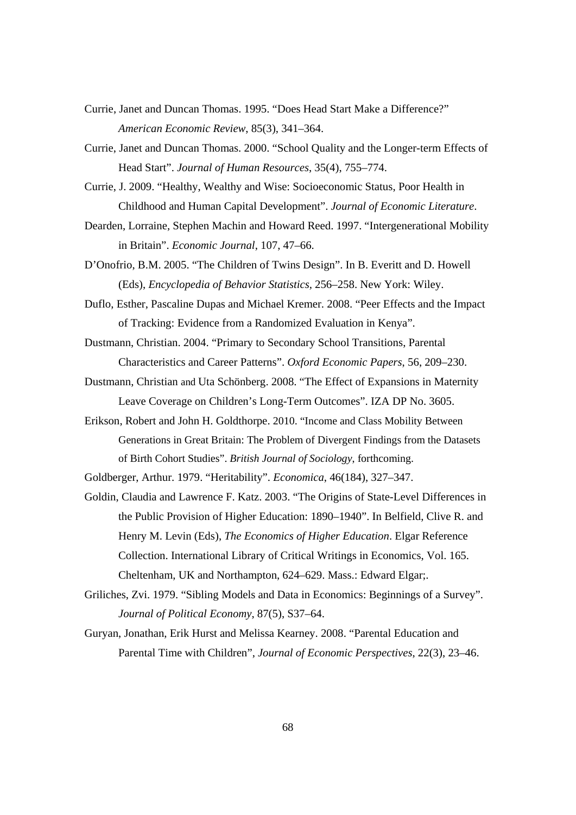- Currie, Janet and Duncan Thomas. 1995. "Does Head Start Make a Difference?" *American Economic Review*, 85(3), 341–364.
- Currie, Janet and Duncan Thomas. 2000. "School Quality and the Longer-term Effects of Head Start". *Journal of Human Resources*, 35(4), 755–774.
- Currie, J. 2009. "Healthy, Wealthy and Wise: Socioeconomic Status, Poor Health in Childhood and Human Capital Development". *Journal of Economic Literature*.
- Dearden, Lorraine, Stephen Machin and Howard Reed. 1997. "Intergenerational Mobility in Britain". *Economic Journal*, 107, 47–66.
- D'Onofrio, B.M. 2005. "The Children of Twins Design". In B. Everitt and D. Howell (Eds), *Encyclopedia of Behavior Statistics,* 256–258. New York: Wiley.
- Duflo, Esther, Pascaline Dupas and Michael Kremer. 2008. "Peer Effects and the Impact of Tracking: Evidence from a Randomized Evaluation in Kenya".
- Dustmann, Christian. 2004. "Primary to Secondary School Transitions, Parental Characteristics and Career Patterns". *Oxford Economic Papers*, 56, 209–230.
- Dustmann, Christian and Uta Schönberg. 2008. "The Effect of Expansions in Maternity Leave Coverage on Children's Long-Term Outcomes". IZA DP No. 3605.
- Erikson, Robert and John H. Goldthorpe. 2010. "Income and Class Mobility Between Generations in Great Britain: The Problem of Divergent Findings from the Datasets of Birth Cohort Studies". *British Journal of Sociology*, forthcoming.
- Goldberger, Arthur. 1979. "Heritability". *Economica*, 46(184), 327–347.
- Goldin, Claudia and Lawrence F. Katz. 2003. "The Origins of State-Level Differences in the Public Provision of Higher Education: 1890–1940". In Belfield, Clive R. and Henry M. Levin (Eds), *The Economics of Higher Education*. Elgar Reference Collection. International Library of Critical Writings in Economics, Vol. 165. Cheltenham, UK and Northampton, 624–629. Mass.: Edward Elgar;.
- Griliches, Zvi. 1979. "Sibling Models and Data in Economics: Beginnings of a Survey". *Journal of Political Economy*, 87(5), S37–64.
- Guryan, Jonathan, Erik Hurst and Melissa Kearney. 2008. "Parental Education and Parental Time with Children", *Journal of Economic Perspectives*, 22(3), 23–46.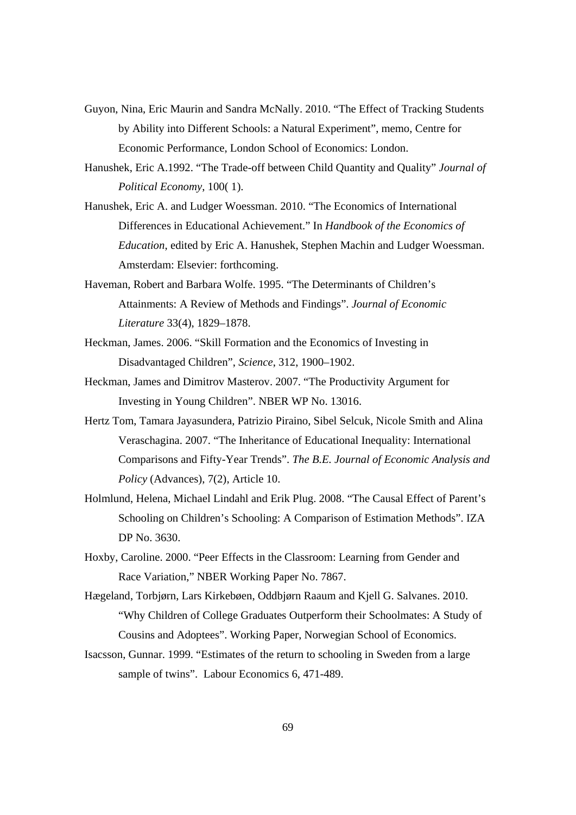- Guyon, Nina, Eric Maurin and Sandra McNally. 2010. "The Effect of Tracking Students by Ability into Different Schools: a Natural Experiment", memo, Centre for Economic Performance, London School of Economics: London.
- Hanushek, Eric A.1992. "The Trade-off between Child Quantity and Quality" *Journal of Political Economy*, 100( 1).
- Hanushek, Eric A. and Ludger Woessman. 2010. "The Economics of International Differences in Educational Achievement." In *Handbook of the Economics of Education*, edited by Eric A. Hanushek, Stephen Machin and Ludger Woessman. Amsterdam: Elsevier: forthcoming.
- Haveman, Robert and Barbara Wolfe. 1995. "The Determinants of Children's Attainments: A Review of Methods and Findings". *Journal of Economic Literature* 33(4), 1829–1878.
- Heckman, James. 2006. "Skill Formation and the Economics of Investing in Disadvantaged Children", *Science*, 312, 1900–1902.
- Heckman, James and Dimitrov Masterov. 2007. "The Productivity Argument for Investing in Young Children". NBER WP No. 13016.
- Hertz Tom, Tamara Jayasundera, Patrizio Piraino, Sibel Selcuk, Nicole Smith and Alina Veraschagina. 2007. "The Inheritance of Educational Inequality: International Comparisons and Fifty-Year Trends". *The B.E. Journal of Economic Analysis and Policy* (Advances), 7(2), Article 10.
- Holmlund, Helena, Michael Lindahl and Erik Plug. 2008. "The Causal Effect of Parent's Schooling on Children's Schooling: A Comparison of Estimation Methods". IZA DP No. 3630.
- Hoxby, Caroline. 2000. "Peer Effects in the Classroom: Learning from Gender and Race Variation," NBER Working Paper No. 7867.
- Hægeland, Torbjørn, Lars Kirkebøen, Oddbjørn Raaum and Kjell G. Salvanes. 2010. "Why Children of College Graduates Outperform their Schoolmates: A Study of Cousins and Adoptees". Working Paper, Norwegian School of Economics.
- Isacsson, Gunnar. 1999. "Estimates of the return to schooling in Sweden from a large sample of twins". Labour Economics 6, 471-489.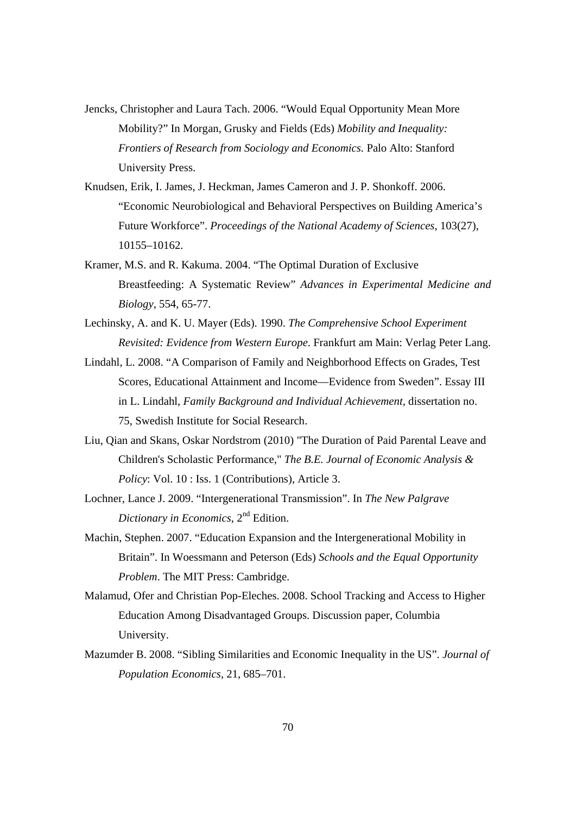- Jencks, Christopher and Laura Tach. 2006. "Would Equal Opportunity Mean More Mobility?" In Morgan, Grusky and Fields (Eds) *Mobility and Inequality: Frontiers of Research from Sociology and Economics.* Palo Alto: Stanford University Press.
- Knudsen, Erik, I. James, J. Heckman, James Cameron and J. P. Shonkoff. 2006. "Economic Neurobiological and Behavioral Perspectives on Building America's Future Workforce". *Proceedings of the National Academy of Sciences*, 103(27), 10155–10162.
- Kramer, M.S. and R. Kakuma. 2004. "The Optimal Duration of Exclusive Breastfeeding: A Systematic Review" *Advances in Experimental Medicine and Biology*, 554, 65-77.
- Lechinsky, A. and K. U. Mayer (Eds). 1990. *The Comprehensive School Experiment Revisited: Evidence from Western Europe*. Frankfurt am Main: Verlag Peter Lang.
- Lindahl, L. 2008. "A Comparison of Family and Neighborhood Effects on Grades, Test Scores, Educational Attainment and Income—Evidence from Sweden". Essay III in L. Lindahl, *Family Background and Individual Achievement,* dissertation no. 75, Swedish Institute for Social Research.
- Liu, Qian and Skans, Oskar Nordstrom (2010) "The Duration of Paid Parental Leave and Children's Scholastic Performance," *The B.E. Journal of Economic Analysis & Policy*: Vol. 10 : Iss. 1 (Contributions), Article 3.
- Lochner, Lance J. 2009. "Intergenerational Transmission". In *The New Palgrave Dictionary in Economics*, 2nd Edition.
- Machin, Stephen. 2007. "Education Expansion and the Intergenerational Mobility in Britain". In Woessmann and Peterson (Eds) *Schools and the Equal Opportunity Problem*. The MIT Press: Cambridge.
- Malamud, Ofer and Christian Pop-Eleches. 2008. School Tracking and Access to Higher Education Among Disadvantaged Groups. Discussion paper, Columbia University.
- Mazumder B. 2008. "Sibling Similarities and Economic Inequality in the US". *Journal of Population Economics*, 21, 685–701.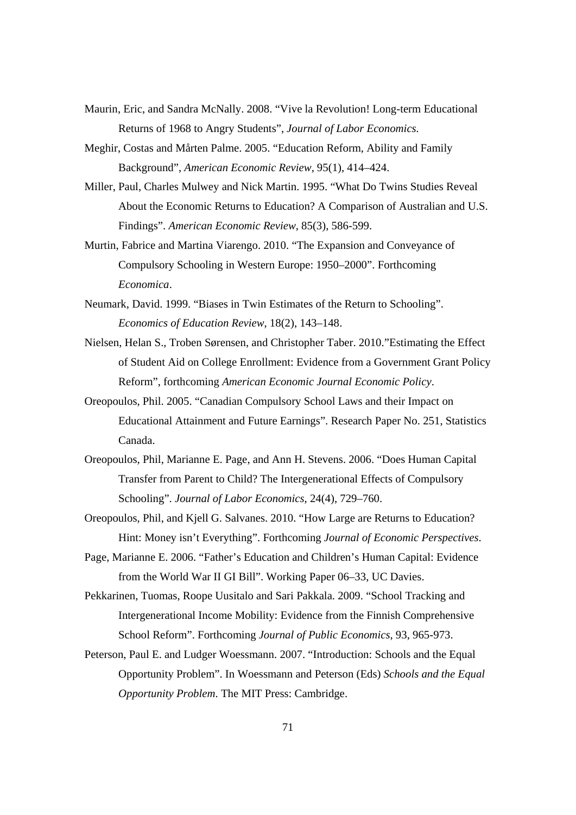- Maurin, Eric, and Sandra McNally. 2008. "Vive la Revolution! Long-term Educational Returns of 1968 to Angry Students", *Journal of Labor Economics.*
- Meghir, Costas and Mårten Palme. 2005. "Education Reform, Ability and Family Background", *American Economic Review*, 95(1), 414–424.
- Miller, Paul, Charles Mulwey and Nick Martin. 1995. "What Do Twins Studies Reveal About the Economic Returns to Education? A Comparison of Australian and U.S. Findings". *American Economic Review*, 85(3), 586-599.
- Murtin, Fabrice and Martina Viarengo. 2010. "The Expansion and Conveyance of Compulsory Schooling in Western Europe: 1950–2000". Forthcoming *Economica*.
- Neumark, David. 1999. "Biases in Twin Estimates of the Return to Schooling". *Economics of Education Review*, 18(2), 143–148.
- Nielsen, Helan S., Troben Sørensen, and Christopher Taber. 2010."Estimating the Effect of Student Aid on College Enrollment: Evidence from a Government Grant Policy Reform", forthcoming *American Economic Journal Economic Policy*.
- Oreopoulos, Phil. 2005. "Canadian Compulsory School Laws and their Impact on Educational Attainment and Future Earnings". Research Paper No. 251, Statistics Canada.
- Oreopoulos, Phil, Marianne E. Page, and Ann H. Stevens. 2006. "Does Human Capital Transfer from Parent to Child? The Intergenerational Effects of Compulsory Schooling". *Journal of Labor Economics*, 24(4), 729–760.
- Oreopoulos, Phil, and Kjell G. Salvanes. 2010. "How Large are Returns to Education? Hint: Money isn't Everything". Forthcoming *Journal of Economic Perspectives*.
- Page, Marianne E. 2006. "Father's Education and Children's Human Capital: Evidence from the World War II GI Bill". Working Paper 06–33, UC Davies.
- Pekkarinen, Tuomas, Roope Uusitalo and Sari Pakkala. 2009. "School Tracking and Intergenerational Income Mobility: Evidence from the Finnish Comprehensive School Reform". Forthcoming *Journal of Public Economics*, 93, 965-973.
- Peterson, Paul E. and Ludger Woessmann. 2007. "Introduction: Schools and the Equal Opportunity Problem". In Woessmann and Peterson (Eds) *Schools and the Equal Opportunity Problem*. The MIT Press: Cambridge.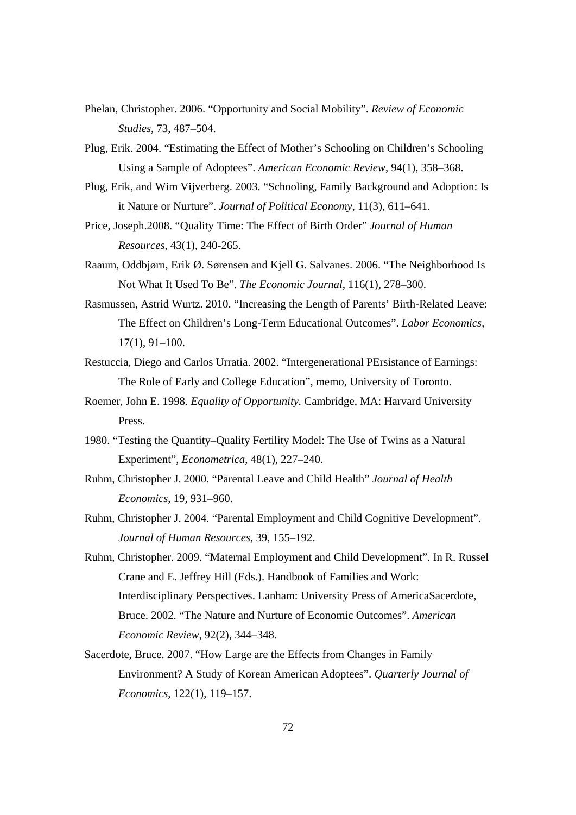- Phelan, Christopher. 2006. "Opportunity and Social Mobility". *Review of Economic Studies*, 73, 487–504.
- Plug, Erik. 2004. "Estimating the Effect of Mother's Schooling on Children's Schooling Using a Sample of Adoptees". *American Economic Review*, 94(1), 358–368.
- Plug, Erik, and Wim Vijverberg. 2003. "Schooling, Family Background and Adoption: Is it Nature or Nurture". *Journal of Political Economy*, 11(3), 611–641.
- Price, Joseph.2008. "Quality Time: The Effect of Birth Order" *Journal of Human Resources*, 43(1), 240-265.
- Raaum, Oddbjørn, Erik Ø. Sørensen and Kjell G. Salvanes. 2006. "The Neighborhood Is Not What It Used To Be". *The Economic Journal*, 116(1), 278–300.
- Rasmussen, Astrid Wurtz. 2010. "Increasing the Length of Parents' Birth-Related Leave: The Effect on Children's Long-Term Educational Outcomes". *Labor Economics*, 17(1), 91–100.
- Restuccia, Diego and Carlos Urratia. 2002. "Intergenerational PErsistance of Earnings: The Role of Early and College Education", memo, University of Toronto.
- Roemer, John E. 1998*. Equality of Opportunity.* Cambridge, MA: Harvard University Press.
- 1980. "Testing the Quantity–Quality Fertility Model: The Use of Twins as a Natural Experiment", *Econometrica*, 48(1), 227–240.
- Ruhm, Christopher J. 2000. "Parental Leave and Child Health" *Journal of Health Economics*, 19, 931–960.
- Ruhm, Christopher J. 2004. "Parental Employment and Child Cognitive Development". *Journal of Human Resources*, 39, 155–192.
- Ruhm, Christopher. 2009. "Maternal Employment and Child Development". In R. Russel Crane and E. Jeffrey Hill (Eds.). Handbook of Families and Work: Interdisciplinary Perspectives. Lanham: University Press of AmericaSacerdote, Bruce. 2002. "The Nature and Nurture of Economic Outcomes". *American Economic Review*, 92(2), 344–348.
- Sacerdote, Bruce. 2007. "How Large are the Effects from Changes in Family Environment? A Study of Korean American Adoptees". *Quarterly Journal of Economics*, 122(1), 119–157.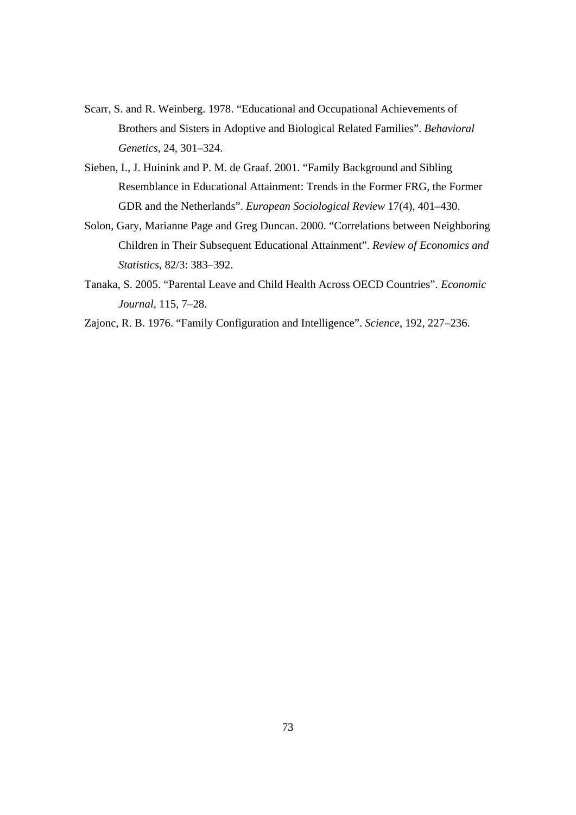- Scarr, S. and R. Weinberg. 1978. "Educational and Occupational Achievements of Brothers and Sisters in Adoptive and Biological Related Families". *Behavioral Genetics*, 24, 301–324.
- Sieben, I., J. Huinink and P. M. de Graaf. 2001. "Family Background and Sibling Resemblance in Educational Attainment: Trends in the Former FRG, the Former GDR and the Netherlands". *European Sociological Review* 17(4), 401–430.
- Solon, Gary, Marianne Page and Greg Duncan. 2000. "Correlations between Neighboring Children in Their Subsequent Educational Attainment". *Review of Economics and Statistics*, 82/3: 383–392.
- Tanaka, S. 2005. "Parental Leave and Child Health Across OECD Countries". *Economic Journal*, 115, 7–28.

Zajonc, R. B. 1976. "Family Configuration and Intelligence". *Science*, 192, 227–236.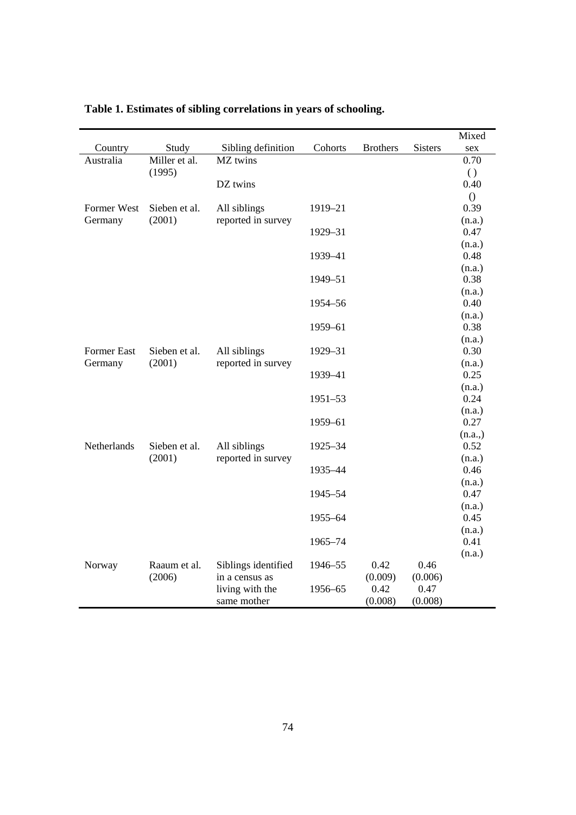| Country     | Study         | Sibling definition  | Cohorts     | <b>Brothers</b> | Sisters | Mixed<br>sex     |
|-------------|---------------|---------------------|-------------|-----------------|---------|------------------|
| Australia   | Miller et al. | MZ twins            |             |                 |         | 0.70             |
|             | (1995)        |                     |             |                 |         | $\left( \right)$ |
|             |               | DZ twins            |             |                 |         | 0.40             |
|             |               |                     |             |                 |         | $\Omega$         |
| Former West | Sieben et al. | All siblings        | 1919-21     |                 |         | 0.39             |
| Germany     | (2001)        | reported in survey  |             |                 |         | (n.a.)           |
|             |               |                     | 1929-31     |                 |         | 0.47             |
|             |               |                     |             |                 |         | (n.a.)<br>0.48   |
|             |               |                     | 1939-41     |                 |         |                  |
|             |               |                     | 1949-51     |                 |         | (n.a.)<br>0.38   |
|             |               |                     |             |                 |         | (n.a.)           |
|             |               |                     | 1954-56     |                 |         | 0.40             |
|             |               |                     |             |                 |         | (n.a.)           |
|             |               |                     | 1959-61     |                 |         | 0.38             |
|             |               |                     |             |                 |         | (n.a.)           |
| Former East | Sieben et al. | All siblings        | 1929-31     |                 |         | 0.30             |
| Germany     | (2001)        | reported in survey  |             |                 |         | (n.a.)           |
|             |               |                     | 1939-41     |                 |         | 0.25             |
|             |               |                     |             |                 |         | (n.a.)           |
|             |               |                     | $1951 - 53$ |                 |         | 0.24             |
|             |               |                     |             |                 |         | (n.a.)           |
|             |               |                     | 1959-61     |                 |         | 0.27             |
|             |               |                     |             |                 |         | (n.a.,)          |
| Netherlands | Sieben et al. | All siblings        | 1925-34     |                 |         | 0.52             |
|             | (2001)        | reported in survey  |             |                 |         | (n.a.)           |
|             |               |                     | 1935-44     |                 |         | 0.46             |
|             |               |                     |             |                 |         | (n.a.)           |
|             |               |                     | 1945-54     |                 |         | 0.47             |
|             |               |                     |             |                 |         | (n.a.)           |
|             |               |                     | 1955-64     |                 |         | 0.45             |
|             |               |                     |             |                 |         | (n.a.)           |
|             |               |                     | 1965-74     |                 |         | 0.41             |
|             | Raaum et al.  | Siblings identified | 1946-55     | 0.42            | 0.46    | (n.a.)           |
| Norway      | (2006)        | in a census as      |             | (0.009)         | (0.006) |                  |
|             |               | living with the     | 1956-65     | 0.42            | 0.47    |                  |
|             |               | same mother         |             | (0.008)         | (0.008) |                  |
|             |               |                     |             |                 |         |                  |

## **Table 1. Estimates of sibling correlations in years of schooling.**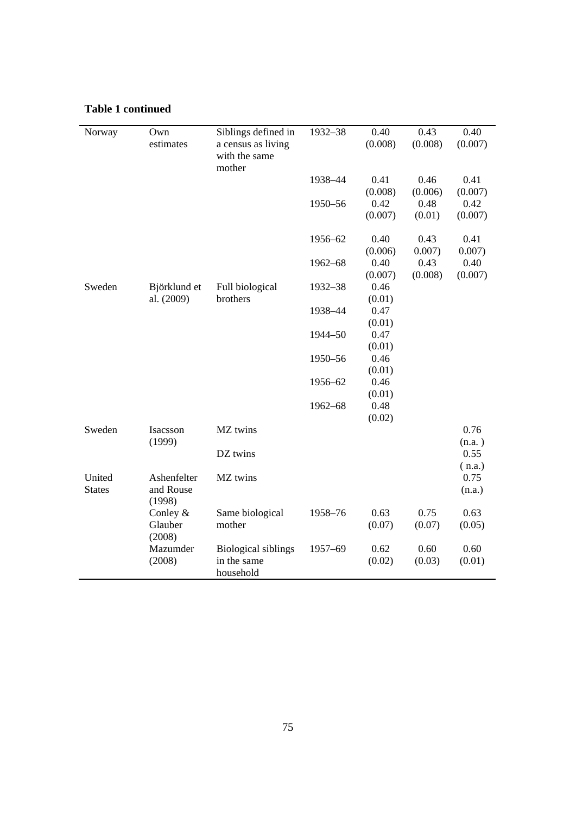## **Table 1 continued**

| Norway        | Own                 | Siblings defined in                 | 1932-38 | 0.40    | 0.43    | 0.40    |
|---------------|---------------------|-------------------------------------|---------|---------|---------|---------|
|               | estimates           | a census as living<br>with the same |         | (0.008) | (0.008) | (0.007) |
|               |                     | mother                              |         |         |         |         |
|               |                     |                                     | 1938-44 | 0.41    | 0.46    | 0.41    |
|               |                     |                                     |         | (0.008) | (0.006) | (0.007) |
|               |                     |                                     | 1950-56 | 0.42    | 0.48    | 0.42    |
|               |                     |                                     |         | (0.007) | (0.01)  | (0.007) |
|               |                     |                                     | 1956-62 | 0.40    | 0.43    | 0.41    |
|               |                     |                                     |         | (0.006) | 0.007)  | 0.007)  |
|               |                     |                                     | 1962-68 | 0.40    | 0.43    | 0.40    |
|               |                     |                                     |         | (0.007) | (0.008) | (0.007) |
| Sweden        | Björklund et        | Full biological                     | 1932-38 | 0.46    |         |         |
|               | al. (2009)          | brothers                            |         | (0.01)  |         |         |
|               |                     |                                     | 1938-44 | 0.47    |         |         |
|               |                     |                                     |         | (0.01)  |         |         |
|               |                     |                                     | 1944-50 | 0.47    |         |         |
|               |                     |                                     |         | (0.01)  |         |         |
|               |                     |                                     | 1950-56 | 0.46    |         |         |
|               |                     |                                     |         | (0.01)  |         |         |
|               |                     |                                     | 1956-62 | 0.46    |         |         |
|               |                     |                                     |         | (0.01)  |         |         |
|               |                     |                                     | 1962-68 | 0.48    |         |         |
|               |                     |                                     |         | (0.02)  |         |         |
| Sweden        | Isacsson            | MZ twins                            |         |         |         | 0.76    |
|               | (1999)              |                                     |         |         |         | (n.a.)  |
|               |                     | DZ twins                            |         |         |         | 0.55    |
|               |                     |                                     |         |         |         | (n.a.)  |
| United        | Ashenfelter         | MZ twins                            |         |         |         | 0.75    |
| <b>States</b> | and Rouse<br>(1998) |                                     |         |         |         | (n.a.)  |
|               | Conley $&$          | Same biological                     | 1958-76 | 0.63    | 0.75    | 0.63    |
|               | Glauber             | mother                              |         | (0.07)  | (0.07)  | (0.05)  |
|               | (2008)              |                                     |         |         |         |         |
|               | Mazumder            | <b>Biological siblings</b>          | 1957-69 | 0.62    | 0.60    | 0.60    |
|               | (2008)              | in the same                         |         | (0.02)  | (0.03)  | (0.01)  |
|               |                     | household                           |         |         |         |         |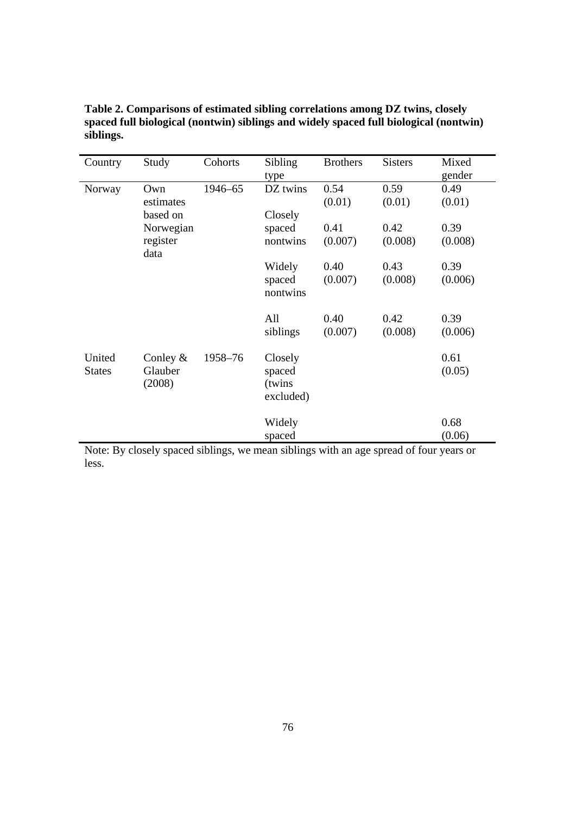**Table 2. Comparisons of estimated sibling correlations among DZ twins, closely spaced full biological (nontwin) siblings and widely spaced full biological (nontwin) siblings.** 

| Country                 | Study                           | Cohorts | Sibling<br>type                          | <b>Brothers</b> | <b>Sisters</b>  | Mixed<br>gender |
|-------------------------|---------------------------------|---------|------------------------------------------|-----------------|-----------------|-----------------|
| Norway                  | Own<br>estimates                | 1946-65 | DZ twins                                 | 0.54<br>(0.01)  | 0.59<br>(0.01)  | 0.49<br>(0.01)  |
|                         | based on                        |         | Closely                                  |                 |                 |                 |
|                         | Norwegian<br>register<br>data   |         | spaced<br>nontwins                       | 0.41<br>(0.007) | 0.42<br>(0.008) | 0.39<br>(0.008) |
|                         |                                 |         | Widely<br>spaced<br>nontwins             | 0.40<br>(0.007) | 0.43<br>(0.008) | 0.39<br>(0.006) |
|                         |                                 |         | All<br>siblings                          | 0.40<br>(0.007) | 0.42<br>(0.008) | 0.39<br>(0.006) |
| United<br><b>States</b> | Conley $&$<br>Glauber<br>(2008) | 1958-76 | Closely<br>spaced<br>(twins<br>excluded) |                 |                 | 0.61<br>(0.05)  |
|                         |                                 |         | Widely<br>spaced                         |                 |                 | 0.68<br>(0.06)  |

Note: By closely spaced siblings, we mean siblings with an age spread of four years or less.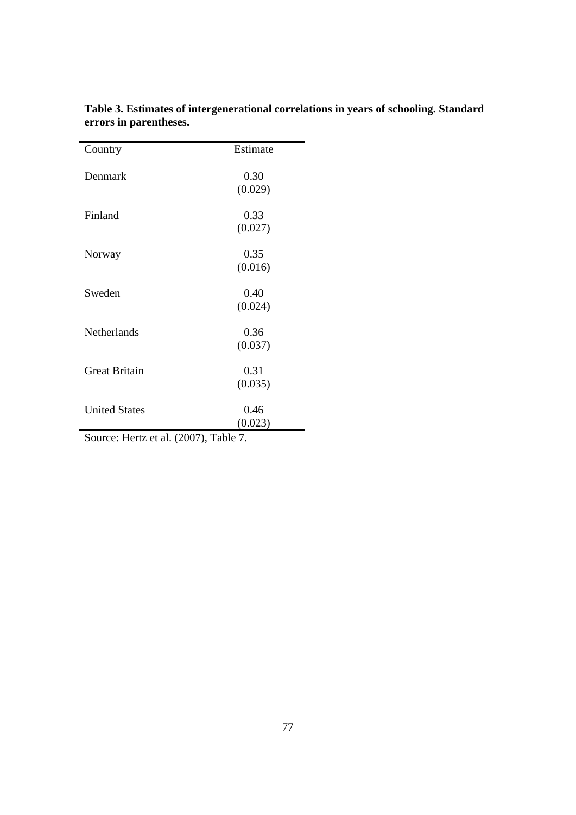| Country                                             | Estimate                                       |
|-----------------------------------------------------|------------------------------------------------|
| Denmark                                             | 0.30<br>(0.029)                                |
| Finland                                             | 0.33<br>(0.027)                                |
| Norway                                              | 0.35<br>(0.016)                                |
| Sweden                                              | 0.40<br>(0.024)                                |
| <b>Netherlands</b>                                  | 0.36<br>(0.037)                                |
| <b>Great Britain</b>                                | 0.31<br>(0.035)                                |
| <b>United States</b><br><b>YY</b><br>$\blacksquare$ | 0.46<br>(0.023)<br>$(0.007)$ $\overline{m}$ 11 |

**Table 3. Estimates of intergenerational correlations in years of schooling. Standard errors in parentheses.** 

Source: Hertz et al. (2007), Table 7.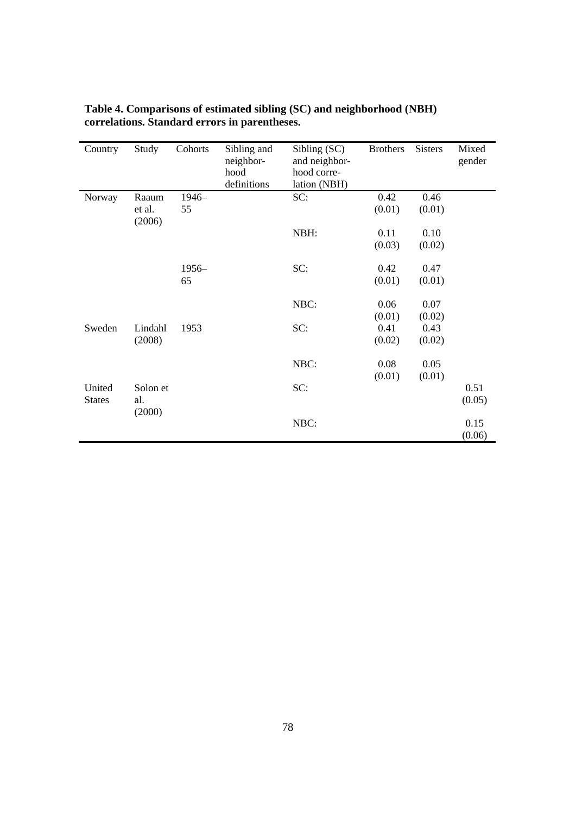| Country       | Study            | Cohorts | Sibling and<br>neighbor-<br>hood<br>definitions | Sibling (SC)<br>and neighbor-<br>hood corre-<br>lation (NBH) | <b>Brothers</b> | <b>Sisters</b> | Mixed<br>gender |
|---------------|------------------|---------|-------------------------------------------------|--------------------------------------------------------------|-----------------|----------------|-----------------|
| Norway        | Raaum            | 1946-   |                                                 | SC:                                                          | 0.42            | 0.46           |                 |
|               | et al.<br>(2006) | 55      |                                                 |                                                              | (0.01)          | (0.01)         |                 |
|               |                  |         |                                                 | NBH:                                                         | 0.11            | 0.10           |                 |
|               |                  |         |                                                 |                                                              | (0.03)          | (0.02)         |                 |
|               |                  | 1956-   |                                                 | SC:                                                          | 0.42            | 0.47           |                 |
|               |                  | 65      |                                                 |                                                              | (0.01)          | (0.01)         |                 |
|               |                  |         |                                                 | NBC:                                                         | 0.06            | 0.07           |                 |
|               |                  |         |                                                 |                                                              | (0.01)          | (0.02)         |                 |
| Sweden        | Lindahl          | 1953    |                                                 | SC:                                                          | 0.41            | 0.43           |                 |
|               | (2008)           |         |                                                 |                                                              | (0.02)          | (0.02)         |                 |
|               |                  |         |                                                 | NBC:                                                         | 0.08            | 0.05           |                 |
|               |                  |         |                                                 |                                                              | (0.01)          | (0.01)         |                 |
| United        | Solon et         |         |                                                 | SC:                                                          |                 |                | 0.51            |
| <b>States</b> | al.<br>(2000)    |         |                                                 |                                                              |                 |                | (0.05)          |
|               |                  |         |                                                 | NBC:                                                         |                 |                | 0.15<br>(0.06)  |

**Table 4. Comparisons of estimated sibling (SC) and neighborhood (NBH) correlations. Standard errors in parentheses.**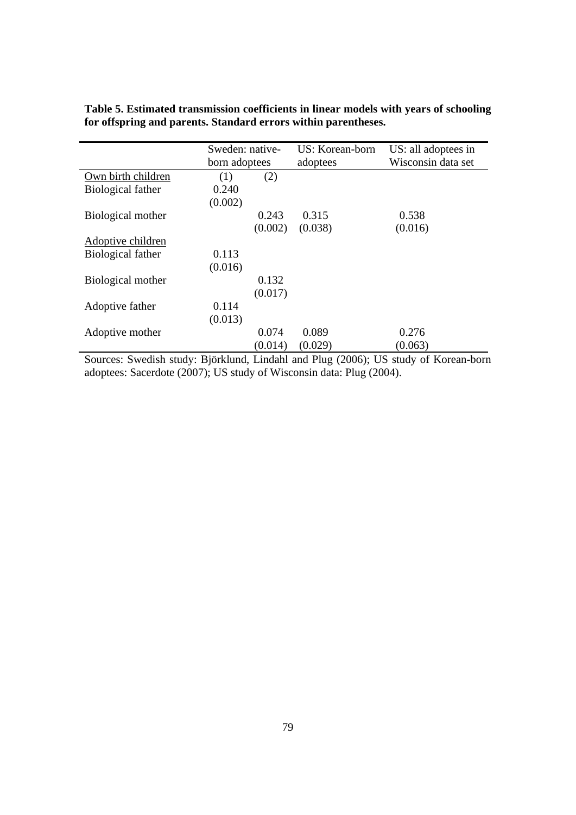|                    | Sweden: native- |         | US: Korean-born | US: all adoptees in |
|--------------------|-----------------|---------|-----------------|---------------------|
|                    | born adoptees   |         | adoptees        | Wisconsin data set  |
| Own birth children | (1)             | (2)     |                 |                     |
| Biological father  | 0.240           |         |                 |                     |
|                    | (0.002)         |         |                 |                     |
| Biological mother  |                 | 0.243   | 0.315           | 0.538               |
|                    |                 | (0.002) | (0.038)         | (0.016)             |
| Adoptive children  |                 |         |                 |                     |
| Biological father  | 0.113           |         |                 |                     |
|                    | (0.016)         |         |                 |                     |
| Biological mother  |                 | 0.132   |                 |                     |
|                    |                 | (0.017) |                 |                     |
| Adoptive father    | 0.114           |         |                 |                     |
|                    | (0.013)         |         |                 |                     |
| Adoptive mother    |                 | 0.074   | 0.089           | 0.276               |
|                    |                 | (0.014) | (0.029)         | (0.063)             |

**Table 5. Estimated transmission coefficients in linear models with years of schooling for offspring and parents. Standard errors within parentheses.** 

Sources: Swedish study: Björklund, Lindahl and Plug (2006); US study of Korean-born adoptees: Sacerdote (2007); US study of Wisconsin data: Plug (2004).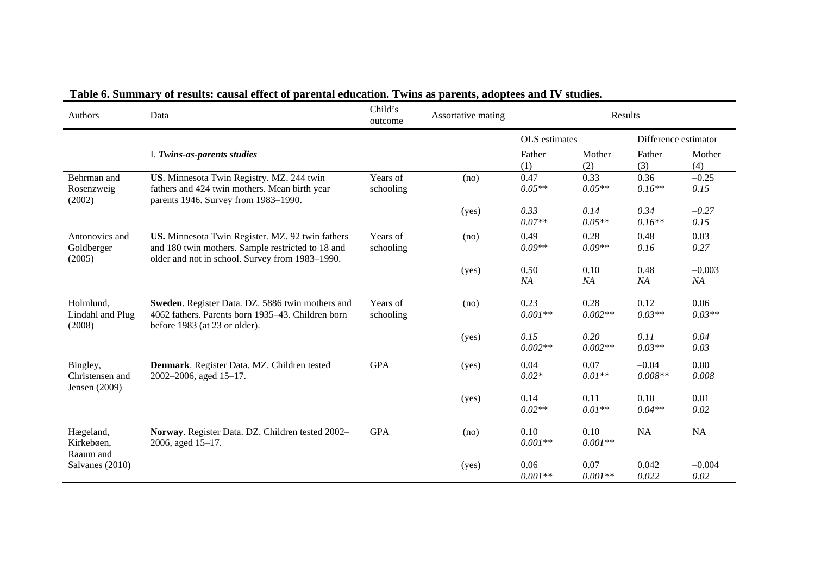| Authors                                      | Data                                                                                                                                                     | Child's<br>outcome    | Assortative mating | Results           |                   |                      |                  |
|----------------------------------------------|----------------------------------------------------------------------------------------------------------------------------------------------------------|-----------------------|--------------------|-------------------|-------------------|----------------------|------------------|
|                                              |                                                                                                                                                          |                       |                    | OLS estimates     |                   | Difference estimator |                  |
|                                              | I. Twins-as-parents studies                                                                                                                              |                       |                    | Father<br>(1)     | Mother<br>(2)     | Father<br>(3)        | Mother<br>(4)    |
| Behrman and<br>Rosenzweig<br>(2002)          | US. Minnesota Twin Registry. MZ. 244 twin<br>fathers and 424 twin mothers. Mean birth year<br>parents 1946. Survey from 1983-1990.                       | Years of<br>schooling | (no)               | 0.47<br>$0.05**$  | 0.33<br>$0.05**$  | 0.36<br>$0.16**$     | $-0.25$<br>0.15  |
|                                              |                                                                                                                                                          |                       | (yes)              | 0.33<br>$0.07**$  | 0.14<br>$0.05**$  | 0.34<br>$0.16**$     | $-0.27$<br>0.15  |
| Antonovics and<br>Goldberger<br>(2005)       | US. Minnesota Twin Register. MZ. 92 twin fathers<br>and 180 twin mothers. Sample restricted to 18 and<br>older and not in school. Survey from 1983-1990. | Years of<br>schooling | (no)               | 0.49<br>$0.09**$  | 0.28<br>$0.09**$  | 0.48<br>0.16         | 0.03<br>0.27     |
|                                              |                                                                                                                                                          |                       | (yes)              | 0.50<br>NA        | 0.10<br>NA        | 0.48<br>NA           | $-0.003$<br>NA   |
| Holmlund,<br>Lindahl and Plug<br>(2008)      | Sweden. Register Data. DZ. 5886 twin mothers and<br>4062 fathers. Parents born 1935-43. Children born<br>before 1983 (at 23 or older).                   | Years of<br>schooling | (no)               | 0.23<br>$0.001**$ | 0.28<br>$0.002**$ | 0.12<br>$0.03**$     | 0.06<br>$0.03**$ |
|                                              |                                                                                                                                                          |                       | (yes)              | 0.15<br>$0.002**$ | 0.20<br>$0.002**$ | 0.11<br>$0.03**$     | 0.04<br>0.03     |
| Bingley,<br>Christensen and<br>Jensen (2009) | Denmark. Register Data. MZ. Children tested<br>2002-2006, aged 15-17.                                                                                    | <b>GPA</b>            | (yes)              | 0.04<br>$0.02*$   | 0.07<br>$0.01**$  | $-0.04$<br>$0.008**$ | 0.00<br>0.008    |
|                                              |                                                                                                                                                          |                       | (yes)              | 0.14<br>$0.02**$  | 0.11<br>$0.01**$  | 0.10<br>$0.04**$     | 0.01<br>0.02     |
| Hægeland,<br>Kirkebøen,<br>Raaum and         | Norway. Register Data. DZ. Children tested 2002-<br>2006, aged 15-17.                                                                                    | <b>GPA</b>            | (no)               | 0.10<br>$0.001**$ | 0.10<br>$0.001**$ | <b>NA</b>            | <b>NA</b>        |
| Salvanes (2010)                              |                                                                                                                                                          |                       | (yes)              | 0.06<br>$0.001**$ | 0.07<br>$0.001**$ | 0.042<br>0.022       | $-0.004$<br>0.02 |

## **Table 6. Summary of results: causal effect of parental education. Twins as parents, adoptees and IV studies.**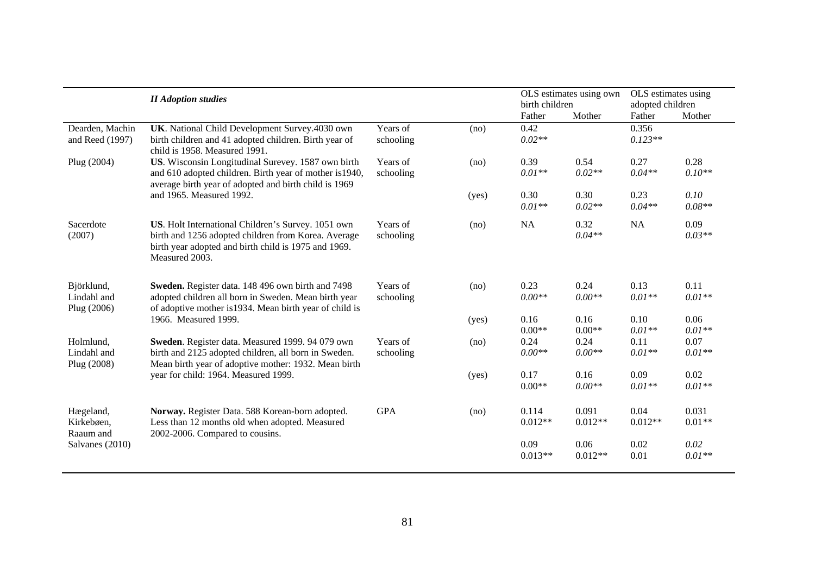|                                          | <b>II</b> Adoption studies                                                                                                                                                          |                       |       | birth children     | OLS estimates using own | OLS estimates using<br>adopted children |                   |
|------------------------------------------|-------------------------------------------------------------------------------------------------------------------------------------------------------------------------------------|-----------------------|-------|--------------------|-------------------------|-----------------------------------------|-------------------|
|                                          |                                                                                                                                                                                     |                       |       | Father             | Mother                  | Father                                  | Mother            |
| Dearden, Machin<br>and Reed (1997)       | UK. National Child Development Survey.4030 own<br>birth children and 41 adopted children. Birth year of<br>child is 1958. Measured 1991.                                            | Years of<br>schooling | (no)  | 0.42<br>$0.02**$   |                         | 0.356<br>$0.123**$                      |                   |
| Plug (2004)                              | US. Wisconsin Longitudinal Surevey. 1587 own birth<br>and 610 adopted children. Birth year of mother is 1940,<br>average birth year of adopted and birth child is 1969              | Years of<br>schooling | (no)  | 0.39<br>$0.01**$   | 0.54<br>$0.02**$        | 0.27<br>$0.04**$                        | 0.28<br>$0.10**$  |
|                                          | and 1965. Measured 1992.                                                                                                                                                            |                       | (yes) | 0.30<br>$0.01**$   | 0.30<br>$0.02**$        | 0.23<br>$0.04**$                        | 0.10<br>$0.08**$  |
| Sacerdote<br>(2007)                      | US. Holt International Children's Survey. 1051 own<br>birth and 1256 adopted children from Korea. Average<br>birth year adopted and birth child is 1975 and 1969.<br>Measured 2003. | Years of<br>schooling | (no)  | <b>NA</b>          | 0.32<br>$0.04**$        | NA                                      | 0.09<br>$0.03**$  |
| Björklund,<br>Lindahl and<br>Plug (2006) | Sweden. Register data. 148 496 own birth and 7498<br>adopted children all born in Sweden. Mean birth year<br>of adoptive mother is 1934. Mean birth year of child is                | Years of<br>schooling | (no)  | 0.23<br>$0.00**$   | 0.24<br>$0.00**$        | 0.13<br>$0.01**$                        | 0.11<br>$0.01**$  |
|                                          | 1966. Measured 1999.                                                                                                                                                                |                       | (yes) | 0.16<br>$0.00**$   | 0.16<br>$0.00**$        | 0.10<br>$0.01**$                        | 0.06<br>$0.01**$  |
| Holmlund,<br>Lindahl and<br>Plug (2008)  | Sweden. Register data. Measured 1999. 94 079 own<br>birth and 2125 adopted children, all born in Sweden.<br>Mean birth year of adoptive mother: 1932. Mean birth                    | Years of<br>schooling | (no)  | 0.24<br>$0.00**$   | 0.24<br>$0.00**$        | 0.11<br>$0.01**$                        | 0.07<br>$0.01**$  |
|                                          | year for child: 1964. Measured 1999.                                                                                                                                                |                       | (yes) | 0.17<br>$0.00**$   | 0.16<br>$0.00**$        | 0.09<br>$0.01**$                        | 0.02<br>$0.01**$  |
| Hægeland,<br>Kirkebøen,<br>Raaum and     | Norway. Register Data. 588 Korean-born adopted.<br>Less than 12 months old when adopted. Measured<br>2002-2006. Compared to cousins.                                                | <b>GPA</b>            | (no)  | 0.114<br>$0.012**$ | 0.091<br>$0.012**$      | 0.04<br>$0.012**$                       | 0.031<br>$0.01**$ |
| Salvanes (2010)                          |                                                                                                                                                                                     |                       |       | 0.09<br>$0.013**$  | 0.06<br>$0.012**$       | 0.02<br>0.01                            | 0.02<br>$0.01**$  |